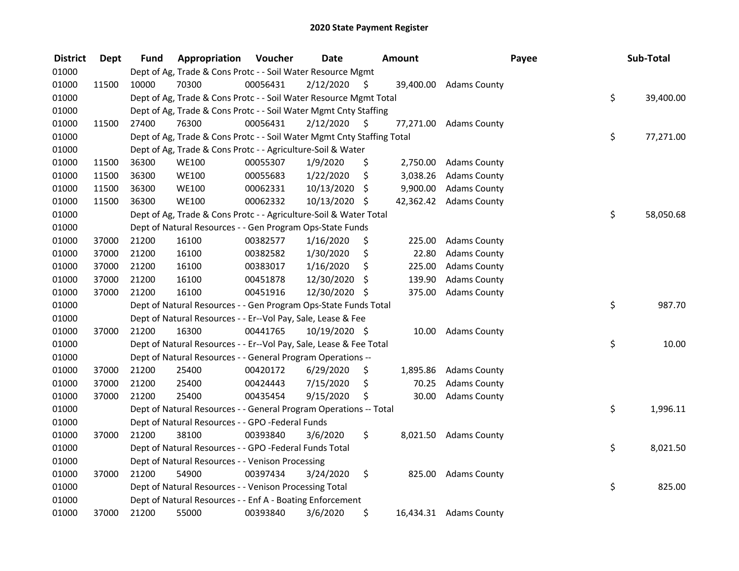| <b>District</b> | <b>Dept</b> | Fund  | Appropriation                                                          | Voucher  | <b>Date</b>   |     | Amount    |                        | Payee | Sub-Total       |
|-----------------|-------------|-------|------------------------------------------------------------------------|----------|---------------|-----|-----------|------------------------|-------|-----------------|
| 01000           |             |       | Dept of Ag, Trade & Cons Protc - - Soil Water Resource Mgmt            |          |               |     |           |                        |       |                 |
| 01000           | 11500       | 10000 | 70300                                                                  | 00056431 | 2/12/2020     | \$  |           | 39,400.00 Adams County |       |                 |
| 01000           |             |       | Dept of Ag, Trade & Cons Protc - - Soil Water Resource Mgmt Total      |          |               |     |           |                        |       | \$<br>39,400.00 |
| 01000           |             |       | Dept of Ag, Trade & Cons Protc - - Soil Water Mgmt Cnty Staffing       |          |               |     |           |                        |       |                 |
| 01000           | 11500       | 27400 | 76300                                                                  | 00056431 | 2/12/2020     | -S  | 77,271.00 | <b>Adams County</b>    |       |                 |
| 01000           |             |       | Dept of Ag, Trade & Cons Protc - - Soil Water Mgmt Cnty Staffing Total |          |               |     |           |                        |       | \$<br>77,271.00 |
| 01000           |             |       | Dept of Ag, Trade & Cons Protc - - Agriculture-Soil & Water            |          |               |     |           |                        |       |                 |
| 01000           | 11500       | 36300 | <b>WE100</b>                                                           | 00055307 | 1/9/2020      | \$  |           | 2,750.00 Adams County  |       |                 |
| 01000           | 11500       | 36300 | <b>WE100</b>                                                           | 00055683 | 1/22/2020     | \$  | 3,038.26  | <b>Adams County</b>    |       |                 |
| 01000           | 11500       | 36300 | <b>WE100</b>                                                           | 00062331 | 10/13/2020    | \$  | 9,900.00  | <b>Adams County</b>    |       |                 |
| 01000           | 11500       | 36300 | <b>WE100</b>                                                           | 00062332 | 10/13/2020 \$ |     |           | 42,362.42 Adams County |       |                 |
| 01000           |             |       | Dept of Ag, Trade & Cons Protc - - Agriculture-Soil & Water Total      |          |               |     |           |                        |       | \$<br>58,050.68 |
| 01000           |             |       | Dept of Natural Resources - - Gen Program Ops-State Funds              |          |               |     |           |                        |       |                 |
| 01000           | 37000       | 21200 | 16100                                                                  | 00382577 | 1/16/2020     | \$, | 225.00    | <b>Adams County</b>    |       |                 |
| 01000           | 37000       | 21200 | 16100                                                                  | 00382582 | 1/30/2020     | \$  | 22.80     | <b>Adams County</b>    |       |                 |
| 01000           | 37000       | 21200 | 16100                                                                  | 00383017 | 1/16/2020     | \$  | 225.00    | <b>Adams County</b>    |       |                 |
| 01000           | 37000       | 21200 | 16100                                                                  | 00451878 | 12/30/2020    | \$  | 139.90    | <b>Adams County</b>    |       |                 |
| 01000           | 37000       | 21200 | 16100                                                                  | 00451916 | 12/30/2020 \$ |     | 375.00    | <b>Adams County</b>    |       |                 |
| 01000           |             |       | Dept of Natural Resources - - Gen Program Ops-State Funds Total        |          |               |     |           |                        |       | \$<br>987.70    |
| 01000           |             |       | Dept of Natural Resources - - Er--Vol Pay, Sale, Lease & Fee           |          |               |     |           |                        |       |                 |
| 01000           | 37000       | 21200 | 16300                                                                  | 00441765 | 10/19/2020 \$ |     | 10.00     | <b>Adams County</b>    |       |                 |
| 01000           |             |       | Dept of Natural Resources - - Er--Vol Pay, Sale, Lease & Fee Total     |          |               |     |           |                        |       | \$<br>10.00     |
| 01000           |             |       | Dept of Natural Resources - - General Program Operations --            |          |               |     |           |                        |       |                 |
| 01000           | 37000       | 21200 | 25400                                                                  | 00420172 | 6/29/2020     | \$  | 1,895.86  | <b>Adams County</b>    |       |                 |
| 01000           | 37000       | 21200 | 25400                                                                  | 00424443 | 7/15/2020     | \$  | 70.25     | <b>Adams County</b>    |       |                 |
| 01000           | 37000       | 21200 | 25400                                                                  | 00435454 | 9/15/2020     | \$  | 30.00     | <b>Adams County</b>    |       |                 |
| 01000           |             |       | Dept of Natural Resources - - General Program Operations -- Total      |          |               |     |           |                        |       | \$<br>1,996.11  |
| 01000           |             |       | Dept of Natural Resources - - GPO -Federal Funds                       |          |               |     |           |                        |       |                 |
| 01000           | 37000       | 21200 | 38100                                                                  | 00393840 | 3/6/2020      | \$  |           | 8,021.50 Adams County  |       |                 |
| 01000           |             |       | Dept of Natural Resources - - GPO -Federal Funds Total                 |          |               |     |           |                        |       | \$<br>8,021.50  |
| 01000           |             |       | Dept of Natural Resources - - Venison Processing                       |          |               |     |           |                        |       |                 |
| 01000           | 37000       | 21200 | 54900                                                                  | 00397434 | 3/24/2020     | \$  | 825.00    | <b>Adams County</b>    |       |                 |
| 01000           |             |       | Dept of Natural Resources - - Venison Processing Total                 |          |               |     |           |                        |       | \$<br>825.00    |
| 01000           |             |       | Dept of Natural Resources - - Enf A - Boating Enforcement              |          |               |     |           |                        |       |                 |
| 01000           | 37000       | 21200 | 55000                                                                  | 00393840 | 3/6/2020      | \$  |           | 16,434.31 Adams County |       |                 |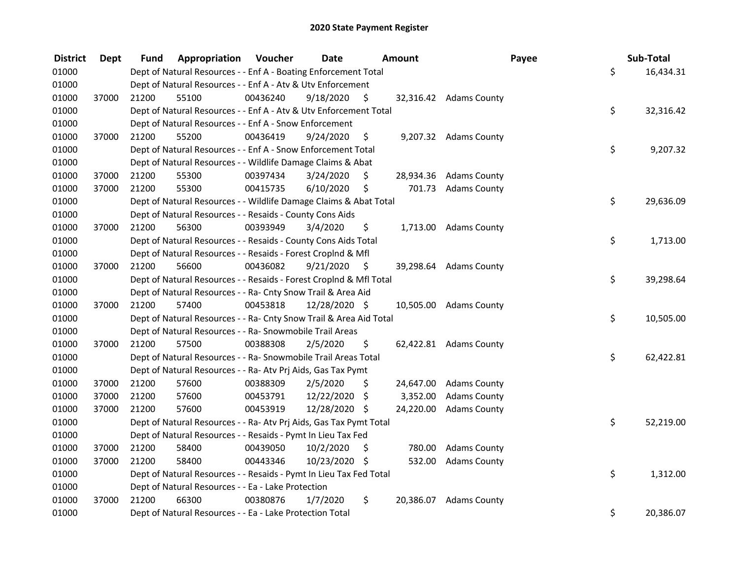| <b>District</b> | <b>Dept</b> | Fund  | Appropriation                                                      | Voucher  | <b>Date</b>   |     | <b>Amount</b> |                        | Payee | Sub-Total |
|-----------------|-------------|-------|--------------------------------------------------------------------|----------|---------------|-----|---------------|------------------------|-------|-----------|
| 01000           |             |       | Dept of Natural Resources - - Enf A - Boating Enforcement Total    |          |               |     |               |                        | \$    | 16,434.31 |
| 01000           |             |       | Dept of Natural Resources - - Enf A - Atv & Utv Enforcement        |          |               |     |               |                        |       |           |
| 01000           | 37000       | 21200 | 55100                                                              | 00436240 | 9/18/2020     | \$  |               | 32,316.42 Adams County |       |           |
| 01000           |             |       | Dept of Natural Resources - - Enf A - Atv & Utv Enforcement Total  |          |               |     |               |                        | \$    | 32,316.42 |
| 01000           |             |       | Dept of Natural Resources - - Enf A - Snow Enforcement             |          |               |     |               |                        |       |           |
| 01000           | 37000       | 21200 | 55200                                                              | 00436419 | 9/24/2020     | \$  |               | 9,207.32 Adams County  |       |           |
| 01000           |             |       | Dept of Natural Resources - - Enf A - Snow Enforcement Total       |          |               |     |               |                        | \$    | 9,207.32  |
| 01000           |             |       | Dept of Natural Resources - - Wildlife Damage Claims & Abat        |          |               |     |               |                        |       |           |
| 01000           | 37000       | 21200 | 55300                                                              | 00397434 | 3/24/2020     | \$. |               | 28,934.36 Adams County |       |           |
| 01000           | 37000       | 21200 | 55300                                                              | 00415735 | 6/10/2020     | \$  |               | 701.73 Adams County    |       |           |
| 01000           |             |       | Dept of Natural Resources - - Wildlife Damage Claims & Abat Total  |          |               |     |               |                        | \$    | 29,636.09 |
| 01000           |             |       | Dept of Natural Resources - - Resaids - County Cons Aids           |          |               |     |               |                        |       |           |
| 01000           | 37000       | 21200 | 56300                                                              | 00393949 | 3/4/2020      | \$  |               | 1,713.00 Adams County  |       |           |
| 01000           |             |       | Dept of Natural Resources - - Resaids - County Cons Aids Total     |          |               |     |               |                        | \$    | 1,713.00  |
| 01000           |             |       | Dept of Natural Resources - - Resaids - Forest Croplnd & Mfl       |          |               |     |               |                        |       |           |
| 01000           | 37000       | 21200 | 56600                                                              | 00436082 | 9/21/2020     | \$. |               | 39,298.64 Adams County |       |           |
| 01000           |             |       | Dept of Natural Resources - - Resaids - Forest Croplnd & Mfl Total |          |               |     |               |                        | \$    | 39,298.64 |
| 01000           |             |       | Dept of Natural Resources - - Ra- Cnty Snow Trail & Area Aid       |          |               |     |               |                        |       |           |
| 01000           | 37000       | 21200 | 57400                                                              | 00453818 | 12/28/2020 \$ |     |               | 10,505.00 Adams County |       |           |
| 01000           |             |       | Dept of Natural Resources - - Ra- Cnty Snow Trail & Area Aid Total |          |               |     |               |                        | \$    | 10,505.00 |
| 01000           |             |       | Dept of Natural Resources - - Ra- Snowmobile Trail Areas           |          |               |     |               |                        |       |           |
| 01000           | 37000       | 21200 | 57500                                                              | 00388308 | 2/5/2020      | \$  |               | 62,422.81 Adams County |       |           |
| 01000           |             |       | Dept of Natural Resources - - Ra- Snowmobile Trail Areas Total     |          |               |     |               |                        | \$    | 62,422.81 |
| 01000           |             |       | Dept of Natural Resources - - Ra- Atv Prj Aids, Gas Tax Pymt       |          |               |     |               |                        |       |           |
| 01000           | 37000       | 21200 | 57600                                                              | 00388309 | 2/5/2020      | \$  | 24,647.00     | <b>Adams County</b>    |       |           |
| 01000           | 37000       | 21200 | 57600                                                              | 00453791 | 12/22/2020    | \$  | 3,352.00      | <b>Adams County</b>    |       |           |
| 01000           | 37000       | 21200 | 57600                                                              | 00453919 | 12/28/2020 \$ |     | 24,220.00     | <b>Adams County</b>    |       |           |
| 01000           |             |       | Dept of Natural Resources - - Ra- Atv Prj Aids, Gas Tax Pymt Total |          |               |     |               |                        | \$    | 52,219.00 |
| 01000           |             |       | Dept of Natural Resources - - Resaids - Pymt In Lieu Tax Fed       |          |               |     |               |                        |       |           |
| 01000           | 37000       | 21200 | 58400                                                              | 00439050 | 10/2/2020     | \$  | 780.00        | <b>Adams County</b>    |       |           |
| 01000           | 37000       | 21200 | 58400                                                              | 00443346 | 10/23/2020 \$ |     | 532.00        | <b>Adams County</b>    |       |           |
| 01000           |             |       | Dept of Natural Resources - - Resaids - Pymt In Lieu Tax Fed Total |          |               |     |               |                        | \$    | 1,312.00  |
| 01000           |             |       | Dept of Natural Resources - - Ea - Lake Protection                 |          |               |     |               |                        |       |           |
| 01000           | 37000       | 21200 | 66300                                                              | 00380876 | 1/7/2020      | \$  | 20,386.07     | <b>Adams County</b>    |       |           |
| 01000           |             |       | Dept of Natural Resources - - Ea - Lake Protection Total           |          |               |     |               |                        | \$    | 20,386.07 |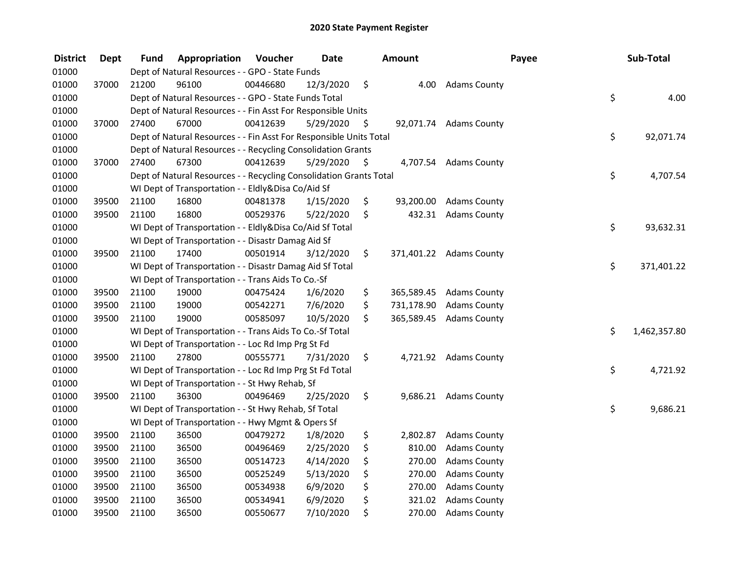| <b>District</b> | <b>Dept</b> | Fund  | Appropriation                                                      | Voucher  | <b>Date</b> |     | Amount     |                         | Payee | Sub-Total    |
|-----------------|-------------|-------|--------------------------------------------------------------------|----------|-------------|-----|------------|-------------------------|-------|--------------|
| 01000           |             |       | Dept of Natural Resources - - GPO - State Funds                    |          |             |     |            |                         |       |              |
| 01000           | 37000       | 21200 | 96100                                                              | 00446680 | 12/3/2020   | \$  | 4.00       | <b>Adams County</b>     |       |              |
| 01000           |             |       | Dept of Natural Resources - - GPO - State Funds Total              |          |             |     |            |                         | \$    | 4.00         |
| 01000           |             |       | Dept of Natural Resources - - Fin Asst For Responsible Units       |          |             |     |            |                         |       |              |
| 01000           | 37000       | 27400 | 67000                                                              | 00412639 | 5/29/2020   | \$. |            | 92,071.74 Adams County  |       |              |
| 01000           |             |       | Dept of Natural Resources - - Fin Asst For Responsible Units Total |          |             |     |            |                         | \$    | 92,071.74    |
| 01000           |             |       | Dept of Natural Resources - - Recycling Consolidation Grants       |          |             |     |            |                         |       |              |
| 01000           | 37000       | 27400 | 67300                                                              | 00412639 | 5/29/2020   | \$  |            | 4,707.54 Adams County   |       |              |
| 01000           |             |       | Dept of Natural Resources - - Recycling Consolidation Grants Total |          |             |     |            |                         | \$    | 4,707.54     |
| 01000           |             |       | WI Dept of Transportation - - Eldly&Disa Co/Aid Sf                 |          |             |     |            |                         |       |              |
| 01000           | 39500       | 21100 | 16800                                                              | 00481378 | 1/15/2020   | \$  | 93,200.00  | <b>Adams County</b>     |       |              |
| 01000           | 39500       | 21100 | 16800                                                              | 00529376 | 5/22/2020   | \$  | 432.31     | <b>Adams County</b>     |       |              |
| 01000           |             |       | WI Dept of Transportation - - Eldly&Disa Co/Aid Sf Total           |          |             |     |            |                         | \$    | 93,632.31    |
| 01000           |             |       | WI Dept of Transportation - - Disastr Damag Aid Sf                 |          |             |     |            |                         |       |              |
| 01000           | 39500       | 21100 | 17400                                                              | 00501914 | 3/12/2020   | \$. |            | 371,401.22 Adams County |       |              |
| 01000           |             |       | WI Dept of Transportation - - Disastr Damag Aid Sf Total           |          |             |     |            |                         | \$    | 371,401.22   |
| 01000           |             |       | WI Dept of Transportation - - Trans Aids To Co.-Sf                 |          |             |     |            |                         |       |              |
| 01000           | 39500       | 21100 | 19000                                                              | 00475424 | 1/6/2020    | \$  | 365,589.45 | <b>Adams County</b>     |       |              |
| 01000           | 39500       | 21100 | 19000                                                              | 00542271 | 7/6/2020    | \$  | 731,178.90 | <b>Adams County</b>     |       |              |
| 01000           | 39500       | 21100 | 19000                                                              | 00585097 | 10/5/2020   | \$  | 365,589.45 | <b>Adams County</b>     |       |              |
| 01000           |             |       | WI Dept of Transportation - - Trans Aids To Co.-Sf Total           |          |             |     |            |                         | \$    | 1,462,357.80 |
| 01000           |             |       | WI Dept of Transportation - - Loc Rd Imp Prg St Fd                 |          |             |     |            |                         |       |              |
| 01000           | 39500       | 21100 | 27800                                                              | 00555771 | 7/31/2020   | \$  |            | 4,721.92 Adams County   |       |              |
| 01000           |             |       | WI Dept of Transportation - - Loc Rd Imp Prg St Fd Total           |          |             |     |            |                         | \$    | 4,721.92     |
| 01000           |             |       | WI Dept of Transportation - - St Hwy Rehab, Sf                     |          |             |     |            |                         |       |              |
| 01000           | 39500       | 21100 | 36300                                                              | 00496469 | 2/25/2020   | \$  |            | 9,686.21 Adams County   |       |              |
| 01000           |             |       | WI Dept of Transportation - - St Hwy Rehab, Sf Total               |          |             |     |            |                         | \$    | 9,686.21     |
| 01000           |             |       | WI Dept of Transportation - - Hwy Mgmt & Opers Sf                  |          |             |     |            |                         |       |              |
| 01000           | 39500       | 21100 | 36500                                                              | 00479272 | 1/8/2020    | \$  | 2,802.87   | <b>Adams County</b>     |       |              |
| 01000           | 39500       | 21100 | 36500                                                              | 00496469 | 2/25/2020   | \$  | 810.00     | <b>Adams County</b>     |       |              |
| 01000           | 39500       | 21100 | 36500                                                              | 00514723 | 4/14/2020   | \$  | 270.00     | <b>Adams County</b>     |       |              |
| 01000           | 39500       | 21100 | 36500                                                              | 00525249 | 5/13/2020   | \$  | 270.00     | <b>Adams County</b>     |       |              |
| 01000           | 39500       | 21100 | 36500                                                              | 00534938 | 6/9/2020    | \$  | 270.00     | <b>Adams County</b>     |       |              |
| 01000           | 39500       | 21100 | 36500                                                              | 00534941 | 6/9/2020    | \$  | 321.02     | <b>Adams County</b>     |       |              |
| 01000           | 39500       | 21100 | 36500                                                              | 00550677 | 7/10/2020   | \$  | 270.00     | <b>Adams County</b>     |       |              |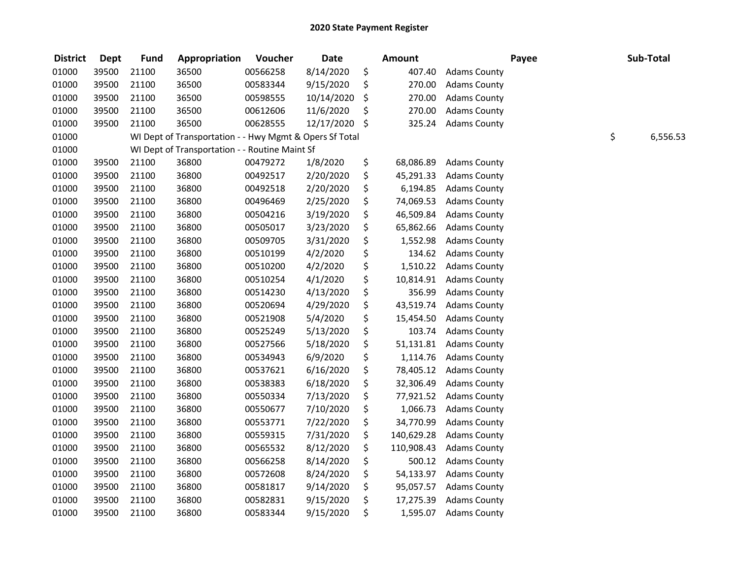| <b>District</b> | <b>Dept</b> | <b>Fund</b> | Appropriation                                           | Voucher  | <b>Date</b> | <b>Amount</b>    |                     | Payee | Sub-Total      |
|-----------------|-------------|-------------|---------------------------------------------------------|----------|-------------|------------------|---------------------|-------|----------------|
| 01000           | 39500       | 21100       | 36500                                                   | 00566258 | 8/14/2020   | \$<br>407.40     | <b>Adams County</b> |       |                |
| 01000           | 39500       | 21100       | 36500                                                   | 00583344 | 9/15/2020   | \$<br>270.00     | <b>Adams County</b> |       |                |
| 01000           | 39500       | 21100       | 36500                                                   | 00598555 | 10/14/2020  | \$<br>270.00     | <b>Adams County</b> |       |                |
| 01000           | 39500       | 21100       | 36500                                                   | 00612606 | 11/6/2020   | \$<br>270.00     | <b>Adams County</b> |       |                |
| 01000           | 39500       | 21100       | 36500                                                   | 00628555 | 12/17/2020  | \$<br>325.24     | <b>Adams County</b> |       |                |
| 01000           |             |             | WI Dept of Transportation - - Hwy Mgmt & Opers Sf Total |          |             |                  |                     |       | \$<br>6,556.53 |
| 01000           |             |             | WI Dept of Transportation - - Routine Maint Sf          |          |             |                  |                     |       |                |
| 01000           | 39500       | 21100       | 36800                                                   | 00479272 | 1/8/2020    | \$<br>68,086.89  | <b>Adams County</b> |       |                |
| 01000           | 39500       | 21100       | 36800                                                   | 00492517 | 2/20/2020   | \$<br>45,291.33  | <b>Adams County</b> |       |                |
| 01000           | 39500       | 21100       | 36800                                                   | 00492518 | 2/20/2020   | \$<br>6,194.85   | <b>Adams County</b> |       |                |
| 01000           | 39500       | 21100       | 36800                                                   | 00496469 | 2/25/2020   | \$<br>74,069.53  | <b>Adams County</b> |       |                |
| 01000           | 39500       | 21100       | 36800                                                   | 00504216 | 3/19/2020   | \$<br>46,509.84  | <b>Adams County</b> |       |                |
| 01000           | 39500       | 21100       | 36800                                                   | 00505017 | 3/23/2020   | \$<br>65,862.66  | <b>Adams County</b> |       |                |
| 01000           | 39500       | 21100       | 36800                                                   | 00509705 | 3/31/2020   | \$<br>1,552.98   | <b>Adams County</b> |       |                |
| 01000           | 39500       | 21100       | 36800                                                   | 00510199 | 4/2/2020    | \$<br>134.62     | <b>Adams County</b> |       |                |
| 01000           | 39500       | 21100       | 36800                                                   | 00510200 | 4/2/2020    | \$<br>1,510.22   | <b>Adams County</b> |       |                |
| 01000           | 39500       | 21100       | 36800                                                   | 00510254 | 4/1/2020    | \$<br>10,814.91  | <b>Adams County</b> |       |                |
| 01000           | 39500       | 21100       | 36800                                                   | 00514230 | 4/13/2020   | \$<br>356.99     | <b>Adams County</b> |       |                |
| 01000           | 39500       | 21100       | 36800                                                   | 00520694 | 4/29/2020   | \$<br>43,519.74  | <b>Adams County</b> |       |                |
| 01000           | 39500       | 21100       | 36800                                                   | 00521908 | 5/4/2020    | \$<br>15,454.50  | <b>Adams County</b> |       |                |
| 01000           | 39500       | 21100       | 36800                                                   | 00525249 | 5/13/2020   | \$<br>103.74     | <b>Adams County</b> |       |                |
| 01000           | 39500       | 21100       | 36800                                                   | 00527566 | 5/18/2020   | \$<br>51,131.81  | <b>Adams County</b> |       |                |
| 01000           | 39500       | 21100       | 36800                                                   | 00534943 | 6/9/2020    | \$<br>1,114.76   | <b>Adams County</b> |       |                |
| 01000           | 39500       | 21100       | 36800                                                   | 00537621 | 6/16/2020   | \$<br>78,405.12  | <b>Adams County</b> |       |                |
| 01000           | 39500       | 21100       | 36800                                                   | 00538383 | 6/18/2020   | \$<br>32,306.49  | <b>Adams County</b> |       |                |
| 01000           | 39500       | 21100       | 36800                                                   | 00550334 | 7/13/2020   | \$<br>77,921.52  | <b>Adams County</b> |       |                |
| 01000           | 39500       | 21100       | 36800                                                   | 00550677 | 7/10/2020   | \$<br>1,066.73   | <b>Adams County</b> |       |                |
| 01000           | 39500       | 21100       | 36800                                                   | 00553771 | 7/22/2020   | \$<br>34,770.99  | <b>Adams County</b> |       |                |
| 01000           | 39500       | 21100       | 36800                                                   | 00559315 | 7/31/2020   | \$<br>140,629.28 | <b>Adams County</b> |       |                |
| 01000           | 39500       | 21100       | 36800                                                   | 00565532 | 8/12/2020   | \$<br>110,908.43 | <b>Adams County</b> |       |                |
| 01000           | 39500       | 21100       | 36800                                                   | 00566258 | 8/14/2020   | \$<br>500.12     | <b>Adams County</b> |       |                |
| 01000           | 39500       | 21100       | 36800                                                   | 00572608 | 8/24/2020   | \$<br>54,133.97  | <b>Adams County</b> |       |                |
| 01000           | 39500       | 21100       | 36800                                                   | 00581817 | 9/14/2020   | \$<br>95,057.57  | <b>Adams County</b> |       |                |
| 01000           | 39500       | 21100       | 36800                                                   | 00582831 | 9/15/2020   | \$<br>17,275.39  | <b>Adams County</b> |       |                |
| 01000           | 39500       | 21100       | 36800                                                   | 00583344 | 9/15/2020   | \$<br>1,595.07   | <b>Adams County</b> |       |                |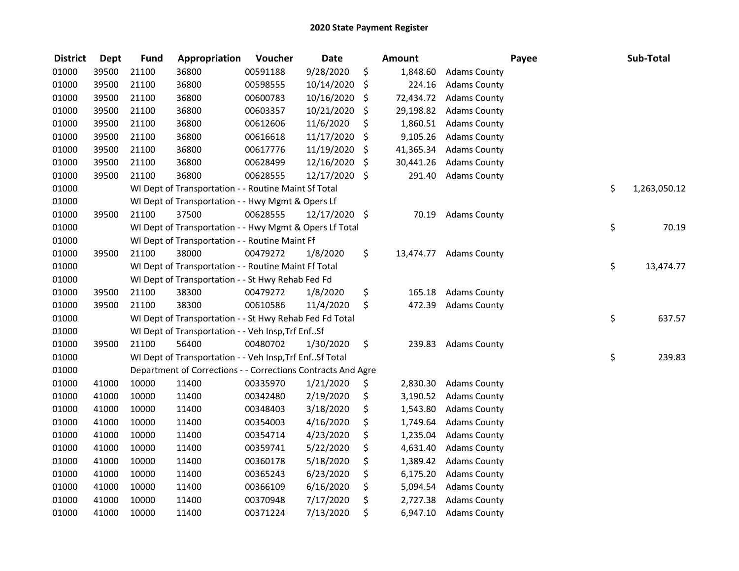| <b>District</b> | <b>Dept</b> | <b>Fund</b> | Appropriation                                                | Voucher  | <b>Date</b>   | <b>Amount</b>   |                     | Payee | Sub-Total    |
|-----------------|-------------|-------------|--------------------------------------------------------------|----------|---------------|-----------------|---------------------|-------|--------------|
| 01000           | 39500       | 21100       | 36800                                                        | 00591188 | 9/28/2020     | \$<br>1,848.60  | <b>Adams County</b> |       |              |
| 01000           | 39500       | 21100       | 36800                                                        | 00598555 | 10/14/2020    | \$<br>224.16    | <b>Adams County</b> |       |              |
| 01000           | 39500       | 21100       | 36800                                                        | 00600783 | 10/16/2020    | \$<br>72,434.72 | <b>Adams County</b> |       |              |
| 01000           | 39500       | 21100       | 36800                                                        | 00603357 | 10/21/2020    | \$<br>29,198.82 | <b>Adams County</b> |       |              |
| 01000           | 39500       | 21100       | 36800                                                        | 00612606 | 11/6/2020     | \$<br>1,860.51  | <b>Adams County</b> |       |              |
| 01000           | 39500       | 21100       | 36800                                                        | 00616618 | 11/17/2020    | \$<br>9,105.26  | <b>Adams County</b> |       |              |
| 01000           | 39500       | 21100       | 36800                                                        | 00617776 | 11/19/2020    | \$<br>41,365.34 | <b>Adams County</b> |       |              |
| 01000           | 39500       | 21100       | 36800                                                        | 00628499 | 12/16/2020    | \$<br>30,441.26 | <b>Adams County</b> |       |              |
| 01000           | 39500       | 21100       | 36800                                                        | 00628555 | 12/17/2020 \$ | 291.40          | <b>Adams County</b> |       |              |
| 01000           |             |             | WI Dept of Transportation - - Routine Maint Sf Total         |          |               |                 |                     | \$    | 1,263,050.12 |
| 01000           |             |             | WI Dept of Transportation - - Hwy Mgmt & Opers Lf            |          |               |                 |                     |       |              |
| 01000           | 39500       | 21100       | 37500                                                        | 00628555 | 12/17/2020 \$ | 70.19           | <b>Adams County</b> |       |              |
| 01000           |             |             | WI Dept of Transportation - - Hwy Mgmt & Opers Lf Total      |          |               |                 |                     | \$    | 70.19        |
| 01000           |             |             | WI Dept of Transportation - - Routine Maint Ff               |          |               |                 |                     |       |              |
| 01000           | 39500       | 21100       | 38000                                                        | 00479272 | 1/8/2020      | \$<br>13,474.77 | <b>Adams County</b> |       |              |
| 01000           |             |             | WI Dept of Transportation - - Routine Maint Ff Total         |          |               |                 |                     | \$    | 13,474.77    |
| 01000           |             |             | WI Dept of Transportation - - St Hwy Rehab Fed Fd            |          |               |                 |                     |       |              |
| 01000           | 39500       | 21100       | 38300                                                        | 00479272 | 1/8/2020      | \$<br>165.18    | <b>Adams County</b> |       |              |
| 01000           | 39500       | 21100       | 38300                                                        | 00610586 | 11/4/2020     | \$<br>472.39    | <b>Adams County</b> |       |              |
| 01000           |             |             | WI Dept of Transportation - - St Hwy Rehab Fed Fd Total      |          |               |                 |                     | \$    | 637.57       |
| 01000           |             |             | WI Dept of Transportation - - Veh Insp, Trf EnfSf            |          |               |                 |                     |       |              |
| 01000           | 39500       | 21100       | 56400                                                        | 00480702 | 1/30/2020     | \$<br>239.83    | <b>Adams County</b> |       |              |
| 01000           |             |             | WI Dept of Transportation - - Veh Insp, Trf Enf Sf Total     |          |               |                 |                     | \$    | 239.83       |
| 01000           |             |             | Department of Corrections - - Corrections Contracts And Agre |          |               |                 |                     |       |              |
| 01000           | 41000       | 10000       | 11400                                                        | 00335970 | 1/21/2020     | \$<br>2,830.30  | <b>Adams County</b> |       |              |
| 01000           | 41000       | 10000       | 11400                                                        | 00342480 | 2/19/2020     | \$<br>3,190.52  | <b>Adams County</b> |       |              |
| 01000           | 41000       | 10000       | 11400                                                        | 00348403 | 3/18/2020     | \$<br>1,543.80  | <b>Adams County</b> |       |              |
| 01000           | 41000       | 10000       | 11400                                                        | 00354003 | 4/16/2020     | \$<br>1,749.64  | <b>Adams County</b> |       |              |
| 01000           | 41000       | 10000       | 11400                                                        | 00354714 | 4/23/2020     | \$<br>1,235.04  | <b>Adams County</b> |       |              |
| 01000           | 41000       | 10000       | 11400                                                        | 00359741 | 5/22/2020     | \$<br>4,631.40  | <b>Adams County</b> |       |              |
| 01000           | 41000       | 10000       | 11400                                                        | 00360178 | 5/18/2020     | \$<br>1,389.42  | <b>Adams County</b> |       |              |
| 01000           | 41000       | 10000       | 11400                                                        | 00365243 | 6/23/2020     | \$<br>6,175.20  | <b>Adams County</b> |       |              |
| 01000           | 41000       | 10000       | 11400                                                        | 00366109 | 6/16/2020     | \$<br>5,094.54  | <b>Adams County</b> |       |              |
| 01000           | 41000       | 10000       | 11400                                                        | 00370948 | 7/17/2020     | \$<br>2,727.38  | <b>Adams County</b> |       |              |
| 01000           | 41000       | 10000       | 11400                                                        | 00371224 | 7/13/2020     | \$<br>6,947.10  | <b>Adams County</b> |       |              |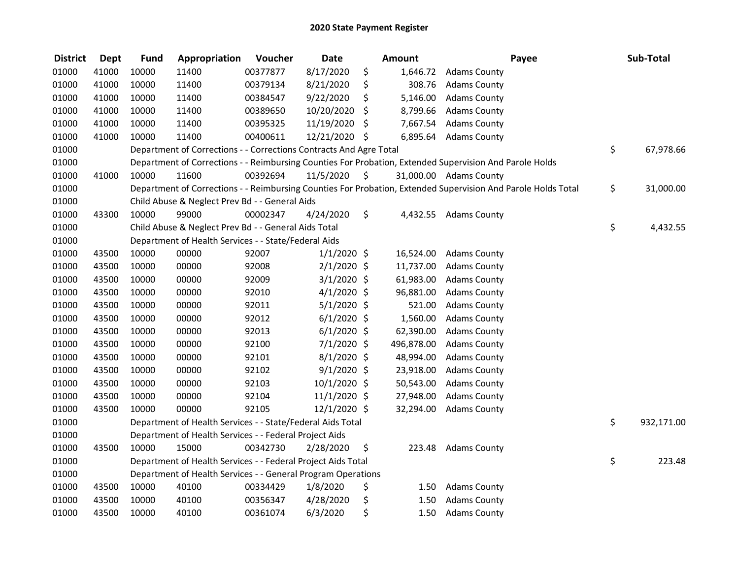| <b>District</b> | <b>Dept</b> | <b>Fund</b> | Appropriation                                                      | Voucher  | <b>Date</b>    |                     | <b>Amount</b> | Payee                                                                                                         | Sub-Total        |
|-----------------|-------------|-------------|--------------------------------------------------------------------|----------|----------------|---------------------|---------------|---------------------------------------------------------------------------------------------------------------|------------------|
| 01000           | 41000       | 10000       | 11400                                                              | 00377877 | 8/17/2020      | \$                  | 1,646.72      | <b>Adams County</b>                                                                                           |                  |
| 01000           | 41000       | 10000       | 11400                                                              | 00379134 | 8/21/2020      | \$                  | 308.76        | <b>Adams County</b>                                                                                           |                  |
| 01000           | 41000       | 10000       | 11400                                                              | 00384547 | 9/22/2020      | \$                  | 5,146.00      | <b>Adams County</b>                                                                                           |                  |
| 01000           | 41000       | 10000       | 11400                                                              | 00389650 | 10/20/2020     | \$                  | 8,799.66      | <b>Adams County</b>                                                                                           |                  |
| 01000           | 41000       | 10000       | 11400                                                              | 00395325 | 11/19/2020     | \$                  | 7,667.54      | <b>Adams County</b>                                                                                           |                  |
| 01000           | 41000       | 10000       | 11400                                                              | 00400611 | 12/21/2020     | -\$                 | 6,895.64      | <b>Adams County</b>                                                                                           |                  |
| 01000           |             |             | Department of Corrections - - Corrections Contracts And Agre Total |          |                |                     |               |                                                                                                               | \$<br>67,978.66  |
| 01000           |             |             |                                                                    |          |                |                     |               | Department of Corrections - - Reimbursing Counties For Probation, Extended Supervision And Parole Holds       |                  |
| 01000           | 41000       | 10000       | 11600                                                              | 00392694 | 11/5/2020      | $\ddot{\mathsf{S}}$ |               | 31,000.00 Adams County                                                                                        |                  |
| 01000           |             |             |                                                                    |          |                |                     |               | Department of Corrections - - Reimbursing Counties For Probation, Extended Supervision And Parole Holds Total | \$<br>31,000.00  |
| 01000           |             |             | Child Abuse & Neglect Prev Bd - - General Aids                     |          |                |                     |               |                                                                                                               |                  |
| 01000           | 43300       | 10000       | 99000                                                              | 00002347 | 4/24/2020      | \$                  | 4,432.55      | <b>Adams County</b>                                                                                           |                  |
| 01000           |             |             | Child Abuse & Neglect Prev Bd - - General Aids Total               |          |                |                     |               |                                                                                                               | \$<br>4,432.55   |
| 01000           |             |             | Department of Health Services - - State/Federal Aids               |          |                |                     |               |                                                                                                               |                  |
| 01000           | 43500       | 10000       | 00000                                                              | 92007    | $1/1/2020$ \$  |                     | 16,524.00     | <b>Adams County</b>                                                                                           |                  |
| 01000           | 43500       | 10000       | 00000                                                              | 92008    | 2/1/2020 \$    |                     | 11,737.00     | <b>Adams County</b>                                                                                           |                  |
| 01000           | 43500       | 10000       | 00000                                                              | 92009    | $3/1/2020$ \$  |                     | 61,983.00     | <b>Adams County</b>                                                                                           |                  |
| 01000           | 43500       | 10000       | 00000                                                              | 92010    | $4/1/2020$ \$  |                     | 96,881.00     | <b>Adams County</b>                                                                                           |                  |
| 01000           | 43500       | 10000       | 00000                                                              | 92011    | $5/1/2020$ \$  |                     | 521.00        | <b>Adams County</b>                                                                                           |                  |
| 01000           | 43500       | 10000       | 00000                                                              | 92012    | $6/1/2020$ \$  |                     | 1,560.00      | <b>Adams County</b>                                                                                           |                  |
| 01000           | 43500       | 10000       | 00000                                                              | 92013    | $6/1/2020$ \$  |                     | 62,390.00     | <b>Adams County</b>                                                                                           |                  |
| 01000           | 43500       | 10000       | 00000                                                              | 92100    | 7/1/2020 \$    |                     | 496,878.00    | <b>Adams County</b>                                                                                           |                  |
| 01000           | 43500       | 10000       | 00000                                                              | 92101    | 8/1/2020 \$    |                     | 48,994.00     | <b>Adams County</b>                                                                                           |                  |
| 01000           | 43500       | 10000       | 00000                                                              | 92102    | $9/1/2020$ \$  |                     | 23,918.00     | <b>Adams County</b>                                                                                           |                  |
| 01000           | 43500       | 10000       | 00000                                                              | 92103    | 10/1/2020 \$   |                     | 50,543.00     | <b>Adams County</b>                                                                                           |                  |
| 01000           | 43500       | 10000       | 00000                                                              | 92104    | $11/1/2020$ \$ |                     | 27,948.00     | <b>Adams County</b>                                                                                           |                  |
| 01000           | 43500       | 10000       | 00000                                                              | 92105    | 12/1/2020 \$   |                     | 32,294.00     | <b>Adams County</b>                                                                                           |                  |
| 01000           |             |             | Department of Health Services - - State/Federal Aids Total         |          |                |                     |               |                                                                                                               | \$<br>932,171.00 |
| 01000           |             |             | Department of Health Services - - Federal Project Aids             |          |                |                     |               |                                                                                                               |                  |
| 01000           | 43500       | 10000       | 15000                                                              | 00342730 | 2/28/2020      | \$                  | 223.48        | <b>Adams County</b>                                                                                           |                  |
| 01000           |             |             | Department of Health Services - - Federal Project Aids Total       |          |                |                     |               |                                                                                                               | \$<br>223.48     |
| 01000           |             |             | Department of Health Services - - General Program Operations       |          |                |                     |               |                                                                                                               |                  |
| 01000           | 43500       | 10000       | 40100                                                              | 00334429 | 1/8/2020       | \$                  | 1.50          | <b>Adams County</b>                                                                                           |                  |
| 01000           | 43500       | 10000       | 40100                                                              | 00356347 | 4/28/2020      | \$                  | 1.50          | <b>Adams County</b>                                                                                           |                  |
| 01000           | 43500       | 10000       | 40100                                                              | 00361074 | 6/3/2020       | \$                  | 1.50          | <b>Adams County</b>                                                                                           |                  |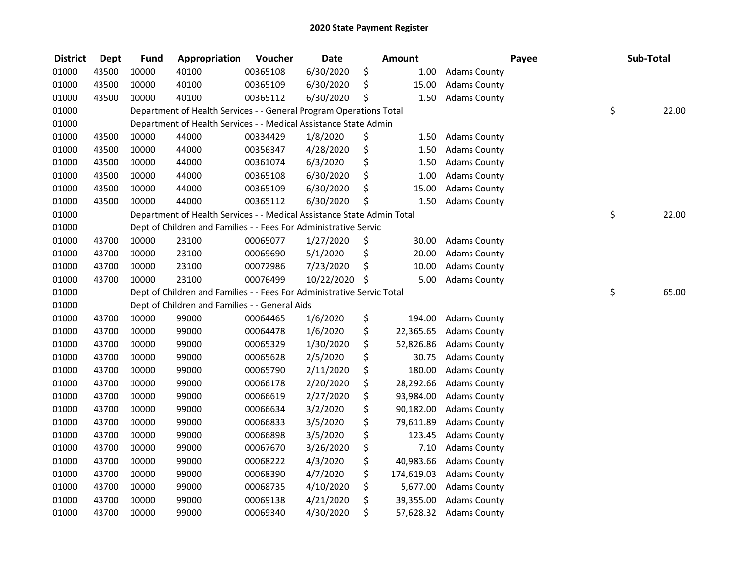| <b>District</b> | <b>Dept</b> | <b>Fund</b> | Appropriation                                                          | Voucher  | <b>Date</b> | Amount           |                     | Payee | Sub-Total   |
|-----------------|-------------|-------------|------------------------------------------------------------------------|----------|-------------|------------------|---------------------|-------|-------------|
| 01000           | 43500       | 10000       | 40100                                                                  | 00365108 | 6/30/2020   | \$<br>1.00       | <b>Adams County</b> |       |             |
| 01000           | 43500       | 10000       | 40100                                                                  | 00365109 | 6/30/2020   | \$<br>15.00      | <b>Adams County</b> |       |             |
| 01000           | 43500       | 10000       | 40100                                                                  | 00365112 | 6/30/2020   | \$<br>1.50       | <b>Adams County</b> |       |             |
| 01000           |             |             | Department of Health Services - - General Program Operations Total     |          |             |                  |                     |       | \$<br>22.00 |
| 01000           |             |             | Department of Health Services - - Medical Assistance State Admin       |          |             |                  |                     |       |             |
| 01000           | 43500       | 10000       | 44000                                                                  | 00334429 | 1/8/2020    | \$<br>1.50       | <b>Adams County</b> |       |             |
| 01000           | 43500       | 10000       | 44000                                                                  | 00356347 | 4/28/2020   | \$<br>1.50       | <b>Adams County</b> |       |             |
| 01000           | 43500       | 10000       | 44000                                                                  | 00361074 | 6/3/2020    | \$<br>1.50       | <b>Adams County</b> |       |             |
| 01000           | 43500       | 10000       | 44000                                                                  | 00365108 | 6/30/2020   | \$<br>1.00       | <b>Adams County</b> |       |             |
| 01000           | 43500       | 10000       | 44000                                                                  | 00365109 | 6/30/2020   | \$<br>15.00      | <b>Adams County</b> |       |             |
| 01000           | 43500       | 10000       | 44000                                                                  | 00365112 | 6/30/2020   | \$<br>1.50       | <b>Adams County</b> |       |             |
| 01000           |             |             | Department of Health Services - - Medical Assistance State Admin Total |          |             |                  |                     |       | \$<br>22.00 |
| 01000           |             |             | Dept of Children and Families - - Fees For Administrative Servic       |          |             |                  |                     |       |             |
| 01000           | 43700       | 10000       | 23100                                                                  | 00065077 | 1/27/2020   | \$<br>30.00      | <b>Adams County</b> |       |             |
| 01000           | 43700       | 10000       | 23100                                                                  | 00069690 | 5/1/2020    | \$<br>20.00      | <b>Adams County</b> |       |             |
| 01000           | 43700       | 10000       | 23100                                                                  | 00072986 | 7/23/2020   | \$<br>10.00      | <b>Adams County</b> |       |             |
| 01000           | 43700       | 10000       | 23100                                                                  | 00076499 | 10/22/2020  | \$<br>5.00       | <b>Adams County</b> |       |             |
| 01000           |             |             | Dept of Children and Families - - Fees For Administrative Servic Total |          |             |                  |                     |       | \$<br>65.00 |
| 01000           |             |             | Dept of Children and Families - - General Aids                         |          |             |                  |                     |       |             |
| 01000           | 43700       | 10000       | 99000                                                                  | 00064465 | 1/6/2020    | \$<br>194.00     | <b>Adams County</b> |       |             |
| 01000           | 43700       | 10000       | 99000                                                                  | 00064478 | 1/6/2020    | \$<br>22,365.65  | <b>Adams County</b> |       |             |
| 01000           | 43700       | 10000       | 99000                                                                  | 00065329 | 1/30/2020   | \$<br>52,826.86  | <b>Adams County</b> |       |             |
| 01000           | 43700       | 10000       | 99000                                                                  | 00065628 | 2/5/2020    | \$<br>30.75      | <b>Adams County</b> |       |             |
| 01000           | 43700       | 10000       | 99000                                                                  | 00065790 | 2/11/2020   | \$<br>180.00     | <b>Adams County</b> |       |             |
| 01000           | 43700       | 10000       | 99000                                                                  | 00066178 | 2/20/2020   | \$<br>28,292.66  | <b>Adams County</b> |       |             |
| 01000           | 43700       | 10000       | 99000                                                                  | 00066619 | 2/27/2020   | \$<br>93,984.00  | <b>Adams County</b> |       |             |
| 01000           | 43700       | 10000       | 99000                                                                  | 00066634 | 3/2/2020    | \$<br>90,182.00  | <b>Adams County</b> |       |             |
| 01000           | 43700       | 10000       | 99000                                                                  | 00066833 | 3/5/2020    | \$<br>79,611.89  | <b>Adams County</b> |       |             |
| 01000           | 43700       | 10000       | 99000                                                                  | 00066898 | 3/5/2020    | \$<br>123.45     | <b>Adams County</b> |       |             |
| 01000           | 43700       | 10000       | 99000                                                                  | 00067670 | 3/26/2020   | \$<br>7.10       | <b>Adams County</b> |       |             |
| 01000           | 43700       | 10000       | 99000                                                                  | 00068222 | 4/3/2020    | \$<br>40,983.66  | <b>Adams County</b> |       |             |
| 01000           | 43700       | 10000       | 99000                                                                  | 00068390 | 4/7/2020    | \$<br>174,619.03 | <b>Adams County</b> |       |             |
| 01000           | 43700       | 10000       | 99000                                                                  | 00068735 | 4/10/2020   | \$<br>5,677.00   | <b>Adams County</b> |       |             |
| 01000           | 43700       | 10000       | 99000                                                                  | 00069138 | 4/21/2020   | \$<br>39,355.00  | <b>Adams County</b> |       |             |
| 01000           | 43700       | 10000       | 99000                                                                  | 00069340 | 4/30/2020   | \$<br>57,628.32  | <b>Adams County</b> |       |             |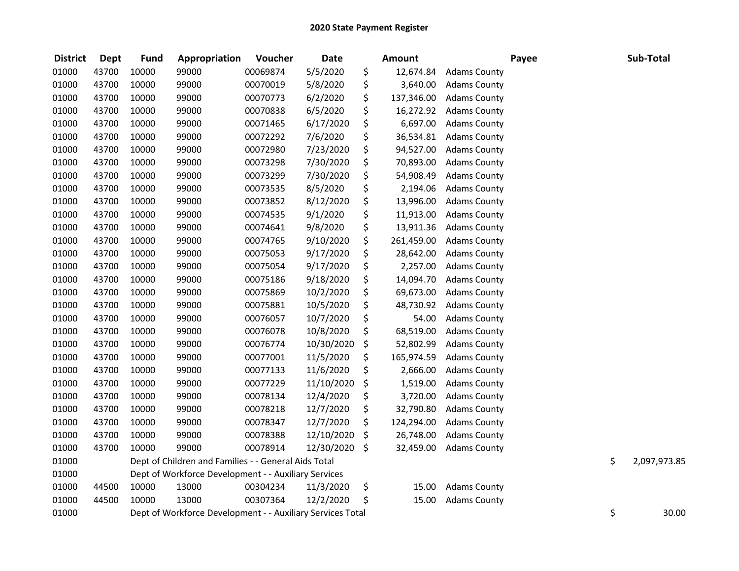| <b>District</b> | <b>Dept</b> | <b>Fund</b> | Appropriation                                              | Voucher  | <b>Date</b> | Amount           |                     | Payee | Sub-Total          |
|-----------------|-------------|-------------|------------------------------------------------------------|----------|-------------|------------------|---------------------|-------|--------------------|
| 01000           | 43700       | 10000       | 99000                                                      | 00069874 | 5/5/2020    | \$<br>12,674.84  | <b>Adams County</b> |       |                    |
| 01000           | 43700       | 10000       | 99000                                                      | 00070019 | 5/8/2020    | \$<br>3,640.00   | <b>Adams County</b> |       |                    |
| 01000           | 43700       | 10000       | 99000                                                      | 00070773 | 6/2/2020    | \$<br>137,346.00 | <b>Adams County</b> |       |                    |
| 01000           | 43700       | 10000       | 99000                                                      | 00070838 | 6/5/2020    | \$<br>16,272.92  | <b>Adams County</b> |       |                    |
| 01000           | 43700       | 10000       | 99000                                                      | 00071465 | 6/17/2020   | \$<br>6,697.00   | <b>Adams County</b> |       |                    |
| 01000           | 43700       | 10000       | 99000                                                      | 00072292 | 7/6/2020    | \$<br>36,534.81  | <b>Adams County</b> |       |                    |
| 01000           | 43700       | 10000       | 99000                                                      | 00072980 | 7/23/2020   | \$<br>94,527.00  | <b>Adams County</b> |       |                    |
| 01000           | 43700       | 10000       | 99000                                                      | 00073298 | 7/30/2020   | \$<br>70,893.00  | <b>Adams County</b> |       |                    |
| 01000           | 43700       | 10000       | 99000                                                      | 00073299 | 7/30/2020   | \$<br>54,908.49  | <b>Adams County</b> |       |                    |
| 01000           | 43700       | 10000       | 99000                                                      | 00073535 | 8/5/2020    | \$<br>2,194.06   | <b>Adams County</b> |       |                    |
| 01000           | 43700       | 10000       | 99000                                                      | 00073852 | 8/12/2020   | \$<br>13,996.00  | <b>Adams County</b> |       |                    |
| 01000           | 43700       | 10000       | 99000                                                      | 00074535 | 9/1/2020    | \$<br>11,913.00  | <b>Adams County</b> |       |                    |
| 01000           | 43700       | 10000       | 99000                                                      | 00074641 | 9/8/2020    | \$<br>13,911.36  | <b>Adams County</b> |       |                    |
| 01000           | 43700       | 10000       | 99000                                                      | 00074765 | 9/10/2020   | \$<br>261,459.00 | <b>Adams County</b> |       |                    |
| 01000           | 43700       | 10000       | 99000                                                      | 00075053 | 9/17/2020   | \$<br>28,642.00  | <b>Adams County</b> |       |                    |
| 01000           | 43700       | 10000       | 99000                                                      | 00075054 | 9/17/2020   | \$<br>2,257.00   | <b>Adams County</b> |       |                    |
| 01000           | 43700       | 10000       | 99000                                                      | 00075186 | 9/18/2020   | \$<br>14,094.70  | <b>Adams County</b> |       |                    |
| 01000           | 43700       | 10000       | 99000                                                      | 00075869 | 10/2/2020   | \$<br>69,673.00  | <b>Adams County</b> |       |                    |
| 01000           | 43700       | 10000       | 99000                                                      | 00075881 | 10/5/2020   | \$<br>48,730.92  | <b>Adams County</b> |       |                    |
| 01000           | 43700       | 10000       | 99000                                                      | 00076057 | 10/7/2020   | \$<br>54.00      | <b>Adams County</b> |       |                    |
| 01000           | 43700       | 10000       | 99000                                                      | 00076078 | 10/8/2020   | \$<br>68,519.00  | <b>Adams County</b> |       |                    |
| 01000           | 43700       | 10000       | 99000                                                      | 00076774 | 10/30/2020  | \$<br>52,802.99  | <b>Adams County</b> |       |                    |
| 01000           | 43700       | 10000       | 99000                                                      | 00077001 | 11/5/2020   | \$<br>165,974.59 | <b>Adams County</b> |       |                    |
| 01000           | 43700       | 10000       | 99000                                                      | 00077133 | 11/6/2020   | \$<br>2,666.00   | <b>Adams County</b> |       |                    |
| 01000           | 43700       | 10000       | 99000                                                      | 00077229 | 11/10/2020  | \$<br>1,519.00   | <b>Adams County</b> |       |                    |
| 01000           | 43700       | 10000       | 99000                                                      | 00078134 | 12/4/2020   | \$<br>3,720.00   | <b>Adams County</b> |       |                    |
| 01000           | 43700       | 10000       | 99000                                                      | 00078218 | 12/7/2020   | \$<br>32,790.80  | <b>Adams County</b> |       |                    |
| 01000           | 43700       | 10000       | 99000                                                      | 00078347 | 12/7/2020   | \$<br>124,294.00 | <b>Adams County</b> |       |                    |
| 01000           | 43700       | 10000       | 99000                                                      | 00078388 | 12/10/2020  | \$<br>26,748.00  | <b>Adams County</b> |       |                    |
| 01000           | 43700       | 10000       | 99000                                                      | 00078914 | 12/30/2020  | \$<br>32,459.00  | <b>Adams County</b> |       |                    |
| 01000           |             |             | Dept of Children and Families - - General Aids Total       |          |             |                  |                     |       | \$<br>2,097,973.85 |
| 01000           |             |             | Dept of Workforce Development - - Auxiliary Services       |          |             |                  |                     |       |                    |
| 01000           | 44500       | 10000       | 13000                                                      | 00304234 | 11/3/2020   | \$<br>15.00      | <b>Adams County</b> |       |                    |
| 01000           | 44500       | 10000       | 13000                                                      | 00307364 | 12/2/2020   | \$<br>15.00      | <b>Adams County</b> |       |                    |
| 01000           |             |             | Dept of Workforce Development - - Auxiliary Services Total |          |             |                  |                     |       | \$<br>30.00        |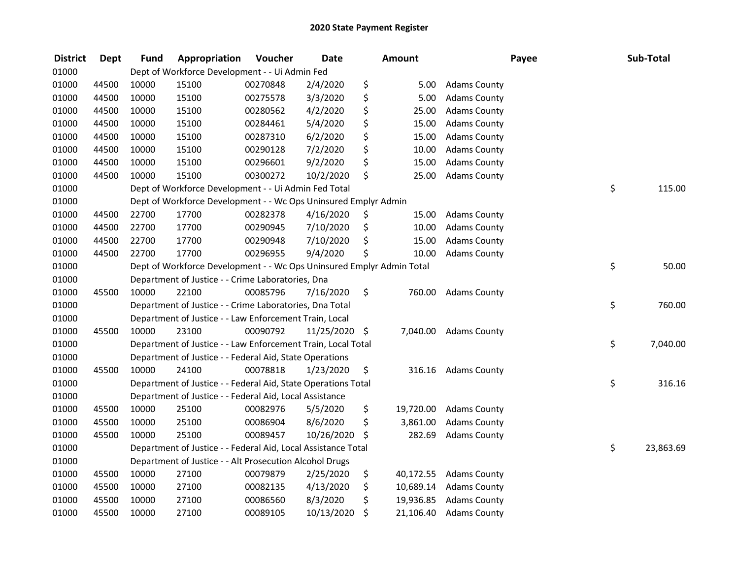| <b>District</b> | <b>Dept</b> | <b>Fund</b> | Appropriation                                                         | Voucher  | <b>Date</b>   |     | <b>Amount</b> |                     | Payee | Sub-Total       |
|-----------------|-------------|-------------|-----------------------------------------------------------------------|----------|---------------|-----|---------------|---------------------|-------|-----------------|
| 01000           |             |             | Dept of Workforce Development - - Ui Admin Fed                        |          |               |     |               |                     |       |                 |
| 01000           | 44500       | 10000       | 15100                                                                 | 00270848 | 2/4/2020      | \$  | 5.00          | <b>Adams County</b> |       |                 |
| 01000           | 44500       | 10000       | 15100                                                                 | 00275578 | 3/3/2020      | \$  | 5.00          | <b>Adams County</b> |       |                 |
| 01000           | 44500       | 10000       | 15100                                                                 | 00280562 | 4/2/2020      | \$  | 25.00         | <b>Adams County</b> |       |                 |
| 01000           | 44500       | 10000       | 15100                                                                 | 00284461 | 5/4/2020      | \$  | 15.00         | <b>Adams County</b> |       |                 |
| 01000           | 44500       | 10000       | 15100                                                                 | 00287310 | 6/2/2020      | \$  | 15.00         | <b>Adams County</b> |       |                 |
| 01000           | 44500       | 10000       | 15100                                                                 | 00290128 | 7/2/2020      | \$  | 10.00         | <b>Adams County</b> |       |                 |
| 01000           | 44500       | 10000       | 15100                                                                 | 00296601 | 9/2/2020      | \$  | 15.00         | <b>Adams County</b> |       |                 |
| 01000           | 44500       | 10000       | 15100                                                                 | 00300272 | 10/2/2020     | \$  | 25.00         | <b>Adams County</b> |       |                 |
| 01000           |             |             | Dept of Workforce Development - - Ui Admin Fed Total                  |          |               |     |               |                     | \$    | 115.00          |
| 01000           |             |             | Dept of Workforce Development - - Wc Ops Uninsured Emplyr Admin       |          |               |     |               |                     |       |                 |
| 01000           | 44500       | 22700       | 17700                                                                 | 00282378 | 4/16/2020     | \$. | 15.00         | <b>Adams County</b> |       |                 |
| 01000           | 44500       | 22700       | 17700                                                                 | 00290945 | 7/10/2020     | \$  | 10.00         | <b>Adams County</b> |       |                 |
| 01000           | 44500       | 22700       | 17700                                                                 | 00290948 | 7/10/2020     | \$  | 15.00         | <b>Adams County</b> |       |                 |
| 01000           | 44500       | 22700       | 17700                                                                 | 00296955 | 9/4/2020      | \$  | 10.00         | <b>Adams County</b> |       |                 |
| 01000           |             |             | Dept of Workforce Development - - Wc Ops Uninsured Emplyr Admin Total |          |               |     |               |                     | \$    | 50.00           |
| 01000           |             |             | Department of Justice - - Crime Laboratories, Dna                     |          |               |     |               |                     |       |                 |
| 01000           | 45500       | 10000       | 22100                                                                 | 00085796 | 7/16/2020     | \$  | 760.00        | <b>Adams County</b> |       |                 |
| 01000           |             |             | Department of Justice - - Crime Laboratories, Dna Total               |          |               |     |               |                     | \$    | 760.00          |
| 01000           |             |             | Department of Justice - - Law Enforcement Train, Local                |          |               |     |               |                     |       |                 |
| 01000           | 45500       | 10000       | 23100                                                                 | 00090792 | 11/25/2020 \$ |     | 7,040.00      | <b>Adams County</b> |       |                 |
| 01000           |             |             | Department of Justice - - Law Enforcement Train, Local Total          |          |               |     |               |                     |       | \$<br>7,040.00  |
| 01000           |             |             | Department of Justice - - Federal Aid, State Operations               |          |               |     |               |                     |       |                 |
| 01000           | 45500       | 10000       | 24100                                                                 | 00078818 | 1/23/2020     | \$  | 316.16        | <b>Adams County</b> |       |                 |
| 01000           |             |             | Department of Justice - - Federal Aid, State Operations Total         |          |               |     |               |                     | \$    | 316.16          |
| 01000           |             |             | Department of Justice - - Federal Aid, Local Assistance               |          |               |     |               |                     |       |                 |
| 01000           | 45500       | 10000       | 25100                                                                 | 00082976 | 5/5/2020      | \$  | 19,720.00     | <b>Adams County</b> |       |                 |
| 01000           | 45500       | 10000       | 25100                                                                 | 00086904 | 8/6/2020      | \$  | 3,861.00      | <b>Adams County</b> |       |                 |
| 01000           | 45500       | 10000       | 25100                                                                 | 00089457 | 10/26/2020    | \$  | 282.69        | <b>Adams County</b> |       |                 |
| 01000           |             |             | Department of Justice - - Federal Aid, Local Assistance Total         |          |               |     |               |                     |       | \$<br>23,863.69 |
| 01000           |             |             | Department of Justice - - Alt Prosecution Alcohol Drugs               |          |               |     |               |                     |       |                 |
| 01000           | 45500       | 10000       | 27100                                                                 | 00079879 | 2/25/2020     | \$  | 40,172.55     | <b>Adams County</b> |       |                 |
| 01000           | 45500       | 10000       | 27100                                                                 | 00082135 | 4/13/2020     | \$  | 10,689.14     | <b>Adams County</b> |       |                 |
| 01000           | 45500       | 10000       | 27100                                                                 | 00086560 | 8/3/2020      | \$  | 19,936.85     | <b>Adams County</b> |       |                 |
| 01000           | 45500       | 10000       | 27100                                                                 | 00089105 | 10/13/2020    | \$  | 21,106.40     | <b>Adams County</b> |       |                 |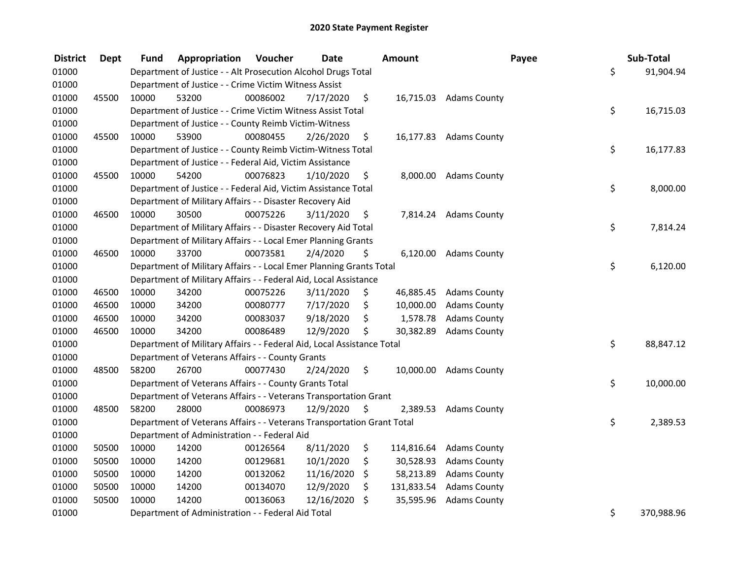| <b>District</b> | <b>Dept</b> | Fund  | Appropriation                                                          | Voucher  | <b>Date</b> | Amount           |                        | Payee | Sub-Total  |
|-----------------|-------------|-------|------------------------------------------------------------------------|----------|-------------|------------------|------------------------|-------|------------|
| 01000           |             |       | Department of Justice - - Alt Prosecution Alcohol Drugs Total          |          |             |                  |                        | \$    | 91,904.94  |
| 01000           |             |       | Department of Justice - - Crime Victim Witness Assist                  |          |             |                  |                        |       |            |
| 01000           | 45500       | 10000 | 53200                                                                  | 00086002 | 7/17/2020   | \$               | 16,715.03 Adams County |       |            |
| 01000           |             |       | Department of Justice - - Crime Victim Witness Assist Total            |          |             |                  |                        | \$    | 16,715.03  |
| 01000           |             |       | Department of Justice - - County Reimb Victim-Witness                  |          |             |                  |                        |       |            |
| 01000           | 45500       | 10000 | 53900                                                                  | 00080455 | 2/26/2020   | \$               | 16,177.83 Adams County |       |            |
| 01000           |             |       | Department of Justice - - County Reimb Victim-Witness Total            |          |             |                  |                        | \$    | 16,177.83  |
| 01000           |             |       | Department of Justice - - Federal Aid, Victim Assistance               |          |             |                  |                        |       |            |
| 01000           | 45500       | 10000 | 54200                                                                  | 00076823 | 1/10/2020   | \$               | 8,000.00 Adams County  |       |            |
| 01000           |             |       | Department of Justice - - Federal Aid, Victim Assistance Total         |          |             |                  |                        | \$    | 8,000.00   |
| 01000           |             |       | Department of Military Affairs - - Disaster Recovery Aid               |          |             |                  |                        |       |            |
| 01000           | 46500       | 10000 | 30500                                                                  | 00075226 | 3/11/2020   | \$<br>7,814.24   | <b>Adams County</b>    |       |            |
| 01000           |             |       | Department of Military Affairs - - Disaster Recovery Aid Total         |          |             |                  |                        | \$    | 7,814.24   |
| 01000           |             |       | Department of Military Affairs - - Local Emer Planning Grants          |          |             |                  |                        |       |            |
| 01000           | 46500       | 10000 | 33700                                                                  | 00073581 | 2/4/2020    | \$<br>6,120.00   | <b>Adams County</b>    |       |            |
| 01000           |             |       | Department of Military Affairs - - Local Emer Planning Grants Total    |          |             |                  |                        | \$    | 6,120.00   |
| 01000           |             |       | Department of Military Affairs - - Federal Aid, Local Assistance       |          |             |                  |                        |       |            |
| 01000           | 46500       | 10000 | 34200                                                                  | 00075226 | 3/11/2020   | \$<br>46,885.45  | <b>Adams County</b>    |       |            |
| 01000           | 46500       | 10000 | 34200                                                                  | 00080777 | 7/17/2020   | \$<br>10,000.00  | <b>Adams County</b>    |       |            |
| 01000           | 46500       | 10000 | 34200                                                                  | 00083037 | 9/18/2020   | \$<br>1,578.78   | <b>Adams County</b>    |       |            |
| 01000           | 46500       | 10000 | 34200                                                                  | 00086489 | 12/9/2020   | \$<br>30,382.89  | <b>Adams County</b>    |       |            |
| 01000           |             |       | Department of Military Affairs - - Federal Aid, Local Assistance Total |          |             |                  |                        | \$    | 88,847.12  |
| 01000           |             |       | Department of Veterans Affairs - - County Grants                       |          |             |                  |                        |       |            |
| 01000           | 48500       | 58200 | 26700                                                                  | 00077430 | 2/24/2020   | \$<br>10,000.00  | <b>Adams County</b>    |       |            |
| 01000           |             |       | Department of Veterans Affairs - - County Grants Total                 |          |             |                  |                        | \$    | 10,000.00  |
| 01000           |             |       | Department of Veterans Affairs - - Veterans Transportation Grant       |          |             |                  |                        |       |            |
| 01000           | 48500       | 58200 | 28000                                                                  | 00086973 | 12/9/2020   | \$<br>2,389.53   | <b>Adams County</b>    |       |            |
| 01000           |             |       | Department of Veterans Affairs - - Veterans Transportation Grant Total |          |             |                  |                        | \$    | 2,389.53   |
| 01000           |             |       | Department of Administration - - Federal Aid                           |          |             |                  |                        |       |            |
| 01000           | 50500       | 10000 | 14200                                                                  | 00126564 | 8/11/2020   | \$<br>114,816.64 | <b>Adams County</b>    |       |            |
| 01000           | 50500       | 10000 | 14200                                                                  | 00129681 | 10/1/2020   | \$<br>30,528.93  | <b>Adams County</b>    |       |            |
| 01000           | 50500       | 10000 | 14200                                                                  | 00132062 | 11/16/2020  | \$<br>58,213.89  | <b>Adams County</b>    |       |            |
| 01000           | 50500       | 10000 | 14200                                                                  | 00134070 | 12/9/2020   | \$<br>131,833.54 | <b>Adams County</b>    |       |            |
| 01000           | 50500       | 10000 | 14200                                                                  | 00136063 | 12/16/2020  | \$<br>35,595.96  | <b>Adams County</b>    |       |            |
| 01000           |             |       | Department of Administration - - Federal Aid Total                     |          |             |                  |                        | \$    | 370,988.96 |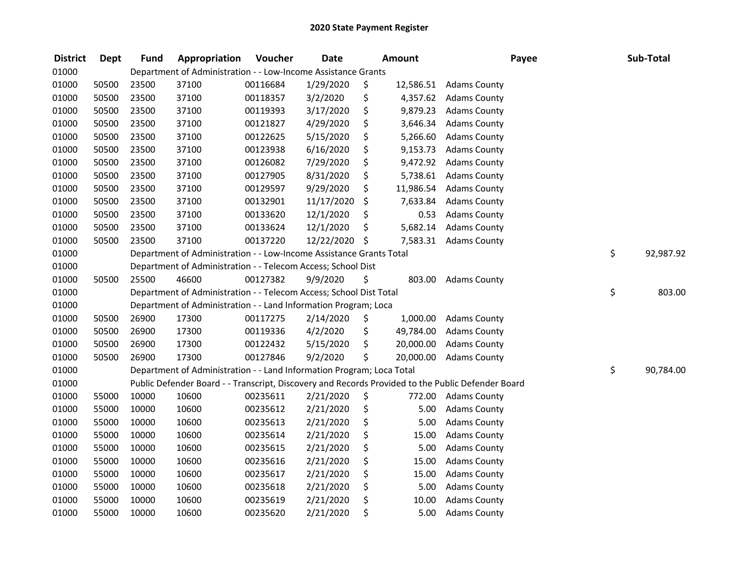| <b>District</b> | <b>Dept</b> | <b>Fund</b> | Appropriation                                                         | Voucher  | <b>Date</b> |     | <b>Amount</b> | Payee                                                                                             | Sub-Total       |
|-----------------|-------------|-------------|-----------------------------------------------------------------------|----------|-------------|-----|---------------|---------------------------------------------------------------------------------------------------|-----------------|
| 01000           |             |             | Department of Administration - - Low-Income Assistance Grants         |          |             |     |               |                                                                                                   |                 |
| 01000           | 50500       | 23500       | 37100                                                                 | 00116684 | 1/29/2020   | \$  | 12,586.51     | <b>Adams County</b>                                                                               |                 |
| 01000           | 50500       | 23500       | 37100                                                                 | 00118357 | 3/2/2020    | \$  | 4,357.62      | <b>Adams County</b>                                                                               |                 |
| 01000           | 50500       | 23500       | 37100                                                                 | 00119393 | 3/17/2020   | \$  | 9,879.23      | <b>Adams County</b>                                                                               |                 |
| 01000           | 50500       | 23500       | 37100                                                                 | 00121827 | 4/29/2020   | \$  | 3,646.34      | <b>Adams County</b>                                                                               |                 |
| 01000           | 50500       | 23500       | 37100                                                                 | 00122625 | 5/15/2020   | \$  | 5,266.60      | <b>Adams County</b>                                                                               |                 |
| 01000           | 50500       | 23500       | 37100                                                                 | 00123938 | 6/16/2020   | \$  | 9,153.73      | <b>Adams County</b>                                                                               |                 |
| 01000           | 50500       | 23500       | 37100                                                                 | 00126082 | 7/29/2020   | \$  | 9,472.92      | <b>Adams County</b>                                                                               |                 |
| 01000           | 50500       | 23500       | 37100                                                                 | 00127905 | 8/31/2020   | \$  | 5,738.61      | <b>Adams County</b>                                                                               |                 |
| 01000           | 50500       | 23500       | 37100                                                                 | 00129597 | 9/29/2020   | \$  | 11,986.54     | <b>Adams County</b>                                                                               |                 |
| 01000           | 50500       | 23500       | 37100                                                                 | 00132901 | 11/17/2020  | \$  | 7,633.84      | <b>Adams County</b>                                                                               |                 |
| 01000           | 50500       | 23500       | 37100                                                                 | 00133620 | 12/1/2020   | \$  | 0.53          | <b>Adams County</b>                                                                               |                 |
| 01000           | 50500       | 23500       | 37100                                                                 | 00133624 | 12/1/2020   | \$  | 5,682.14      | <b>Adams County</b>                                                                               |                 |
| 01000           | 50500       | 23500       | 37100                                                                 | 00137220 | 12/22/2020  | -\$ | 7,583.31      | <b>Adams County</b>                                                                               |                 |
| 01000           |             |             | Department of Administration - - Low-Income Assistance Grants Total   |          |             |     |               |                                                                                                   | \$<br>92,987.92 |
| 01000           |             |             | Department of Administration - - Telecom Access; School Dist          |          |             |     |               |                                                                                                   |                 |
| 01000           | 50500       | 25500       | 46600                                                                 | 00127382 | 9/9/2020    | \$  | 803.00        | <b>Adams County</b>                                                                               |                 |
| 01000           |             |             | Department of Administration - - Telecom Access; School Dist Total    |          |             |     |               |                                                                                                   | \$<br>803.00    |
| 01000           |             |             | Department of Administration - - Land Information Program; Loca       |          |             |     |               |                                                                                                   |                 |
| 01000           | 50500       | 26900       | 17300                                                                 | 00117275 | 2/14/2020   | \$  | 1,000.00      | <b>Adams County</b>                                                                               |                 |
| 01000           | 50500       | 26900       | 17300                                                                 | 00119336 | 4/2/2020    | \$  | 49,784.00     | <b>Adams County</b>                                                                               |                 |
| 01000           | 50500       | 26900       | 17300                                                                 | 00122432 | 5/15/2020   | \$  | 20,000.00     | <b>Adams County</b>                                                                               |                 |
| 01000           | 50500       | 26900       | 17300                                                                 | 00127846 | 9/2/2020    | \$  | 20,000.00     | <b>Adams County</b>                                                                               |                 |
| 01000           |             |             | Department of Administration - - Land Information Program; Loca Total |          |             |     |               |                                                                                                   | \$<br>90,784.00 |
| 01000           |             |             |                                                                       |          |             |     |               | Public Defender Board - - Transcript, Discovery and Records Provided to the Public Defender Board |                 |
| 01000           | 55000       | 10000       | 10600                                                                 | 00235611 | 2/21/2020   | \$  | 772.00        | <b>Adams County</b>                                                                               |                 |
| 01000           | 55000       | 10000       | 10600                                                                 | 00235612 | 2/21/2020   | \$  | 5.00          | <b>Adams County</b>                                                                               |                 |
| 01000           | 55000       | 10000       | 10600                                                                 | 00235613 | 2/21/2020   | \$  | 5.00          | <b>Adams County</b>                                                                               |                 |
| 01000           | 55000       | 10000       | 10600                                                                 | 00235614 | 2/21/2020   | \$  | 15.00         | <b>Adams County</b>                                                                               |                 |
| 01000           | 55000       | 10000       | 10600                                                                 | 00235615 | 2/21/2020   | \$  | 5.00          | <b>Adams County</b>                                                                               |                 |
| 01000           | 55000       | 10000       | 10600                                                                 | 00235616 | 2/21/2020   | \$  | 15.00         | <b>Adams County</b>                                                                               |                 |
| 01000           | 55000       | 10000       | 10600                                                                 | 00235617 | 2/21/2020   | \$  | 15.00         | <b>Adams County</b>                                                                               |                 |
| 01000           | 55000       | 10000       | 10600                                                                 | 00235618 | 2/21/2020   | \$  | 5.00          | <b>Adams County</b>                                                                               |                 |
| 01000           | 55000       | 10000       | 10600                                                                 | 00235619 | 2/21/2020   | \$  | 10.00         | <b>Adams County</b>                                                                               |                 |
| 01000           | 55000       | 10000       | 10600                                                                 | 00235620 | 2/21/2020   | \$  | 5.00          | <b>Adams County</b>                                                                               |                 |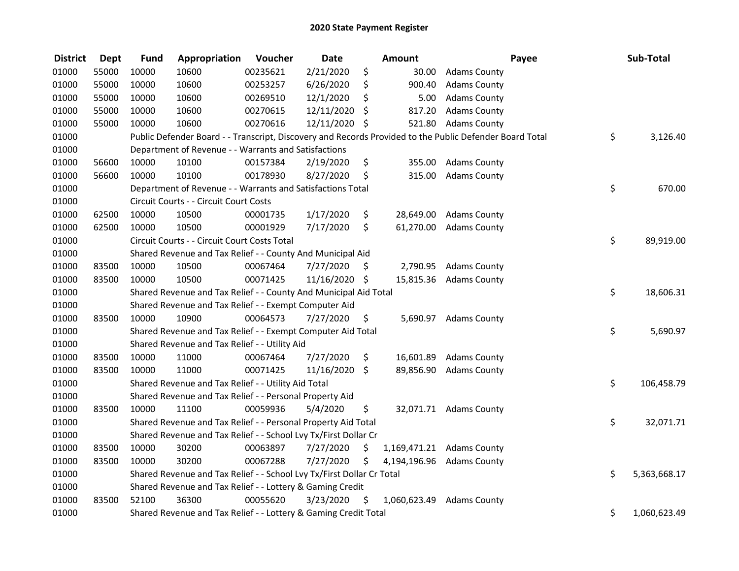| <b>District</b> | <b>Dept</b> | <b>Fund</b> | Appropriation                                                                                           | Voucher  | <b>Date</b>   |         | Amount    |                           | Payee | Sub-Total          |
|-----------------|-------------|-------------|---------------------------------------------------------------------------------------------------------|----------|---------------|---------|-----------|---------------------------|-------|--------------------|
| 01000           | 55000       | 10000       | 10600                                                                                                   | 00235621 | 2/21/2020     | \$      | 30.00     | <b>Adams County</b>       |       |                    |
| 01000           | 55000       | 10000       | 10600                                                                                                   | 00253257 | 6/26/2020     | \$      | 900.40    | <b>Adams County</b>       |       |                    |
| 01000           | 55000       | 10000       | 10600                                                                                                   | 00269510 | 12/1/2020     | \$      | 5.00      | <b>Adams County</b>       |       |                    |
| 01000           | 55000       | 10000       | 10600                                                                                                   | 00270615 | 12/11/2020    | \$      | 817.20    | <b>Adams County</b>       |       |                    |
| 01000           | 55000       | 10000       | 10600                                                                                                   | 00270616 | 12/11/2020 \$ |         | 521.80    | <b>Adams County</b>       |       |                    |
| 01000           |             |             | Public Defender Board - - Transcript, Discovery and Records Provided to the Public Defender Board Total |          |               |         |           |                           |       | \$<br>3,126.40     |
| 01000           |             |             | Department of Revenue - - Warrants and Satisfactions                                                    |          |               |         |           |                           |       |                    |
| 01000           | 56600       | 10000       | 10100                                                                                                   | 00157384 | 2/19/2020     | \$      | 355.00    | <b>Adams County</b>       |       |                    |
| 01000           | 56600       | 10000       | 10100                                                                                                   | 00178930 | 8/27/2020     | \$      | 315.00    | <b>Adams County</b>       |       |                    |
| 01000           |             |             | Department of Revenue - - Warrants and Satisfactions Total                                              |          |               |         |           |                           |       | \$<br>670.00       |
| 01000           |             |             | Circuit Courts - - Circuit Court Costs                                                                  |          |               |         |           |                           |       |                    |
| 01000           | 62500       | 10000       | 10500                                                                                                   | 00001735 | 1/17/2020     | \$      | 28,649.00 | <b>Adams County</b>       |       |                    |
| 01000           | 62500       | 10000       | 10500                                                                                                   | 00001929 | 7/17/2020     | \$      | 61,270.00 | <b>Adams County</b>       |       |                    |
| 01000           |             |             | Circuit Courts - - Circuit Court Costs Total                                                            |          |               |         |           |                           |       | \$<br>89,919.00    |
| 01000           |             |             | Shared Revenue and Tax Relief - - County And Municipal Aid                                              |          |               |         |           |                           |       |                    |
| 01000           | 83500       | 10000       | 10500                                                                                                   | 00067464 | 7/27/2020     | S       | 2,790.95  | <b>Adams County</b>       |       |                    |
| 01000           | 83500       | 10000       | 10500                                                                                                   | 00071425 | 11/16/2020 \$ |         |           | 15,815.36 Adams County    |       |                    |
| 01000           |             |             | Shared Revenue and Tax Relief - - County And Municipal Aid Total                                        |          |               |         |           |                           |       | \$<br>18,606.31    |
| 01000           |             |             | Shared Revenue and Tax Relief - - Exempt Computer Aid                                                   |          |               |         |           |                           |       |                    |
| 01000           | 83500       | 10000       | 10900                                                                                                   | 00064573 | 7/27/2020     | \$      |           | 5,690.97 Adams County     |       |                    |
| 01000           |             |             | Shared Revenue and Tax Relief - - Exempt Computer Aid Total                                             |          |               |         |           |                           |       | \$<br>5,690.97     |
| 01000           |             |             | Shared Revenue and Tax Relief - - Utility Aid                                                           |          |               |         |           |                           |       |                    |
| 01000           | 83500       | 10000       | 11000                                                                                                   | 00067464 | 7/27/2020     | \$      | 16,601.89 | <b>Adams County</b>       |       |                    |
| 01000           | 83500       | 10000       | 11000                                                                                                   | 00071425 | 11/16/2020    | $\zeta$ | 89,856.90 | <b>Adams County</b>       |       |                    |
| 01000           |             |             | Shared Revenue and Tax Relief - - Utility Aid Total                                                     |          |               |         |           |                           |       | \$<br>106,458.79   |
| 01000           |             |             | Shared Revenue and Tax Relief - - Personal Property Aid                                                 |          |               |         |           |                           |       |                    |
| 01000           | 83500       | 10000       | 11100                                                                                                   | 00059936 | 5/4/2020      | \$      |           | 32,071.71 Adams County    |       |                    |
| 01000           |             |             | Shared Revenue and Tax Relief - - Personal Property Aid Total                                           |          |               |         |           |                           |       | \$<br>32,071.71    |
| 01000           |             |             | Shared Revenue and Tax Relief - - School Lvy Tx/First Dollar Cr                                         |          |               |         |           |                           |       |                    |
| 01000           | 83500       | 10000       | 30200                                                                                                   | 00063897 | 7/27/2020     | \$      |           | 1,169,471.21 Adams County |       |                    |
| 01000           | 83500       | 10000       | 30200                                                                                                   | 00067288 | 7/27/2020     | \$      |           | 4,194,196.96 Adams County |       |                    |
| 01000           |             |             | Shared Revenue and Tax Relief - - School Lvy Tx/First Dollar Cr Total                                   |          |               |         |           |                           |       | \$<br>5,363,668.17 |
| 01000           |             |             | Shared Revenue and Tax Relief - - Lottery & Gaming Credit                                               |          |               |         |           |                           |       |                    |
| 01000           | 83500       | 52100       | 36300                                                                                                   | 00055620 | 3/23/2020     | \$      |           | 1,060,623.49 Adams County |       |                    |
| 01000           |             |             | Shared Revenue and Tax Relief - - Lottery & Gaming Credit Total                                         |          |               |         |           |                           |       | \$<br>1,060,623.49 |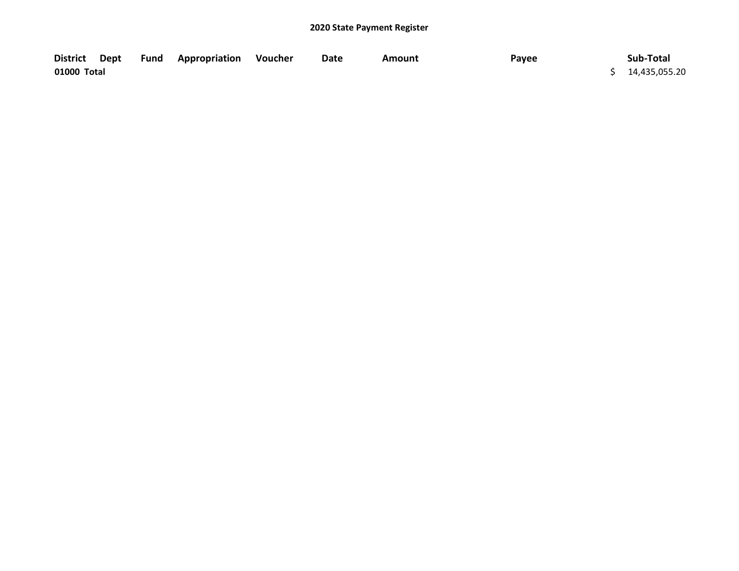| <b>District</b> | Dept | Fund | <b>Appropriation Voucher</b> | Date | Amount | Payee | Sub-Total       |
|-----------------|------|------|------------------------------|------|--------|-------|-----------------|
| 01000 Total     |      |      |                              |      |        |       | \$14,435,055.20 |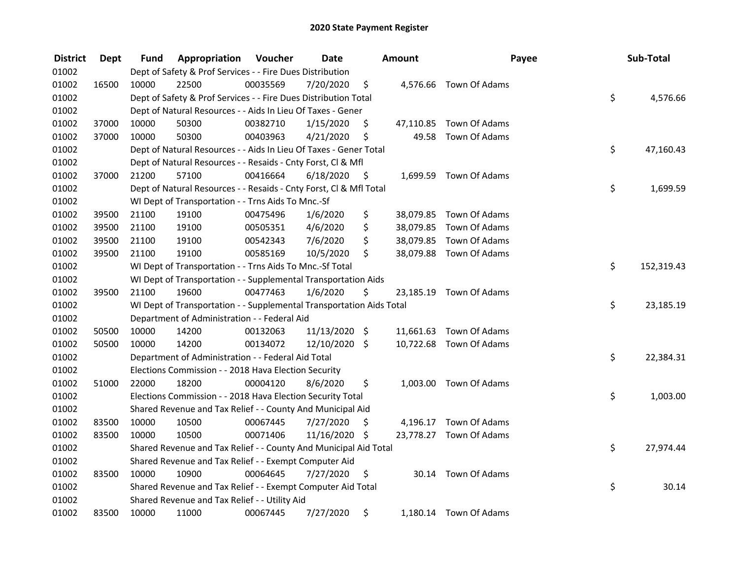| <b>District</b> | <b>Dept</b> | Fund  | Appropriation                                                        | Voucher  | <b>Date</b>   |      | <b>Amount</b> | Payee                   | Sub-Total        |
|-----------------|-------------|-------|----------------------------------------------------------------------|----------|---------------|------|---------------|-------------------------|------------------|
| 01002           |             |       | Dept of Safety & Prof Services - - Fire Dues Distribution            |          |               |      |               |                         |                  |
| 01002           | 16500       | 10000 | 22500                                                                | 00035569 | 7/20/2020     | \$   |               | 4,576.66 Town Of Adams  |                  |
| 01002           |             |       | Dept of Safety & Prof Services - - Fire Dues Distribution Total      |          |               |      |               |                         | \$<br>4,576.66   |
| 01002           |             |       | Dept of Natural Resources - - Aids In Lieu Of Taxes - Gener          |          |               |      |               |                         |                  |
| 01002           | 37000       | 10000 | 50300                                                                | 00382710 | 1/15/2020     | \$   |               | 47,110.85 Town Of Adams |                  |
| 01002           | 37000       | 10000 | 50300                                                                | 00403963 | 4/21/2020     | \$   | 49.58         | Town Of Adams           |                  |
| 01002           |             |       | Dept of Natural Resources - - Aids In Lieu Of Taxes - Gener Total    |          |               |      |               |                         | \$<br>47,160.43  |
| 01002           |             |       | Dept of Natural Resources - - Resaids - Cnty Forst, CI & Mfl         |          |               |      |               |                         |                  |
| 01002           | 37000       | 21200 | 57100                                                                | 00416664 | 6/18/2020     | - \$ |               | 1,699.59 Town Of Adams  |                  |
| 01002           |             |       | Dept of Natural Resources - - Resaids - Cnty Forst, Cl & Mfl Total   |          |               |      |               |                         | \$<br>1,699.59   |
| 01002           |             |       | WI Dept of Transportation - - Trns Aids To Mnc.-Sf                   |          |               |      |               |                         |                  |
| 01002           | 39500       | 21100 | 19100                                                                | 00475496 | 1/6/2020      | \$   |               | 38,079.85 Town Of Adams |                  |
| 01002           | 39500       | 21100 | 19100                                                                | 00505351 | 4/6/2020      | \$   |               | 38,079.85 Town Of Adams |                  |
| 01002           | 39500       | 21100 | 19100                                                                | 00542343 | 7/6/2020      | \$   |               | 38,079.85 Town Of Adams |                  |
| 01002           | 39500       | 21100 | 19100                                                                | 00585169 | 10/5/2020     | \$   |               | 38,079.88 Town Of Adams |                  |
| 01002           |             |       | WI Dept of Transportation - - Trns Aids To Mnc.-Sf Total             |          |               |      |               |                         | \$<br>152,319.43 |
| 01002           |             |       | WI Dept of Transportation - - Supplemental Transportation Aids       |          |               |      |               |                         |                  |
| 01002           | 39500       | 21100 | 19600                                                                | 00477463 | 1/6/2020      | \$   |               | 23,185.19 Town Of Adams |                  |
| 01002           |             |       | WI Dept of Transportation - - Supplemental Transportation Aids Total |          |               |      |               |                         | \$<br>23,185.19  |
| 01002           |             |       | Department of Administration - - Federal Aid                         |          |               |      |               |                         |                  |
| 01002           | 50500       | 10000 | 14200                                                                | 00132063 | 11/13/2020 \$ |      |               | 11,661.63 Town Of Adams |                  |
| 01002           | 50500       | 10000 | 14200                                                                | 00134072 | 12/10/2020 \$ |      |               | 10,722.68 Town Of Adams |                  |
| 01002           |             |       | Department of Administration - - Federal Aid Total                   |          |               |      |               |                         | \$<br>22,384.31  |
| 01002           |             |       | Elections Commission - - 2018 Hava Election Security                 |          |               |      |               |                         |                  |
| 01002           | 51000       | 22000 | 18200                                                                | 00004120 | 8/6/2020      | \$   |               | 1,003.00 Town Of Adams  |                  |
| 01002           |             |       | Elections Commission - - 2018 Hava Election Security Total           |          |               |      |               |                         | \$<br>1,003.00   |
| 01002           |             |       | Shared Revenue and Tax Relief - - County And Municipal Aid           |          |               |      |               |                         |                  |
| 01002           | 83500       | 10000 | 10500                                                                | 00067445 | 7/27/2020     | \$   |               | 4,196.17 Town Of Adams  |                  |
| 01002           | 83500       | 10000 | 10500                                                                | 00071406 | 11/16/2020 \$ |      |               | 23,778.27 Town Of Adams |                  |
| 01002           |             |       | Shared Revenue and Tax Relief - - County And Municipal Aid Total     |          |               |      |               |                         | \$<br>27,974.44  |
| 01002           |             |       | Shared Revenue and Tax Relief - - Exempt Computer Aid                |          |               |      |               |                         |                  |
| 01002           | 83500       | 10000 | 10900                                                                | 00064645 | 7/27/2020     | \$   |               | 30.14 Town Of Adams     |                  |
| 01002           |             |       | Shared Revenue and Tax Relief - - Exempt Computer Aid Total          |          |               |      |               |                         | \$<br>30.14      |
| 01002           |             |       | Shared Revenue and Tax Relief - - Utility Aid                        |          |               |      |               |                         |                  |
| 01002           | 83500       | 10000 | 11000                                                                | 00067445 | 7/27/2020     | \$   |               | 1,180.14 Town Of Adams  |                  |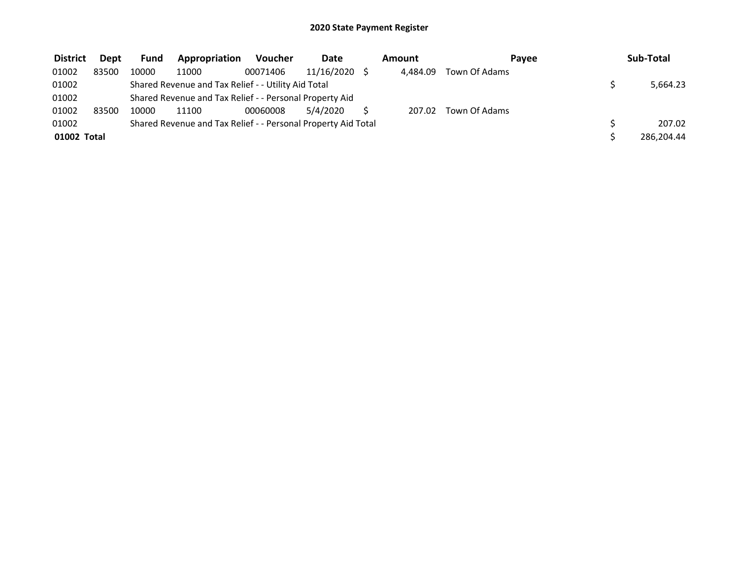| <b>District</b> | <b>Dept</b> | <b>Fund</b> | Appropriation                                                 | <b>Voucher</b> | <b>Date</b> | Amount   | Pavee         | Sub-Total  |
|-----------------|-------------|-------------|---------------------------------------------------------------|----------------|-------------|----------|---------------|------------|
| 01002           | 83500       | 10000       | 11000                                                         | 00071406       | 11/16/2020  | 4.484.09 | Town Of Adams |            |
| 01002           |             |             | Shared Revenue and Tax Relief - - Utility Aid Total           |                |             |          |               | 5,664.23   |
| 01002           |             |             | Shared Revenue and Tax Relief - - Personal Property Aid       |                |             |          |               |            |
| 01002           | 83500       | 10000       | 11100                                                         | 00060008       | 5/4/2020    | 207.02   | Town Of Adams |            |
| 01002           |             |             | Shared Revenue and Tax Relief - - Personal Property Aid Total |                |             |          |               | 207.02     |
| 01002 Total     |             |             |                                                               |                |             |          |               | 286,204.44 |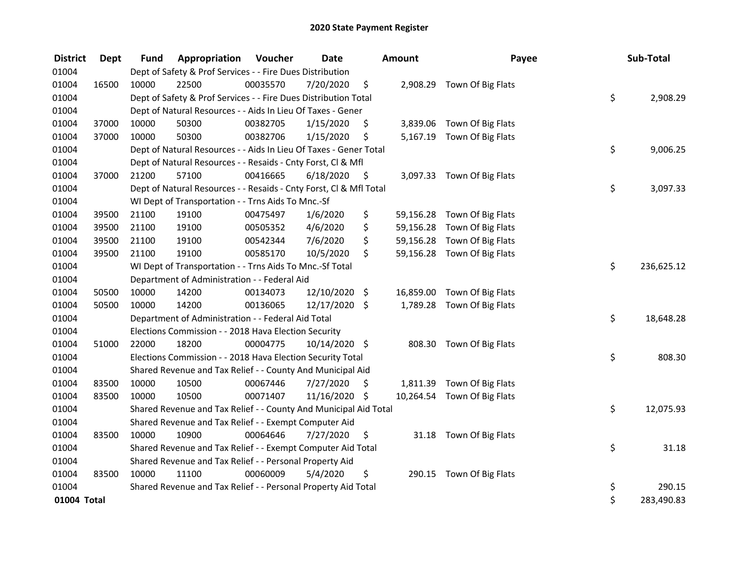| <b>District</b> | Dept  | <b>Fund</b> | Appropriation                                                      | Voucher  | <b>Date</b>   |     | Amount    | Payee                       | Sub-Total        |
|-----------------|-------|-------------|--------------------------------------------------------------------|----------|---------------|-----|-----------|-----------------------------|------------------|
| 01004           |       |             | Dept of Safety & Prof Services - - Fire Dues Distribution          |          |               |     |           |                             |                  |
| 01004           | 16500 | 10000       | 22500                                                              | 00035570 | 7/20/2020     | \$  |           | 2,908.29 Town Of Big Flats  |                  |
| 01004           |       |             | Dept of Safety & Prof Services - - Fire Dues Distribution Total    |          |               |     |           |                             | \$<br>2,908.29   |
| 01004           |       |             | Dept of Natural Resources - - Aids In Lieu Of Taxes - Gener        |          |               |     |           |                             |                  |
| 01004           | 37000 | 10000       | 50300                                                              | 00382705 | 1/15/2020     | \$  |           | 3,839.06 Town Of Big Flats  |                  |
| 01004           | 37000 | 10000       | 50300                                                              | 00382706 | 1/15/2020     | \$  |           | 5,167.19 Town Of Big Flats  |                  |
| 01004           |       |             | Dept of Natural Resources - - Aids In Lieu Of Taxes - Gener Total  |          |               |     |           |                             | \$<br>9,006.25   |
| 01004           |       |             | Dept of Natural Resources - - Resaids - Cnty Forst, Cl & Mfl       |          |               |     |           |                             |                  |
| 01004           | 37000 | 21200       | 57100                                                              | 00416665 | 6/18/2020     | \$. |           | 3,097.33 Town Of Big Flats  |                  |
| 01004           |       |             | Dept of Natural Resources - - Resaids - Cnty Forst, Cl & Mfl Total |          |               |     |           |                             | \$<br>3,097.33   |
| 01004           |       |             | WI Dept of Transportation - - Trns Aids To Mnc.-Sf                 |          |               |     |           |                             |                  |
| 01004           | 39500 | 21100       | 19100                                                              | 00475497 | 1/6/2020      | \$  | 59,156.28 | Town Of Big Flats           |                  |
| 01004           | 39500 | 21100       | 19100                                                              | 00505352 | 4/6/2020      | \$  | 59,156.28 | Town Of Big Flats           |                  |
| 01004           | 39500 | 21100       | 19100                                                              | 00542344 | 7/6/2020      | \$  | 59,156.28 | Town Of Big Flats           |                  |
| 01004           | 39500 | 21100       | 19100                                                              | 00585170 | 10/5/2020     | \$  |           | 59,156.28 Town Of Big Flats |                  |
| 01004           |       |             | WI Dept of Transportation - - Trns Aids To Mnc.-Sf Total           |          |               |     |           |                             | \$<br>236,625.12 |
| 01004           |       |             | Department of Administration - - Federal Aid                       |          |               |     |           |                             |                  |
| 01004           | 50500 | 10000       | 14200                                                              | 00134073 | 12/10/2020 \$ |     |           | 16,859.00 Town Of Big Flats |                  |
| 01004           | 50500 | 10000       | 14200                                                              | 00136065 | 12/17/2020 \$ |     |           | 1,789.28 Town Of Big Flats  |                  |
| 01004           |       |             | Department of Administration - - Federal Aid Total                 |          |               |     |           |                             | \$<br>18,648.28  |
| 01004           |       |             | Elections Commission - - 2018 Hava Election Security               |          |               |     |           |                             |                  |
| 01004           | 51000 | 22000       | 18200                                                              | 00004775 | 10/14/2020 \$ |     |           | 808.30 Town Of Big Flats    |                  |
| 01004           |       |             | Elections Commission - - 2018 Hava Election Security Total         |          |               |     |           |                             | \$<br>808.30     |
| 01004           |       |             | Shared Revenue and Tax Relief - - County And Municipal Aid         |          |               |     |           |                             |                  |
| 01004           | 83500 | 10000       | 10500                                                              | 00067446 | 7/27/2020     | \$  |           | 1,811.39 Town Of Big Flats  |                  |
| 01004           | 83500 | 10000       | 10500                                                              | 00071407 | 11/16/2020 \$ |     |           | 10,264.54 Town Of Big Flats |                  |
| 01004           |       |             | Shared Revenue and Tax Relief - - County And Municipal Aid Total   |          |               |     |           |                             | \$<br>12,075.93  |
| 01004           |       |             | Shared Revenue and Tax Relief - - Exempt Computer Aid              |          |               |     |           |                             |                  |
| 01004           | 83500 | 10000       | 10900                                                              | 00064646 | 7/27/2020     | \$  |           | 31.18 Town Of Big Flats     |                  |
| 01004           |       |             | Shared Revenue and Tax Relief - - Exempt Computer Aid Total        |          |               |     |           |                             | \$<br>31.18      |
| 01004           |       |             | Shared Revenue and Tax Relief - - Personal Property Aid            |          |               |     |           |                             |                  |
| 01004           | 83500 | 10000       | 11100                                                              | 00060009 | 5/4/2020      | \$  |           | 290.15 Town Of Big Flats    |                  |
| 01004           |       |             | Shared Revenue and Tax Relief - - Personal Property Aid Total      |          |               |     |           |                             | \$<br>290.15     |
| 01004 Total     |       |             |                                                                    |          |               |     |           |                             | \$<br>283,490.83 |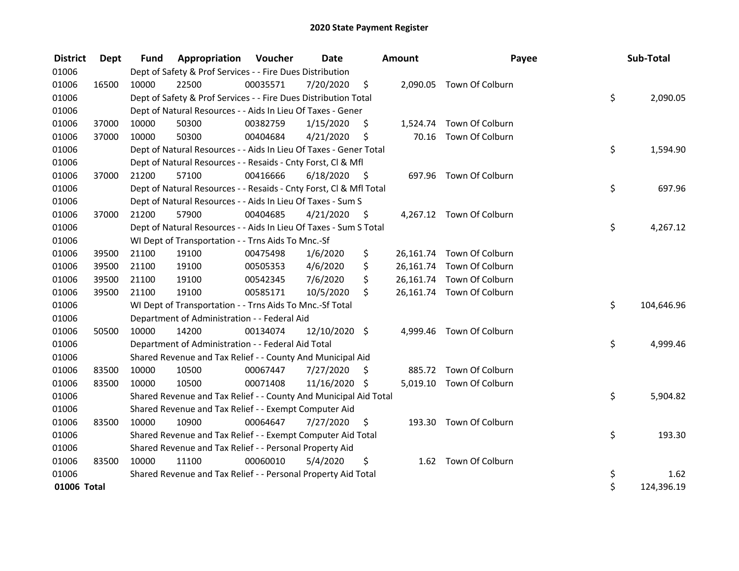| <b>District</b> | Dept  | <b>Fund</b> | Appropriation                                                      | Voucher  | <b>Date</b>   |      | <b>Amount</b> | Payee                     | Sub-Total        |
|-----------------|-------|-------------|--------------------------------------------------------------------|----------|---------------|------|---------------|---------------------------|------------------|
| 01006           |       |             | Dept of Safety & Prof Services - - Fire Dues Distribution          |          |               |      |               |                           |                  |
| 01006           | 16500 | 10000       | 22500                                                              | 00035571 | 7/20/2020     | \$   |               | 2,090.05 Town Of Colburn  |                  |
| 01006           |       |             | Dept of Safety & Prof Services - - Fire Dues Distribution Total    |          |               |      |               |                           | \$<br>2,090.05   |
| 01006           |       |             | Dept of Natural Resources - - Aids In Lieu Of Taxes - Gener        |          |               |      |               |                           |                  |
| 01006           | 37000 | 10000       | 50300                                                              | 00382759 | 1/15/2020     | \$.  |               | 1,524.74 Town Of Colburn  |                  |
| 01006           | 37000 | 10000       | 50300                                                              | 00404684 | 4/21/2020     | \$   | 70.16         | Town Of Colburn           |                  |
| 01006           |       |             | Dept of Natural Resources - - Aids In Lieu Of Taxes - Gener Total  |          |               |      |               |                           | \$<br>1,594.90   |
| 01006           |       |             | Dept of Natural Resources - - Resaids - Cnty Forst, Cl & Mfl       |          |               |      |               |                           |                  |
| 01006           | 37000 | 21200       | 57100                                                              | 00416666 | 6/18/2020     | - \$ |               | 697.96 Town Of Colburn    |                  |
| 01006           |       |             | Dept of Natural Resources - - Resaids - Cnty Forst, Cl & Mfl Total |          |               |      |               |                           | \$<br>697.96     |
| 01006           |       |             | Dept of Natural Resources - - Aids In Lieu Of Taxes - Sum S        |          |               |      |               |                           |                  |
| 01006           | 37000 | 21200       | 57900                                                              | 00404685 | 4/21/2020     | - \$ |               | 4,267.12 Town Of Colburn  |                  |
| 01006           |       |             | Dept of Natural Resources - - Aids In Lieu Of Taxes - Sum S Total  |          |               |      |               |                           | \$<br>4,267.12   |
| 01006           |       |             | WI Dept of Transportation - - Trns Aids To Mnc.-Sf                 |          |               |      |               |                           |                  |
| 01006           | 39500 | 21100       | 19100                                                              | 00475498 | 1/6/2020      | \$   |               | 26,161.74 Town Of Colburn |                  |
| 01006           | 39500 | 21100       | 19100                                                              | 00505353 | 4/6/2020      | \$   |               | 26,161.74 Town Of Colburn |                  |
| 01006           | 39500 | 21100       | 19100                                                              | 00542345 | 7/6/2020      | \$   |               | 26,161.74 Town Of Colburn |                  |
| 01006           | 39500 | 21100       | 19100                                                              | 00585171 | 10/5/2020     | \$   |               | 26,161.74 Town Of Colburn |                  |
| 01006           |       |             | WI Dept of Transportation - - Trns Aids To Mnc.-Sf Total           |          |               |      |               |                           | \$<br>104,646.96 |
| 01006           |       |             | Department of Administration - - Federal Aid                       |          |               |      |               |                           |                  |
| 01006           | 50500 | 10000       | 14200                                                              | 00134074 | 12/10/2020 \$ |      |               | 4,999.46 Town Of Colburn  |                  |
| 01006           |       |             | Department of Administration - - Federal Aid Total                 |          |               |      |               |                           | \$<br>4,999.46   |
| 01006           |       |             | Shared Revenue and Tax Relief - - County And Municipal Aid         |          |               |      |               |                           |                  |
| 01006           | 83500 | 10000       | 10500                                                              | 00067447 | 7/27/2020     | \$   |               | 885.72 Town Of Colburn    |                  |
| 01006           | 83500 | 10000       | 10500                                                              | 00071408 | 11/16/2020 \$ |      |               | 5,019.10 Town Of Colburn  |                  |
| 01006           |       |             | Shared Revenue and Tax Relief - - County And Municipal Aid Total   |          |               |      |               |                           | \$<br>5,904.82   |
| 01006           |       |             | Shared Revenue and Tax Relief - - Exempt Computer Aid              |          |               |      |               |                           |                  |
| 01006           | 83500 | 10000       | 10900                                                              | 00064647 | 7/27/2020     | \$   |               | 193.30 Town Of Colburn    |                  |
| 01006           |       |             | Shared Revenue and Tax Relief - - Exempt Computer Aid Total        |          |               |      |               |                           | \$<br>193.30     |
| 01006           |       |             | Shared Revenue and Tax Relief - - Personal Property Aid            |          |               |      |               |                           |                  |
| 01006           | 83500 | 10000       | 11100                                                              | 00060010 | 5/4/2020      | \$   |               | 1.62 Town Of Colburn      |                  |
| 01006           |       |             | Shared Revenue and Tax Relief - - Personal Property Aid Total      |          |               |      |               |                           | \$<br>1.62       |
| 01006 Total     |       |             |                                                                    |          |               |      |               |                           | \$<br>124,396.19 |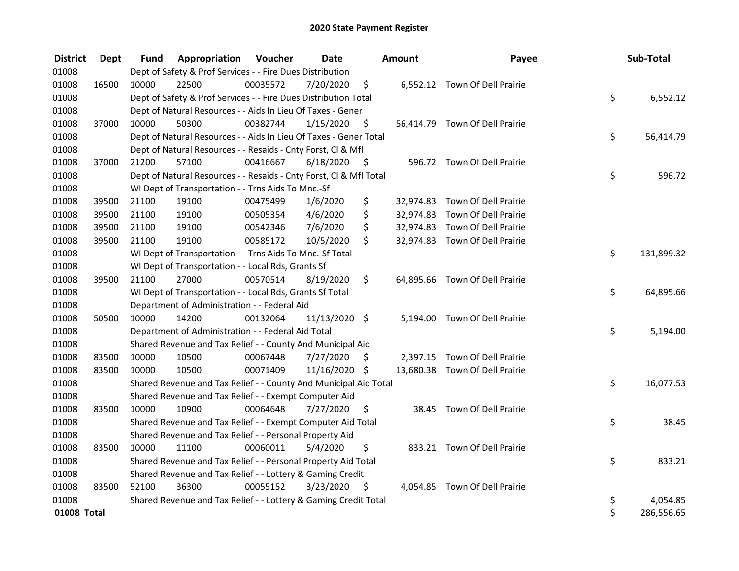| <b>District</b> | <b>Dept</b> | Fund  | Appropriation                                                      | Voucher  | <b>Date</b>   |      | <b>Amount</b> | Payee                          | Sub-Total        |
|-----------------|-------------|-------|--------------------------------------------------------------------|----------|---------------|------|---------------|--------------------------------|------------------|
| 01008           |             |       | Dept of Safety & Prof Services - - Fire Dues Distribution          |          |               |      |               |                                |                  |
| 01008           | 16500       | 10000 | 22500                                                              | 00035572 | 7/20/2020     | \$   |               | 6,552.12 Town Of Dell Prairie  |                  |
| 01008           |             |       | Dept of Safety & Prof Services - - Fire Dues Distribution Total    |          |               |      |               |                                | \$<br>6,552.12   |
| 01008           |             |       | Dept of Natural Resources - - Aids In Lieu Of Taxes - Gener        |          |               |      |               |                                |                  |
| 01008           | 37000       | 10000 | 50300                                                              | 00382744 | 1/15/2020     | \$   |               | 56,414.79 Town Of Dell Prairie |                  |
| 01008           |             |       | Dept of Natural Resources - - Aids In Lieu Of Taxes - Gener Total  |          |               |      |               |                                | \$<br>56,414.79  |
| 01008           |             |       | Dept of Natural Resources - - Resaids - Cnty Forst, Cl & Mfl       |          |               |      |               |                                |                  |
| 01008           | 37000       | 21200 | 57100                                                              | 00416667 | 6/18/2020     | - \$ |               | 596.72 Town Of Dell Prairie    |                  |
| 01008           |             |       | Dept of Natural Resources - - Resaids - Cnty Forst, Cl & Mfl Total |          |               |      |               |                                | \$<br>596.72     |
| 01008           |             |       | WI Dept of Transportation - - Trns Aids To Mnc.-Sf                 |          |               |      |               |                                |                  |
| 01008           | 39500       | 21100 | 19100                                                              | 00475499 | 1/6/2020      | \$   |               | 32,974.83 Town Of Dell Prairie |                  |
| 01008           | 39500       | 21100 | 19100                                                              | 00505354 | 4/6/2020      | \$   |               | 32,974.83 Town Of Dell Prairie |                  |
| 01008           | 39500       | 21100 | 19100                                                              | 00542346 | 7/6/2020      | \$   |               | 32,974.83 Town Of Dell Prairie |                  |
| 01008           | 39500       | 21100 | 19100                                                              | 00585172 | 10/5/2020     | \$   |               | 32,974.83 Town Of Dell Prairie |                  |
| 01008           |             |       | WI Dept of Transportation - - Trns Aids To Mnc.-Sf Total           |          |               |      |               |                                | \$<br>131,899.32 |
| 01008           |             |       | WI Dept of Transportation - - Local Rds, Grants Sf                 |          |               |      |               |                                |                  |
| 01008           | 39500       | 21100 | 27000                                                              | 00570514 | 8/19/2020     | \$   |               | 64,895.66 Town Of Dell Prairie |                  |
| 01008           |             |       | WI Dept of Transportation - - Local Rds, Grants Sf Total           |          |               |      |               |                                | \$<br>64,895.66  |
| 01008           |             |       | Department of Administration - - Federal Aid                       |          |               |      |               |                                |                  |
| 01008           | 50500       | 10000 | 14200                                                              | 00132064 | 11/13/2020 \$ |      |               | 5,194.00 Town Of Dell Prairie  |                  |
| 01008           |             |       | Department of Administration - - Federal Aid Total                 |          |               |      |               |                                | \$<br>5,194.00   |
| 01008           |             |       | Shared Revenue and Tax Relief - - County And Municipal Aid         |          |               |      |               |                                |                  |
| 01008           | 83500       | 10000 | 10500                                                              | 00067448 | 7/27/2020     | \$   |               | 2,397.15 Town Of Dell Prairie  |                  |
| 01008           | 83500       | 10000 | 10500                                                              | 00071409 | 11/16/2020 \$ |      |               | 13,680.38 Town Of Dell Prairie |                  |
| 01008           |             |       | Shared Revenue and Tax Relief - - County And Municipal Aid Total   |          |               |      |               |                                | \$<br>16,077.53  |
| 01008           |             |       | Shared Revenue and Tax Relief - - Exempt Computer Aid              |          |               |      |               |                                |                  |
| 01008           | 83500       | 10000 | 10900                                                              | 00064648 | 7/27/2020     | \$   |               | 38.45 Town Of Dell Prairie     |                  |
| 01008           |             |       | Shared Revenue and Tax Relief - - Exempt Computer Aid Total        |          |               |      |               |                                | \$<br>38.45      |
| 01008           |             |       | Shared Revenue and Tax Relief - - Personal Property Aid            |          |               |      |               |                                |                  |
| 01008           | 83500       | 10000 | 11100                                                              | 00060011 | 5/4/2020      | \$   |               | 833.21 Town Of Dell Prairie    |                  |
| 01008           |             |       | Shared Revenue and Tax Relief - - Personal Property Aid Total      |          |               |      |               |                                | \$<br>833.21     |
| 01008           |             |       | Shared Revenue and Tax Relief - - Lottery & Gaming Credit          |          |               |      |               |                                |                  |
| 01008           | 83500       | 52100 | 36300                                                              | 00055152 | 3/23/2020     | \$   |               | 4,054.85 Town Of Dell Prairie  |                  |
| 01008           |             |       | Shared Revenue and Tax Relief - - Lottery & Gaming Credit Total    |          |               |      |               |                                | \$<br>4,054.85   |
| 01008 Total     |             |       |                                                                    |          |               |      |               |                                | \$<br>286,556.65 |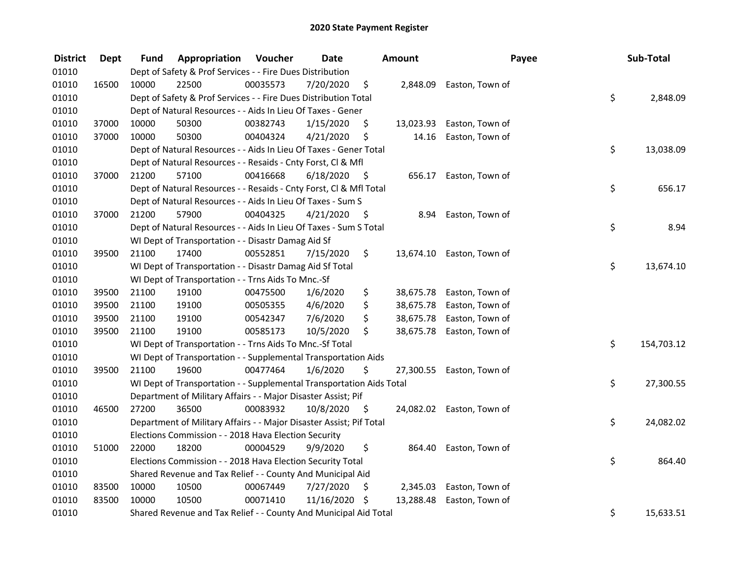| <b>District</b> | <b>Dept</b> | Fund  | Appropriation                                                        | Voucher  | <b>Date</b> |      | Amount    | Payee                     | Sub-Total        |
|-----------------|-------------|-------|----------------------------------------------------------------------|----------|-------------|------|-----------|---------------------------|------------------|
| 01010           |             |       | Dept of Safety & Prof Services - - Fire Dues Distribution            |          |             |      |           |                           |                  |
| 01010           | 16500       | 10000 | 22500                                                                | 00035573 | 7/20/2020   | \$   |           | 2,848.09 Easton, Town of  |                  |
| 01010           |             |       | Dept of Safety & Prof Services - - Fire Dues Distribution Total      |          |             |      |           |                           | \$<br>2,848.09   |
| 01010           |             |       | Dept of Natural Resources - - Aids In Lieu Of Taxes - Gener          |          |             |      |           |                           |                  |
| 01010           | 37000       | 10000 | 50300                                                                | 00382743 | 1/15/2020   | \$   | 13,023.93 | Easton, Town of           |                  |
| 01010           | 37000       | 10000 | 50300                                                                | 00404324 | 4/21/2020   | \$   | 14.16     | Easton, Town of           |                  |
| 01010           |             |       | Dept of Natural Resources - - Aids In Lieu Of Taxes - Gener Total    |          |             |      |           |                           | \$<br>13,038.09  |
| 01010           |             |       | Dept of Natural Resources - - Resaids - Cnty Forst, Cl & Mfl         |          |             |      |           |                           |                  |
| 01010           | 37000       | 21200 | 57100                                                                | 00416668 | 6/18/2020   | - \$ |           | 656.17 Easton, Town of    |                  |
| 01010           |             |       | Dept of Natural Resources - - Resaids - Cnty Forst, Cl & Mfl Total   |          |             |      |           |                           | \$<br>656.17     |
| 01010           |             |       | Dept of Natural Resources - - Aids In Lieu Of Taxes - Sum S          |          |             |      |           |                           |                  |
| 01010           | 37000       | 21200 | 57900                                                                | 00404325 | 4/21/2020   | \$   | 8.94      | Easton, Town of           |                  |
| 01010           |             |       | Dept of Natural Resources - - Aids In Lieu Of Taxes - Sum S Total    |          |             |      |           |                           | \$<br>8.94       |
| 01010           |             |       | WI Dept of Transportation - - Disastr Damag Aid Sf                   |          |             |      |           |                           |                  |
| 01010           | 39500       | 21100 | 17400                                                                | 00552851 | 7/15/2020   | \$   |           | 13,674.10 Easton, Town of |                  |
| 01010           |             |       | WI Dept of Transportation - - Disastr Damag Aid Sf Total             |          |             |      |           |                           | \$<br>13,674.10  |
| 01010           |             |       | WI Dept of Transportation - - Trns Aids To Mnc.-Sf                   |          |             |      |           |                           |                  |
| 01010           | 39500       | 21100 | 19100                                                                | 00475500 | 1/6/2020    | \$   | 38,675.78 | Easton, Town of           |                  |
| 01010           | 39500       | 21100 | 19100                                                                | 00505355 | 4/6/2020    | \$   | 38,675.78 | Easton, Town of           |                  |
| 01010           | 39500       | 21100 | 19100                                                                | 00542347 | 7/6/2020    | \$   | 38,675.78 | Easton, Town of           |                  |
| 01010           | 39500       | 21100 | 19100                                                                | 00585173 | 10/5/2020   | \$   |           | 38,675.78 Easton, Town of |                  |
| 01010           |             |       | WI Dept of Transportation - - Trns Aids To Mnc.-Sf Total             |          |             |      |           |                           | \$<br>154,703.12 |
| 01010           |             |       | WI Dept of Transportation - - Supplemental Transportation Aids       |          |             |      |           |                           |                  |
| 01010           | 39500       | 21100 | 19600                                                                | 00477464 | 1/6/2020    | \$   |           | 27,300.55 Easton, Town of |                  |
| 01010           |             |       | WI Dept of Transportation - - Supplemental Transportation Aids Total |          |             |      |           |                           | \$<br>27,300.55  |
| 01010           |             |       | Department of Military Affairs - - Major Disaster Assist; Pif        |          |             |      |           |                           |                  |
| 01010           | 46500       | 27200 | 36500                                                                | 00083932 | 10/8/2020   | - \$ |           | 24,082.02 Easton, Town of |                  |
| 01010           |             |       | Department of Military Affairs - - Major Disaster Assist; Pif Total  |          |             |      |           |                           | \$<br>24,082.02  |
| 01010           |             |       | Elections Commission - - 2018 Hava Election Security                 |          |             |      |           |                           |                  |
| 01010           | 51000       | 22000 | 18200                                                                | 00004529 | 9/9/2020    | \$   | 864.40    | Easton, Town of           |                  |
| 01010           |             |       | Elections Commission - - 2018 Hava Election Security Total           |          |             |      |           |                           | \$<br>864.40     |
| 01010           |             |       | Shared Revenue and Tax Relief - - County And Municipal Aid           |          |             |      |           |                           |                  |
| 01010           | 83500       | 10000 | 10500                                                                | 00067449 | 7/27/2020   | \$   | 2,345.03  | Easton, Town of           |                  |
| 01010           | 83500       | 10000 | 10500                                                                | 00071410 | 11/16/2020  | \$   | 13,288.48 | Easton, Town of           |                  |
| 01010           |             |       | Shared Revenue and Tax Relief - - County And Municipal Aid Total     |          |             |      |           |                           | \$<br>15,633.51  |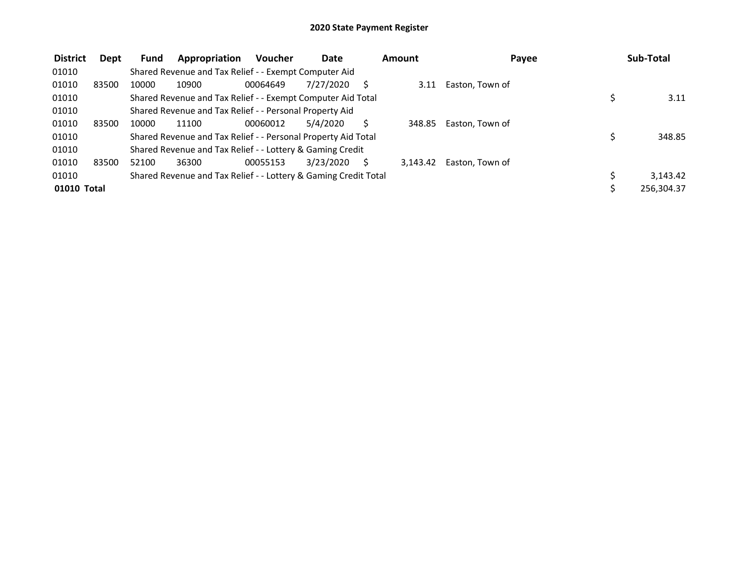| <b>District</b> | <b>Dept</b> | Fund  | Appropriation                                                   | <b>Voucher</b> | Date      | Amount   | Payee           |   | Sub-Total  |
|-----------------|-------------|-------|-----------------------------------------------------------------|----------------|-----------|----------|-----------------|---|------------|
| 01010           |             |       | Shared Revenue and Tax Relief - - Exempt Computer Aid           |                |           |          |                 |   |            |
| 01010           | 83500       | 10000 | 10900                                                           | 00064649       | 7/27/2020 | 3.11     | Easton, Town of |   |            |
| 01010           |             |       | Shared Revenue and Tax Relief - - Exempt Computer Aid Total     |                |           |          |                 |   | 3.11       |
| 01010           |             |       | Shared Revenue and Tax Relief - - Personal Property Aid         |                |           |          |                 |   |            |
| 01010           | 83500       | 10000 | 11100                                                           | 00060012       | 5/4/2020  | 348.85   | Easton, Town of |   |            |
| 01010           |             |       | Shared Revenue and Tax Relief - - Personal Property Aid Total   |                |           |          |                 | Ś | 348.85     |
| 01010           |             |       | Shared Revenue and Tax Relief - - Lottery & Gaming Credit       |                |           |          |                 |   |            |
| 01010           | 83500       | 52100 | 36300                                                           | 00055153       | 3/23/2020 | 3.143.42 | Easton, Town of |   |            |
| 01010           |             |       | Shared Revenue and Tax Relief - - Lottery & Gaming Credit Total |                |           |          |                 | Ś | 3.143.42   |
| 01010 Total     |             |       |                                                                 |                |           |          |                 |   | 256,304.37 |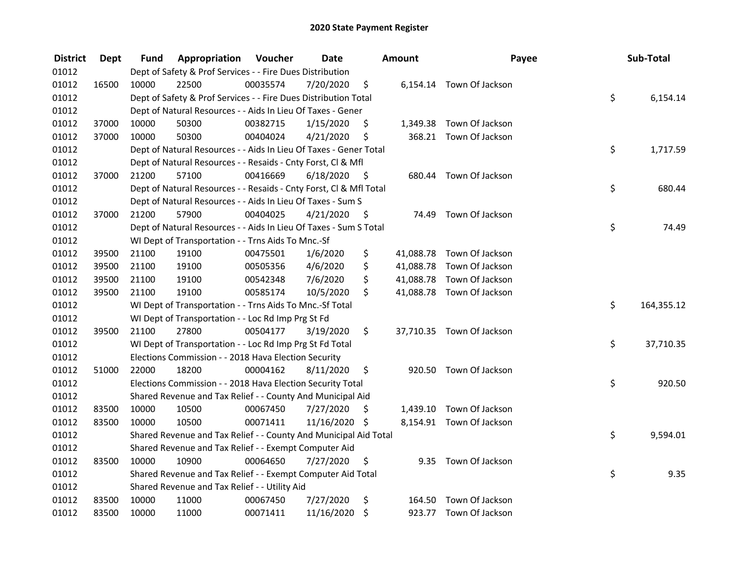| <b>District</b> | <b>Dept</b> | Fund  | Appropriation                                                      | Voucher  | <b>Date</b>   |      | <b>Amount</b> | Payee                     | Sub-Total        |
|-----------------|-------------|-------|--------------------------------------------------------------------|----------|---------------|------|---------------|---------------------------|------------------|
| 01012           |             |       | Dept of Safety & Prof Services - - Fire Dues Distribution          |          |               |      |               |                           |                  |
| 01012           | 16500       | 10000 | 22500                                                              | 00035574 | 7/20/2020     | \$   |               | 6,154.14 Town Of Jackson  |                  |
| 01012           |             |       | Dept of Safety & Prof Services - - Fire Dues Distribution Total    |          |               |      |               |                           | \$<br>6,154.14   |
| 01012           |             |       | Dept of Natural Resources - - Aids In Lieu Of Taxes - Gener        |          |               |      |               |                           |                  |
| 01012           | 37000       | 10000 | 50300                                                              | 00382715 | 1/15/2020     | \$   |               | 1,349.38 Town Of Jackson  |                  |
| 01012           | 37000       | 10000 | 50300                                                              | 00404024 | 4/21/2020     | \$   |               | 368.21 Town Of Jackson    |                  |
| 01012           |             |       | Dept of Natural Resources - - Aids In Lieu Of Taxes - Gener Total  |          |               |      |               |                           | \$<br>1,717.59   |
| 01012           |             |       | Dept of Natural Resources - - Resaids - Cnty Forst, Cl & Mfl       |          |               |      |               |                           |                  |
| 01012           | 37000       | 21200 | 57100                                                              | 00416669 | 6/18/2020     | - \$ |               | 680.44 Town Of Jackson    |                  |
| 01012           |             |       | Dept of Natural Resources - - Resaids - Cnty Forst, Cl & Mfl Total |          |               |      |               |                           | \$<br>680.44     |
| 01012           |             |       | Dept of Natural Resources - - Aids In Lieu Of Taxes - Sum S        |          |               |      |               |                           |                  |
| 01012           | 37000       | 21200 | 57900                                                              | 00404025 | 4/21/2020     | -\$  | 74.49         | Town Of Jackson           |                  |
| 01012           |             |       | Dept of Natural Resources - - Aids In Lieu Of Taxes - Sum S Total  |          |               |      |               |                           | \$<br>74.49      |
| 01012           |             |       | WI Dept of Transportation - - Trns Aids To Mnc.-Sf                 |          |               |      |               |                           |                  |
| 01012           | 39500       | 21100 | 19100                                                              | 00475501 | 1/6/2020      | \$   |               | 41,088.78 Town Of Jackson |                  |
| 01012           | 39500       | 21100 | 19100                                                              | 00505356 | 4/6/2020      | \$   |               | 41,088.78 Town Of Jackson |                  |
| 01012           | 39500       | 21100 | 19100                                                              | 00542348 | 7/6/2020      | \$   |               | 41,088.78 Town Of Jackson |                  |
| 01012           | 39500       | 21100 | 19100                                                              | 00585174 | 10/5/2020     | \$   |               | 41,088.78 Town Of Jackson |                  |
| 01012           |             |       | WI Dept of Transportation - - Trns Aids To Mnc.-Sf Total           |          |               |      |               |                           | \$<br>164,355.12 |
| 01012           |             |       | WI Dept of Transportation - - Loc Rd Imp Prg St Fd                 |          |               |      |               |                           |                  |
| 01012           | 39500       | 21100 | 27800                                                              | 00504177 | 3/19/2020     | \$   |               | 37,710.35 Town Of Jackson |                  |
| 01012           |             |       | WI Dept of Transportation - - Loc Rd Imp Prg St Fd Total           |          |               |      |               |                           | \$<br>37,710.35  |
| 01012           |             |       | Elections Commission - - 2018 Hava Election Security               |          |               |      |               |                           |                  |
| 01012           | 51000       | 22000 | 18200                                                              | 00004162 | 8/11/2020     | \$   |               | 920.50 Town Of Jackson    |                  |
| 01012           |             |       | Elections Commission - - 2018 Hava Election Security Total         |          |               |      |               |                           | \$<br>920.50     |
| 01012           |             |       | Shared Revenue and Tax Relief - - County And Municipal Aid         |          |               |      |               |                           |                  |
| 01012           | 83500       | 10000 | 10500                                                              | 00067450 | 7/27/2020     | S.   |               | 1,439.10 Town Of Jackson  |                  |
| 01012           | 83500       | 10000 | 10500                                                              | 00071411 | 11/16/2020 \$ |      |               | 8,154.91 Town Of Jackson  |                  |
| 01012           |             |       | Shared Revenue and Tax Relief - - County And Municipal Aid Total   |          |               |      |               |                           | \$<br>9,594.01   |
| 01012           |             |       | Shared Revenue and Tax Relief - - Exempt Computer Aid              |          |               |      |               |                           |                  |
| 01012           | 83500       | 10000 | 10900                                                              | 00064650 | 7/27/2020     | \$   | 9.35          | Town Of Jackson           |                  |
| 01012           |             |       | Shared Revenue and Tax Relief - - Exempt Computer Aid Total        |          |               |      |               |                           | \$<br>9.35       |
| 01012           |             |       | Shared Revenue and Tax Relief - - Utility Aid                      |          |               |      |               |                           |                  |
| 01012           | 83500       | 10000 | 11000                                                              | 00067450 | 7/27/2020     | \$   | 164.50        | Town Of Jackson           |                  |
| 01012           | 83500       | 10000 | 11000                                                              | 00071411 | 11/16/2020    | -\$  |               | 923.77 Town Of Jackson    |                  |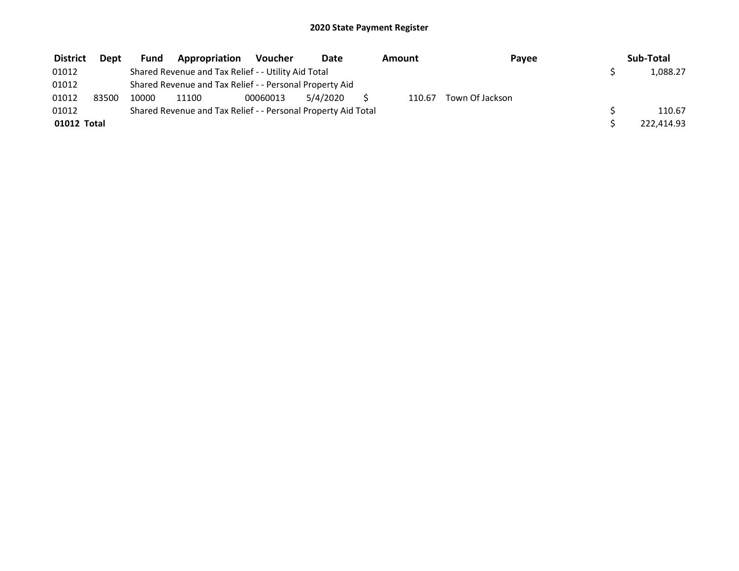| <b>District</b> | <b>Dept</b> | <b>Fund</b> | Appropriation                                                 | Voucher  | Date     | Amount | Payee           | Sub-Total  |
|-----------------|-------------|-------------|---------------------------------------------------------------|----------|----------|--------|-----------------|------------|
| 01012           |             |             | Shared Revenue and Tax Relief - - Utility Aid Total           |          |          |        |                 | 1,088.27   |
| 01012           |             |             | Shared Revenue and Tax Relief - - Personal Property Aid       |          |          |        |                 |            |
| 01012           | 83500       | 10000       | 11100                                                         | 00060013 | 5/4/2020 | 110.67 | Town Of Jackson |            |
| 01012           |             |             | Shared Revenue and Tax Relief - - Personal Property Aid Total |          |          |        |                 | 110.67     |
| 01012 Total     |             |             |                                                               |          |          |        |                 | 222,414.93 |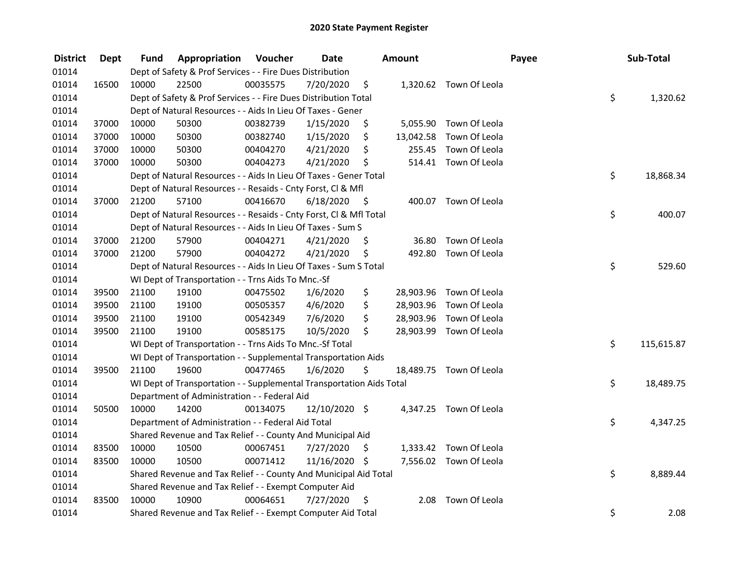| <b>District</b> | <b>Dept</b> | Fund  | Appropriation                                                        | Voucher  | <b>Date</b>   |      | <b>Amount</b> |                         | Payee | Sub-Total  |
|-----------------|-------------|-------|----------------------------------------------------------------------|----------|---------------|------|---------------|-------------------------|-------|------------|
| 01014           |             |       | Dept of Safety & Prof Services - - Fire Dues Distribution            |          |               |      |               |                         |       |            |
| 01014           | 16500       | 10000 | 22500                                                                | 00035575 | 7/20/2020     | \$   |               | 1,320.62 Town Of Leola  |       |            |
| 01014           |             |       | Dept of Safety & Prof Services - - Fire Dues Distribution Total      |          |               |      |               |                         | \$    | 1,320.62   |
| 01014           |             |       | Dept of Natural Resources - - Aids In Lieu Of Taxes - Gener          |          |               |      |               |                         |       |            |
| 01014           | 37000       | 10000 | 50300                                                                | 00382739 | 1/15/2020     | \$   | 5,055.90      | Town Of Leola           |       |            |
| 01014           | 37000       | 10000 | 50300                                                                | 00382740 | 1/15/2020     | \$   | 13,042.58     | Town Of Leola           |       |            |
| 01014           | 37000       | 10000 | 50300                                                                | 00404270 | 4/21/2020     | \$   | 255.45        | Town Of Leola           |       |            |
| 01014           | 37000       | 10000 | 50300                                                                | 00404273 | 4/21/2020     | \$   |               | 514.41 Town Of Leola    |       |            |
| 01014           |             |       | Dept of Natural Resources - - Aids In Lieu Of Taxes - Gener Total    |          |               |      |               |                         | \$    | 18,868.34  |
| 01014           |             |       | Dept of Natural Resources - - Resaids - Cnty Forst, Cl & Mfl         |          |               |      |               |                         |       |            |
| 01014           | 37000       | 21200 | 57100                                                                | 00416670 | 6/18/2020     | - \$ |               | 400.07 Town Of Leola    |       |            |
| 01014           |             |       | Dept of Natural Resources - - Resaids - Cnty Forst, CI & Mfl Total   |          |               |      |               |                         | \$    | 400.07     |
| 01014           |             |       | Dept of Natural Resources - - Aids In Lieu Of Taxes - Sum S          |          |               |      |               |                         |       |            |
| 01014           | 37000       | 21200 | 57900                                                                | 00404271 | 4/21/2020     | \$.  | 36.80         | Town Of Leola           |       |            |
| 01014           | 37000       | 21200 | 57900                                                                | 00404272 | 4/21/2020     | \$   | 492.80        | Town Of Leola           |       |            |
| 01014           |             |       | Dept of Natural Resources - - Aids In Lieu Of Taxes - Sum S Total    |          |               |      |               |                         | \$    | 529.60     |
| 01014           |             |       | WI Dept of Transportation - - Trns Aids To Mnc.-Sf                   |          |               |      |               |                         |       |            |
| 01014           | 39500       | 21100 | 19100                                                                | 00475502 | 1/6/2020      | \$   | 28,903.96     | Town Of Leola           |       |            |
| 01014           | 39500       | 21100 | 19100                                                                | 00505357 | 4/6/2020      | \$   | 28,903.96     | Town Of Leola           |       |            |
| 01014           | 39500       | 21100 | 19100                                                                | 00542349 | 7/6/2020      | \$   | 28,903.96     | Town Of Leola           |       |            |
| 01014           | 39500       | 21100 | 19100                                                                | 00585175 | 10/5/2020     | \$   |               | 28,903.99 Town Of Leola |       |            |
| 01014           |             |       | WI Dept of Transportation - - Trns Aids To Mnc.-Sf Total             |          |               |      |               |                         | \$    | 115,615.87 |
| 01014           |             |       | WI Dept of Transportation - - Supplemental Transportation Aids       |          |               |      |               |                         |       |            |
| 01014           | 39500       | 21100 | 19600                                                                | 00477465 | 1/6/2020      | \$   |               | 18,489.75 Town Of Leola |       |            |
| 01014           |             |       | WI Dept of Transportation - - Supplemental Transportation Aids Total |          |               |      |               |                         | \$    | 18,489.75  |
| 01014           |             |       | Department of Administration - - Federal Aid                         |          |               |      |               |                         |       |            |
| 01014           | 50500       | 10000 | 14200                                                                | 00134075 | 12/10/2020 \$ |      |               | 4,347.25 Town Of Leola  |       |            |
| 01014           |             |       | Department of Administration - - Federal Aid Total                   |          |               |      |               |                         | \$    | 4,347.25   |
| 01014           |             |       | Shared Revenue and Tax Relief - - County And Municipal Aid           |          |               |      |               |                         |       |            |
| 01014           | 83500       | 10000 | 10500                                                                | 00067451 | 7/27/2020     | -\$  | 1,333.42      | Town Of Leola           |       |            |
| 01014           | 83500       | 10000 | 10500                                                                | 00071412 | 11/16/2020 \$ |      |               | 7,556.02 Town Of Leola  |       |            |
| 01014           |             |       | Shared Revenue and Tax Relief - - County And Municipal Aid Total     |          |               |      |               |                         | \$    | 8,889.44   |
| 01014           |             |       | Shared Revenue and Tax Relief - - Exempt Computer Aid                |          |               |      |               |                         |       |            |
| 01014           | 83500       | 10000 | 10900                                                                | 00064651 | 7/27/2020     | \$.  | 2.08          | Town Of Leola           |       |            |
| 01014           |             |       | Shared Revenue and Tax Relief - - Exempt Computer Aid Total          |          |               |      |               |                         | \$    | 2.08       |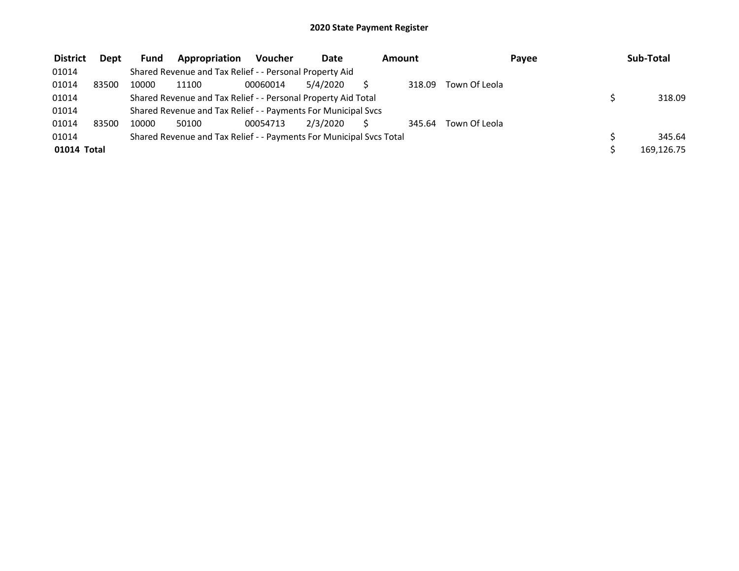| <b>District</b> | <b>Dept</b> | <b>Fund</b> | Appropriation                                                       | <b>Voucher</b> | <b>Date</b> | Amount |        |               | Payee | Sub-Total  |
|-----------------|-------------|-------------|---------------------------------------------------------------------|----------------|-------------|--------|--------|---------------|-------|------------|
| 01014           |             |             | Shared Revenue and Tax Relief - - Personal Property Aid             |                |             |        |        |               |       |            |
| 01014           | 83500       | 10000       | 11100                                                               | 00060014       | 5/4/2020    |        | 318.09 | Town Of Leola |       |            |
| 01014           |             |             | Shared Revenue and Tax Relief - - Personal Property Aid Total       |                |             |        |        |               |       | 318.09     |
| 01014           |             |             | Shared Revenue and Tax Relief - - Payments For Municipal Svcs       |                |             |        |        |               |       |            |
| 01014           | 83500       | 10000       | 50100                                                               | 00054713       | 2/3/2020    |        | 345.64 | Town Of Leola |       |            |
| 01014           |             |             | Shared Revenue and Tax Relief - - Payments For Municipal Svcs Total |                |             |        |        |               |       | 345.64     |
| 01014 Total     |             |             |                                                                     |                |             |        |        |               |       | 169.126.75 |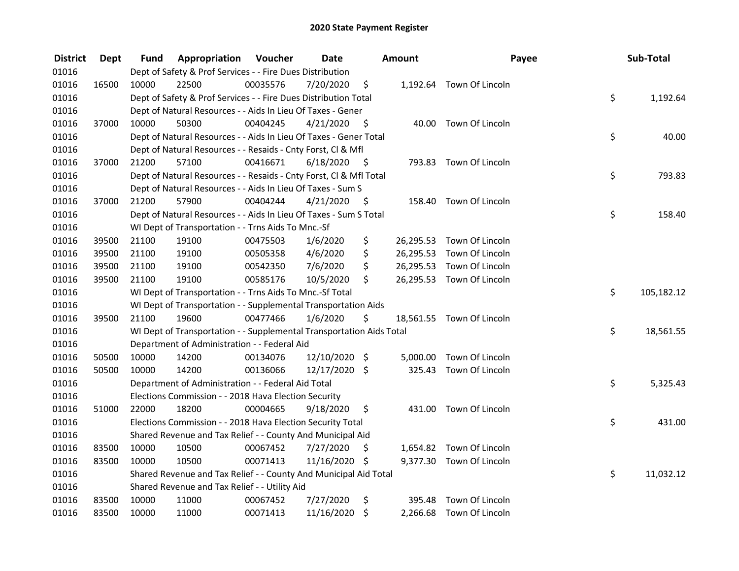| <b>District</b> | Dept  | Fund  | Appropriation                                                        | Voucher  | <b>Date</b>   |      | <b>Amount</b> | Payee                     | Sub-Total        |
|-----------------|-------|-------|----------------------------------------------------------------------|----------|---------------|------|---------------|---------------------------|------------------|
| 01016           |       |       | Dept of Safety & Prof Services - - Fire Dues Distribution            |          |               |      |               |                           |                  |
| 01016           | 16500 | 10000 | 22500                                                                | 00035576 | 7/20/2020     | \$   |               | 1,192.64 Town Of Lincoln  |                  |
| 01016           |       |       | Dept of Safety & Prof Services - - Fire Dues Distribution Total      |          |               |      |               |                           | \$<br>1,192.64   |
| 01016           |       |       | Dept of Natural Resources - - Aids In Lieu Of Taxes - Gener          |          |               |      |               |                           |                  |
| 01016           | 37000 | 10000 | 50300                                                                | 00404245 | 4/21/2020     | - \$ |               | 40.00 Town Of Lincoln     |                  |
| 01016           |       |       | Dept of Natural Resources - - Aids In Lieu Of Taxes - Gener Total    |          |               |      |               |                           | \$<br>40.00      |
| 01016           |       |       | Dept of Natural Resources - - Resaids - Cnty Forst, Cl & Mfl         |          |               |      |               |                           |                  |
| 01016           | 37000 | 21200 | 57100                                                                | 00416671 | 6/18/2020     | - \$ |               | 793.83 Town Of Lincoln    |                  |
| 01016           |       |       | Dept of Natural Resources - - Resaids - Cnty Forst, Cl & Mfl Total   |          |               |      |               |                           | \$<br>793.83     |
| 01016           |       |       | Dept of Natural Resources - - Aids In Lieu Of Taxes - Sum S          |          |               |      |               |                           |                  |
| 01016           | 37000 | 21200 | 57900                                                                | 00404244 | 4/21/2020     | - S  |               | 158.40 Town Of Lincoln    |                  |
| 01016           |       |       | Dept of Natural Resources - - Aids In Lieu Of Taxes - Sum S Total    |          |               |      |               |                           | \$<br>158.40     |
| 01016           |       |       | WI Dept of Transportation - - Trns Aids To Mnc.-Sf                   |          |               |      |               |                           |                  |
| 01016           | 39500 | 21100 | 19100                                                                | 00475503 | 1/6/2020      | \$   | 26,295.53     | Town Of Lincoln           |                  |
| 01016           | 39500 | 21100 | 19100                                                                | 00505358 | 4/6/2020      | \$   |               | 26,295.53 Town Of Lincoln |                  |
| 01016           | 39500 | 21100 | 19100                                                                | 00542350 | 7/6/2020      | \$   | 26,295.53     | Town Of Lincoln           |                  |
| 01016           | 39500 | 21100 | 19100                                                                | 00585176 | 10/5/2020     | \$   |               | 26,295.53 Town Of Lincoln |                  |
| 01016           |       |       | WI Dept of Transportation - - Trns Aids To Mnc.-Sf Total             |          |               |      |               |                           | \$<br>105,182.12 |
| 01016           |       |       | WI Dept of Transportation - - Supplemental Transportation Aids       |          |               |      |               |                           |                  |
| 01016           | 39500 | 21100 | 19600                                                                | 00477466 | 1/6/2020      | \$   |               | 18,561.55 Town Of Lincoln |                  |
| 01016           |       |       | WI Dept of Transportation - - Supplemental Transportation Aids Total |          |               |      |               |                           | \$<br>18,561.55  |
| 01016           |       |       | Department of Administration - - Federal Aid                         |          |               |      |               |                           |                  |
| 01016           | 50500 | 10000 | 14200                                                                | 00134076 | 12/10/2020 \$ |      |               | 5,000.00 Town Of Lincoln  |                  |
| 01016           | 50500 | 10000 | 14200                                                                | 00136066 | 12/17/2020 \$ |      | 325.43        | Town Of Lincoln           |                  |
| 01016           |       |       | Department of Administration - - Federal Aid Total                   |          |               |      |               |                           | \$<br>5,325.43   |
| 01016           |       |       | Elections Commission - - 2018 Hava Election Security                 |          |               |      |               |                           |                  |
| 01016           | 51000 | 22000 | 18200                                                                | 00004665 | 9/18/2020     | \$   |               | 431.00 Town Of Lincoln    |                  |
| 01016           |       |       | Elections Commission - - 2018 Hava Election Security Total           |          |               |      |               |                           | \$<br>431.00     |
| 01016           |       |       | Shared Revenue and Tax Relief - - County And Municipal Aid           |          |               |      |               |                           |                  |
| 01016           | 83500 | 10000 | 10500                                                                | 00067452 | 7/27/2020     | \$.  |               | 1,654.82 Town Of Lincoln  |                  |
| 01016           | 83500 | 10000 | 10500                                                                | 00071413 | 11/16/2020 \$ |      |               | 9,377.30 Town Of Lincoln  |                  |
| 01016           |       |       | Shared Revenue and Tax Relief - - County And Municipal Aid Total     |          |               |      |               |                           | \$<br>11,032.12  |
| 01016           |       |       | Shared Revenue and Tax Relief - - Utility Aid                        |          |               |      |               |                           |                  |
| 01016           | 83500 | 10000 | 11000                                                                | 00067452 | 7/27/2020     | \$   | 395.48        | Town Of Lincoln           |                  |
| 01016           | 83500 | 10000 | 11000                                                                | 00071413 | 11/16/2020    | \$   |               | 2,266.68 Town Of Lincoln  |                  |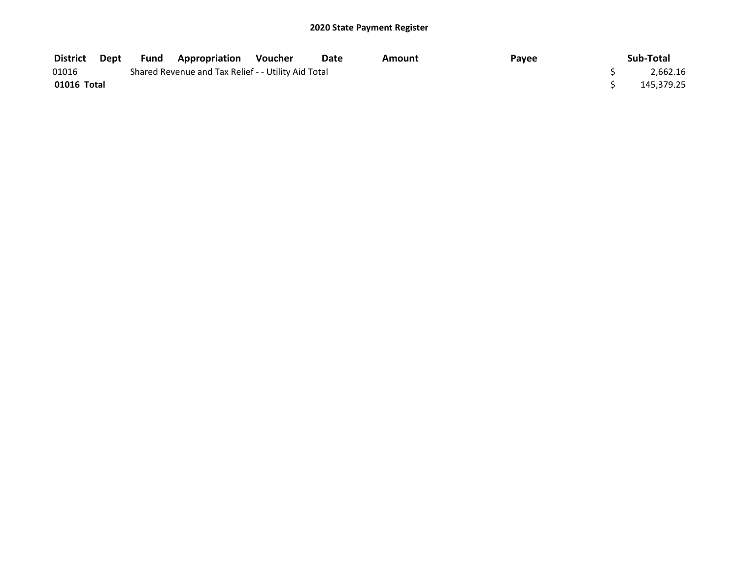| District    | Dept | <b>Fund Appropriation</b>                           | Voucher | Date | Amount | Payee | Sub-Total  |
|-------------|------|-----------------------------------------------------|---------|------|--------|-------|------------|
| 01016       |      | Shared Revenue and Tax Relief - - Utility Aid Total |         |      |        |       | 2,662.16   |
| 01016 Total |      |                                                     |         |      |        |       | 145,379.25 |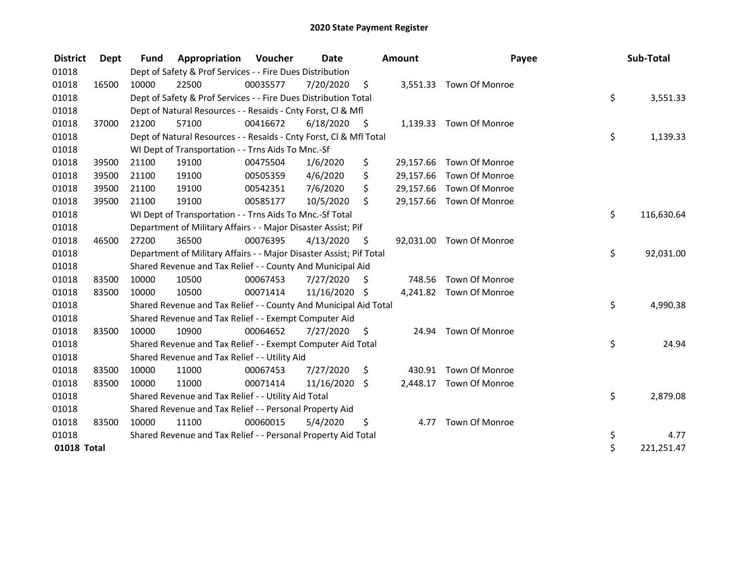| <b>District</b> | Dept  | <b>Fund</b> | Appropriation                                                       | <b>Voucher</b> | <b>Date</b>   |      | <b>Amount</b> | Payee                    | Sub-Total        |
|-----------------|-------|-------------|---------------------------------------------------------------------|----------------|---------------|------|---------------|--------------------------|------------------|
| 01018           |       |             | Dept of Safety & Prof Services - - Fire Dues Distribution           |                |               |      |               |                          |                  |
| 01018           | 16500 | 10000       | 22500                                                               | 00035577       | 7/20/2020     | \$   |               | 3,551.33 Town Of Monroe  |                  |
| 01018           |       |             | Dept of Safety & Prof Services - - Fire Dues Distribution Total     |                |               |      |               |                          | \$<br>3,551.33   |
| 01018           |       |             | Dept of Natural Resources - - Resaids - Cnty Forst, CI & Mfl        |                |               |      |               |                          |                  |
| 01018           | 37000 | 21200       | 57100                                                               | 00416672       | 6/18/2020     | - \$ |               | 1,139.33 Town Of Monroe  |                  |
| 01018           |       |             | Dept of Natural Resources - - Resaids - Cnty Forst, Cl & Mfl Total  |                |               |      |               |                          | \$<br>1,139.33   |
| 01018           |       |             | WI Dept of Transportation - - Trns Aids To Mnc.-Sf                  |                |               |      |               |                          |                  |
| 01018           | 39500 | 21100       | 19100                                                               | 00475504       | 1/6/2020      | \$   | 29,157.66     | Town Of Monroe           |                  |
| 01018           | 39500 | 21100       | 19100                                                               | 00505359       | 4/6/2020      | \$   | 29,157.66     | Town Of Monroe           |                  |
| 01018           | 39500 | 21100       | 19100                                                               | 00542351       | 7/6/2020      | \$   |               | 29,157.66 Town Of Monroe |                  |
| 01018           | 39500 | 21100       | 19100                                                               | 00585177       | 10/5/2020     | \$   |               | 29,157.66 Town Of Monroe |                  |
| 01018           |       |             | WI Dept of Transportation - - Trns Aids To Mnc.-Sf Total            |                |               |      |               |                          | \$<br>116,630.64 |
| 01018           |       |             | Department of Military Affairs - - Major Disaster Assist; Pif       |                |               |      |               |                          |                  |
| 01018           | 46500 | 27200       | 36500                                                               | 00076395       | 4/13/2020     | S    |               | 92,031.00 Town Of Monroe |                  |
| 01018           |       |             | Department of Military Affairs - - Major Disaster Assist; Pif Total |                |               |      |               |                          | \$<br>92,031.00  |
| 01018           |       |             | Shared Revenue and Tax Relief - - County And Municipal Aid          |                |               |      |               |                          |                  |
| 01018           | 83500 | 10000       | 10500                                                               | 00067453       | 7/27/2020     | \$   | 748.56        | Town Of Monroe           |                  |
| 01018           | 83500 | 10000       | 10500                                                               | 00071414       | 11/16/2020 \$ |      |               | 4,241.82 Town Of Monroe  |                  |
| 01018           |       |             | Shared Revenue and Tax Relief - - County And Municipal Aid Total    |                |               |      |               |                          | \$<br>4,990.38   |
| 01018           |       |             | Shared Revenue and Tax Relief - - Exempt Computer Aid               |                |               |      |               |                          |                  |
| 01018           | 83500 | 10000       | 10900                                                               | 00064652       | 7/27/2020     | \$.  | 24.94         | Town Of Monroe           |                  |
| 01018           |       |             | Shared Revenue and Tax Relief - - Exempt Computer Aid Total         |                |               |      |               |                          | \$<br>24.94      |
| 01018           |       |             | Shared Revenue and Tax Relief - - Utility Aid                       |                |               |      |               |                          |                  |
| 01018           | 83500 | 10000       | 11000                                                               | 00067453       | 7/27/2020     | \$   | 430.91        | Town Of Monroe           |                  |
| 01018           | 83500 | 10000       | 11000                                                               | 00071414       | 11/16/2020    | \$   | 2,448.17      | Town Of Monroe           |                  |
| 01018           |       |             | Shared Revenue and Tax Relief - - Utility Aid Total                 |                |               |      |               |                          | \$<br>2,879.08   |
| 01018           |       |             | Shared Revenue and Tax Relief - - Personal Property Aid             |                |               |      |               |                          |                  |
| 01018           | 83500 | 10000       | 11100                                                               | 00060015       | 5/4/2020      | \$   | 4.77          | Town Of Monroe           |                  |
| 01018           |       |             | Shared Revenue and Tax Relief - - Personal Property Aid Total       |                |               |      |               |                          | \$<br>4.77       |
| 01018 Total     |       |             |                                                                     |                |               |      |               |                          | \$<br>221,251.47 |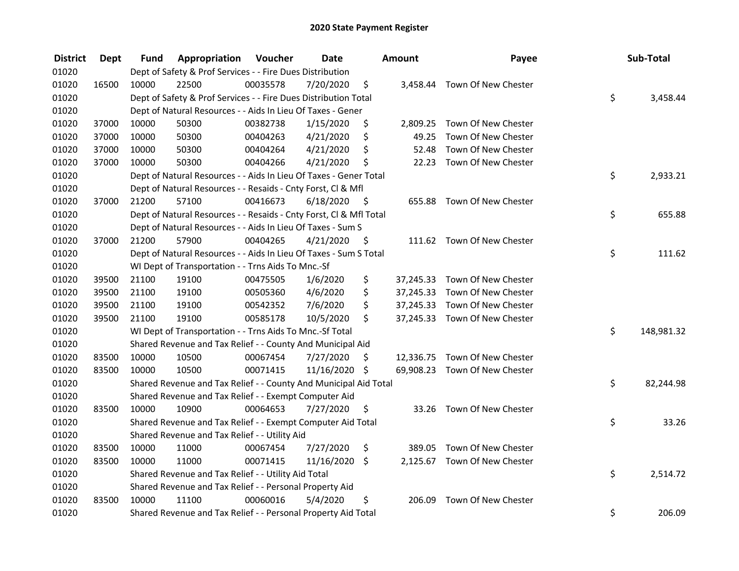| <b>District</b> | Dept  | Fund  | Appropriation                                                      | Voucher  | <b>Date</b>   |      | Amount   | Payee                         | Sub-Total        |
|-----------------|-------|-------|--------------------------------------------------------------------|----------|---------------|------|----------|-------------------------------|------------------|
| 01020           |       |       | Dept of Safety & Prof Services - - Fire Dues Distribution          |          |               |      |          |                               |                  |
| 01020           | 16500 | 10000 | 22500                                                              | 00035578 | 7/20/2020     | \$   |          | 3,458.44 Town Of New Chester  |                  |
| 01020           |       |       | Dept of Safety & Prof Services - - Fire Dues Distribution Total    |          |               |      |          |                               | \$<br>3,458.44   |
| 01020           |       |       | Dept of Natural Resources - - Aids In Lieu Of Taxes - Gener        |          |               |      |          |                               |                  |
| 01020           | 37000 | 10000 | 50300                                                              | 00382738 | 1/15/2020     | \$   | 2,809.25 | Town Of New Chester           |                  |
| 01020           | 37000 | 10000 | 50300                                                              | 00404263 | 4/21/2020     | \$   | 49.25    | Town Of New Chester           |                  |
| 01020           | 37000 | 10000 | 50300                                                              | 00404264 | 4/21/2020     | \$   | 52.48    | Town Of New Chester           |                  |
| 01020           | 37000 | 10000 | 50300                                                              | 00404266 | 4/21/2020     | \$   | 22.23    | Town Of New Chester           |                  |
| 01020           |       |       | Dept of Natural Resources - - Aids In Lieu Of Taxes - Gener Total  |          |               |      |          |                               | \$<br>2,933.21   |
| 01020           |       |       | Dept of Natural Resources - - Resaids - Cnty Forst, Cl & Mfl       |          |               |      |          |                               |                  |
| 01020           | 37000 | 21200 | 57100                                                              | 00416673 | 6/18/2020     | - \$ |          | 655.88 Town Of New Chester    |                  |
| 01020           |       |       | Dept of Natural Resources - - Resaids - Cnty Forst, CI & Mfl Total |          |               |      |          |                               | \$<br>655.88     |
| 01020           |       |       | Dept of Natural Resources - - Aids In Lieu Of Taxes - Sum S        |          |               |      |          |                               |                  |
| 01020           | 37000 | 21200 | 57900                                                              | 00404265 | 4/21/2020     | -S   |          | 111.62 Town Of New Chester    |                  |
| 01020           |       |       | Dept of Natural Resources - - Aids In Lieu Of Taxes - Sum S Total  |          |               |      |          |                               | \$<br>111.62     |
| 01020           |       |       | WI Dept of Transportation - - Trns Aids To Mnc.-Sf                 |          |               |      |          |                               |                  |
| 01020           | 39500 | 21100 | 19100                                                              | 00475505 | 1/6/2020      | \$   |          | 37,245.33 Town Of New Chester |                  |
| 01020           | 39500 | 21100 | 19100                                                              | 00505360 | 4/6/2020      | \$   |          | 37,245.33 Town Of New Chester |                  |
| 01020           | 39500 | 21100 | 19100                                                              | 00542352 | 7/6/2020      | \$   |          | 37,245.33 Town Of New Chester |                  |
| 01020           | 39500 | 21100 | 19100                                                              | 00585178 | 10/5/2020     | \$   |          | 37,245.33 Town Of New Chester |                  |
| 01020           |       |       | WI Dept of Transportation - - Trns Aids To Mnc.-Sf Total           |          |               |      |          |                               | \$<br>148,981.32 |
| 01020           |       |       | Shared Revenue and Tax Relief - - County And Municipal Aid         |          |               |      |          |                               |                  |
| 01020           | 83500 | 10000 | 10500                                                              | 00067454 | 7/27/2020     | \$.  |          | 12,336.75 Town Of New Chester |                  |
| 01020           | 83500 | 10000 | 10500                                                              | 00071415 | 11/16/2020 \$ |      |          | 69,908.23 Town Of New Chester |                  |
| 01020           |       |       | Shared Revenue and Tax Relief - - County And Municipal Aid Total   |          |               |      |          |                               | \$<br>82,244.98  |
| 01020           |       |       | Shared Revenue and Tax Relief - - Exempt Computer Aid              |          |               |      |          |                               |                  |
| 01020           | 83500 | 10000 | 10900                                                              | 00064653 | 7/27/2020     | \$   |          | 33.26 Town Of New Chester     |                  |
| 01020           |       |       | Shared Revenue and Tax Relief - - Exempt Computer Aid Total        |          |               |      |          |                               | \$<br>33.26      |
| 01020           |       |       | Shared Revenue and Tax Relief - - Utility Aid                      |          |               |      |          |                               |                  |
| 01020           | 83500 | 10000 | 11000                                                              | 00067454 | 7/27/2020     | \$   | 389.05   | Town Of New Chester           |                  |
| 01020           | 83500 | 10000 | 11000                                                              | 00071415 | 11/16/2020    | \$   |          | 2,125.67 Town Of New Chester  |                  |
| 01020           |       |       | Shared Revenue and Tax Relief - - Utility Aid Total                |          |               |      |          |                               | \$<br>2,514.72   |
| 01020           |       |       | Shared Revenue and Tax Relief - - Personal Property Aid            |          |               |      |          |                               |                  |
| 01020           | 83500 | 10000 | 11100                                                              | 00060016 | 5/4/2020      | \$   | 206.09   | Town Of New Chester           |                  |
| 01020           |       |       | Shared Revenue and Tax Relief - - Personal Property Aid Total      |          |               |      |          |                               | \$<br>206.09     |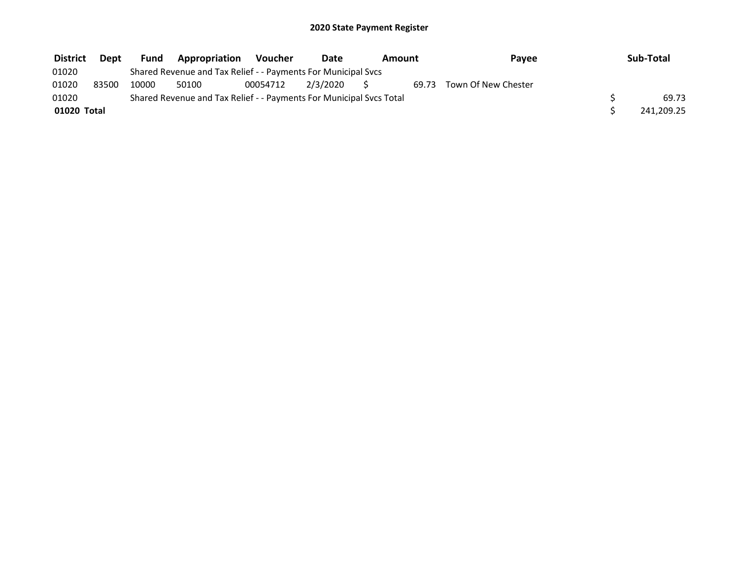| <b>District</b> | <b>Dept</b>                                                         | Fund  | <b>Appropriation</b>                                          | Voucher  | Date     | Amount    |  | Payee                     | Sub-Total |            |
|-----------------|---------------------------------------------------------------------|-------|---------------------------------------------------------------|----------|----------|-----------|--|---------------------------|-----------|------------|
| 01020           |                                                                     |       | Shared Revenue and Tax Relief - - Payments For Municipal Svcs |          |          |           |  |                           |           |            |
| 01020           | 83500                                                               | 10000 | 50100                                                         | 00054712 | 2/3/2020 | $S_{\rm}$ |  | 69.73 Town Of New Chester |           |            |
| 01020           | Shared Revenue and Tax Relief - - Payments For Municipal Svcs Total |       |                                                               |          |          |           |  |                           |           |            |
| 01020 Total     |                                                                     |       |                                                               |          |          |           |  |                           |           | 241,209.25 |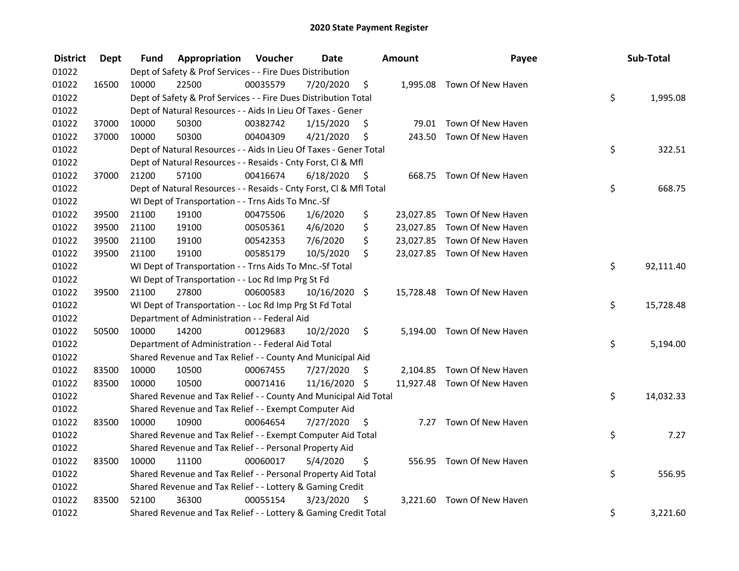| <b>District</b> | <b>Dept</b> | Fund  | Appropriation                                                      | Voucher  | <b>Date</b>   |      | Amount | Payee                       | Sub-Total       |
|-----------------|-------------|-------|--------------------------------------------------------------------|----------|---------------|------|--------|-----------------------------|-----------------|
| 01022           |             |       | Dept of Safety & Prof Services - - Fire Dues Distribution          |          |               |      |        |                             |                 |
| 01022           | 16500       | 10000 | 22500                                                              | 00035579 | 7/20/2020     | \$   |        | 1,995.08 Town Of New Haven  |                 |
| 01022           |             |       | Dept of Safety & Prof Services - - Fire Dues Distribution Total    |          |               |      |        |                             | \$<br>1,995.08  |
| 01022           |             |       | Dept of Natural Resources - - Aids In Lieu Of Taxes - Gener        |          |               |      |        |                             |                 |
| 01022           | 37000       | 10000 | 50300                                                              | 00382742 | 1/15/2020     | \$   |        | 79.01 Town Of New Haven     |                 |
| 01022           | 37000       | 10000 | 50300                                                              | 00404309 | 4/21/2020     | \$   | 243.50 | Town Of New Haven           |                 |
| 01022           |             |       | Dept of Natural Resources - - Aids In Lieu Of Taxes - Gener Total  |          |               |      |        |                             | \$<br>322.51    |
| 01022           |             |       | Dept of Natural Resources - - Resaids - Cnty Forst, Cl & Mfl       |          |               |      |        |                             |                 |
| 01022           | 37000       | 21200 | 57100                                                              | 00416674 | 6/18/2020     | - \$ |        | 668.75 Town Of New Haven    |                 |
| 01022           |             |       | Dept of Natural Resources - - Resaids - Cnty Forst, Cl & Mfl Total |          |               |      |        |                             | \$<br>668.75    |
| 01022           |             |       | WI Dept of Transportation - - Trns Aids To Mnc.-Sf                 |          |               |      |        |                             |                 |
| 01022           | 39500       | 21100 | 19100                                                              | 00475506 | 1/6/2020      | \$   |        | 23,027.85 Town Of New Haven |                 |
| 01022           | 39500       | 21100 | 19100                                                              | 00505361 | 4/6/2020      | \$   |        | 23,027.85 Town Of New Haven |                 |
| 01022           | 39500       | 21100 | 19100                                                              | 00542353 | 7/6/2020      | \$   |        | 23,027.85 Town Of New Haven |                 |
| 01022           | 39500       | 21100 | 19100                                                              | 00585179 | 10/5/2020     | \$   |        | 23,027.85 Town Of New Haven |                 |
| 01022           |             |       | WI Dept of Transportation - - Trns Aids To Mnc.-Sf Total           |          |               |      |        |                             | \$<br>92,111.40 |
| 01022           |             |       | WI Dept of Transportation - - Loc Rd Imp Prg St Fd                 |          |               |      |        |                             |                 |
| 01022           | 39500       | 21100 | 27800                                                              | 00600583 | 10/16/2020 \$ |      |        | 15,728.48 Town Of New Haven |                 |
| 01022           |             |       | WI Dept of Transportation - - Loc Rd Imp Prg St Fd Total           |          |               |      |        |                             | \$<br>15,728.48 |
| 01022           |             |       | Department of Administration - - Federal Aid                       |          |               |      |        |                             |                 |
| 01022           | 50500       | 10000 | 14200                                                              | 00129683 | 10/2/2020     | \$   |        | 5,194.00 Town Of New Haven  |                 |
| 01022           |             |       | Department of Administration - - Federal Aid Total                 |          |               |      |        |                             | \$<br>5,194.00  |
| 01022           |             |       | Shared Revenue and Tax Relief - - County And Municipal Aid         |          |               |      |        |                             |                 |
| 01022           | 83500       | 10000 | 10500                                                              | 00067455 | 7/27/2020     | \$   |        | 2,104.85 Town Of New Haven  |                 |
| 01022           | 83500       | 10000 | 10500                                                              | 00071416 | 11/16/2020 \$ |      |        | 11,927.48 Town Of New Haven |                 |
| 01022           |             |       | Shared Revenue and Tax Relief - - County And Municipal Aid Total   |          |               |      |        |                             | \$<br>14,032.33 |
| 01022           |             |       | Shared Revenue and Tax Relief - - Exempt Computer Aid              |          |               |      |        |                             |                 |
| 01022           | 83500       | 10000 | 10900                                                              | 00064654 | 7/27/2020     | \$   |        | 7.27 Town Of New Haven      |                 |
| 01022           |             |       | Shared Revenue and Tax Relief - - Exempt Computer Aid Total        |          |               |      |        |                             | \$<br>7.27      |
| 01022           |             |       | Shared Revenue and Tax Relief - - Personal Property Aid            |          |               |      |        |                             |                 |
| 01022           | 83500       | 10000 | 11100                                                              | 00060017 | 5/4/2020      | \$   |        | 556.95 Town Of New Haven    |                 |
| 01022           |             |       | Shared Revenue and Tax Relief - - Personal Property Aid Total      |          |               |      |        |                             | \$<br>556.95    |
| 01022           |             |       | Shared Revenue and Tax Relief - - Lottery & Gaming Credit          |          |               |      |        |                             |                 |
| 01022           | 83500       | 52100 | 36300                                                              | 00055154 | 3/23/2020     | \$   |        | 3,221.60 Town Of New Haven  |                 |
| 01022           |             |       | Shared Revenue and Tax Relief - - Lottery & Gaming Credit Total    |          |               |      |        |                             | \$<br>3,221.60  |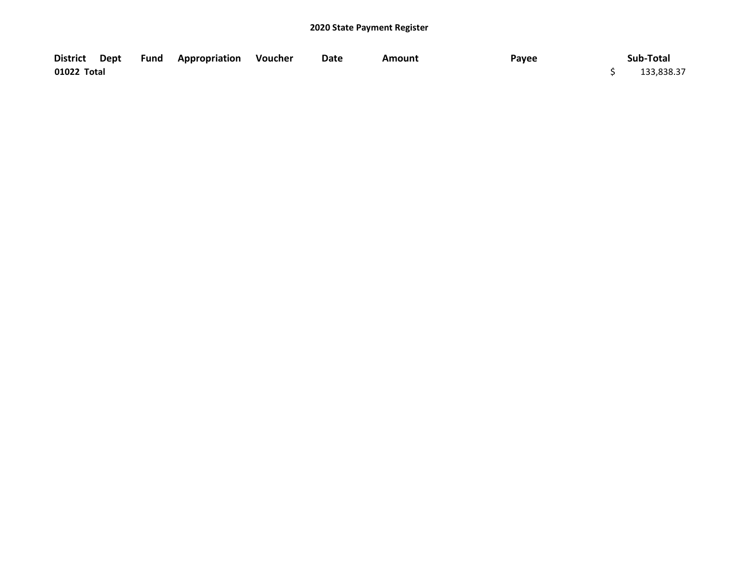| District Dept | <b>Fund</b> | <b>Appropriation Voucher</b> | Date | Amount | Payee | Sub-Total  |
|---------------|-------------|------------------------------|------|--------|-------|------------|
| 01022 Total   |             |                              |      |        |       | 133,838.37 |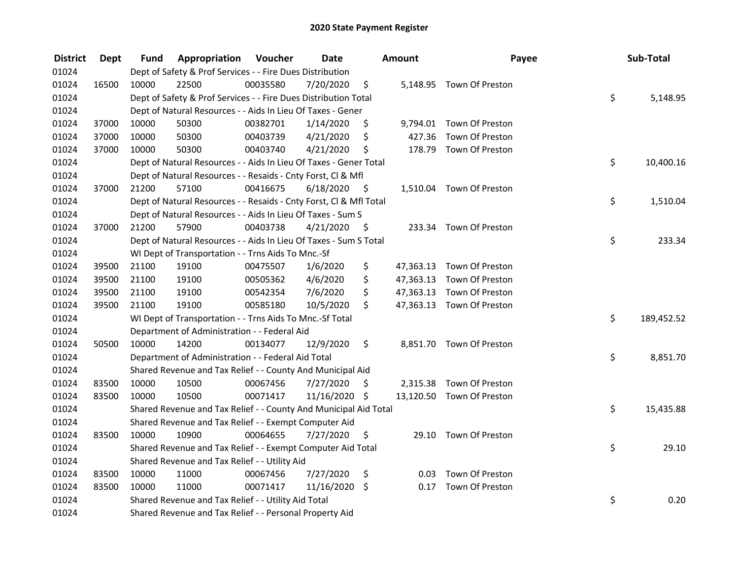| <b>District</b> | <b>Dept</b> | Fund  | Appropriation                                                      | Voucher  | <b>Date</b>   |      | Amount | Payee                     | Sub-Total        |
|-----------------|-------------|-------|--------------------------------------------------------------------|----------|---------------|------|--------|---------------------------|------------------|
| 01024           |             |       | Dept of Safety & Prof Services - - Fire Dues Distribution          |          |               |      |        |                           |                  |
| 01024           | 16500       | 10000 | 22500                                                              | 00035580 | 7/20/2020     | \$   |        | 5,148.95 Town Of Preston  |                  |
| 01024           |             |       | Dept of Safety & Prof Services - - Fire Dues Distribution Total    |          |               |      |        |                           | \$<br>5,148.95   |
| 01024           |             |       | Dept of Natural Resources - - Aids In Lieu Of Taxes - Gener        |          |               |      |        |                           |                  |
| 01024           | 37000       | 10000 | 50300                                                              | 00382701 | 1/14/2020     | \$   |        | 9,794.01 Town Of Preston  |                  |
| 01024           | 37000       | 10000 | 50300                                                              | 00403739 | 4/21/2020     | \$   | 427.36 | Town Of Preston           |                  |
| 01024           | 37000       | 10000 | 50300                                                              | 00403740 | 4/21/2020     | \$   |        | 178.79 Town Of Preston    |                  |
| 01024           |             |       | Dept of Natural Resources - - Aids In Lieu Of Taxes - Gener Total  |          |               |      |        |                           | \$<br>10,400.16  |
| 01024           |             |       | Dept of Natural Resources - - Resaids - Cnty Forst, Cl & Mfl       |          |               |      |        |                           |                  |
| 01024           | 37000       | 21200 | 57100                                                              | 00416675 | 6/18/2020     | - \$ |        | 1,510.04 Town Of Preston  |                  |
| 01024           |             |       | Dept of Natural Resources - - Resaids - Cnty Forst, Cl & Mfl Total |          |               |      |        |                           | \$<br>1,510.04   |
| 01024           |             |       | Dept of Natural Resources - - Aids In Lieu Of Taxes - Sum S        |          |               |      |        |                           |                  |
| 01024           | 37000       | 21200 | 57900                                                              | 00403738 | 4/21/2020     | - \$ |        | 233.34 Town Of Preston    |                  |
| 01024           |             |       | Dept of Natural Resources - - Aids In Lieu Of Taxes - Sum S Total  |          |               |      |        |                           | \$<br>233.34     |
| 01024           |             |       | WI Dept of Transportation - - Trns Aids To Mnc.-Sf                 |          |               |      |        |                           |                  |
| 01024           | 39500       | 21100 | 19100                                                              | 00475507 | 1/6/2020      | \$   |        | 47,363.13 Town Of Preston |                  |
| 01024           | 39500       | 21100 | 19100                                                              | 00505362 | 4/6/2020      | \$   |        | 47,363.13 Town Of Preston |                  |
| 01024           | 39500       | 21100 | 19100                                                              | 00542354 | 7/6/2020      | \$   |        | 47,363.13 Town Of Preston |                  |
| 01024           | 39500       | 21100 | 19100                                                              | 00585180 | 10/5/2020     | \$   |        | 47,363.13 Town Of Preston |                  |
| 01024           |             |       | WI Dept of Transportation - - Trns Aids To Mnc.-Sf Total           |          |               |      |        |                           | \$<br>189,452.52 |
| 01024           |             |       | Department of Administration - - Federal Aid                       |          |               |      |        |                           |                  |
| 01024           | 50500       | 10000 | 14200                                                              | 00134077 | 12/9/2020     | \$   |        | 8,851.70 Town Of Preston  |                  |
| 01024           |             |       | Department of Administration - - Federal Aid Total                 |          |               |      |        |                           | \$<br>8,851.70   |
| 01024           |             |       | Shared Revenue and Tax Relief - - County And Municipal Aid         |          |               |      |        |                           |                  |
| 01024           | 83500       | 10000 | 10500                                                              | 00067456 | 7/27/2020     | S    |        | 2,315.38 Town Of Preston  |                  |
| 01024           | 83500       | 10000 | 10500                                                              | 00071417 | 11/16/2020 \$ |      |        | 13,120.50 Town Of Preston |                  |
| 01024           |             |       | Shared Revenue and Tax Relief - - County And Municipal Aid Total   |          |               |      |        |                           | \$<br>15,435.88  |
| 01024           |             |       | Shared Revenue and Tax Relief - - Exempt Computer Aid              |          |               |      |        |                           |                  |
| 01024           | 83500       | 10000 | 10900                                                              | 00064655 | 7/27/2020     | \$   |        | 29.10 Town Of Preston     |                  |
| 01024           |             |       | Shared Revenue and Tax Relief - - Exempt Computer Aid Total        |          |               |      |        |                           | \$<br>29.10      |
| 01024           |             |       | Shared Revenue and Tax Relief - - Utility Aid                      |          |               |      |        |                           |                  |
| 01024           | 83500       | 10000 | 11000                                                              | 00067456 | 7/27/2020     | \$   |        | 0.03 Town Of Preston      |                  |
| 01024           | 83500       | 10000 | 11000                                                              | 00071417 | 11/16/2020 \$ |      | 0.17   | Town Of Preston           |                  |
| 01024           |             |       | Shared Revenue and Tax Relief - - Utility Aid Total                |          |               |      |        |                           | \$<br>0.20       |
| 01024           |             |       | Shared Revenue and Tax Relief - - Personal Property Aid            |          |               |      |        |                           |                  |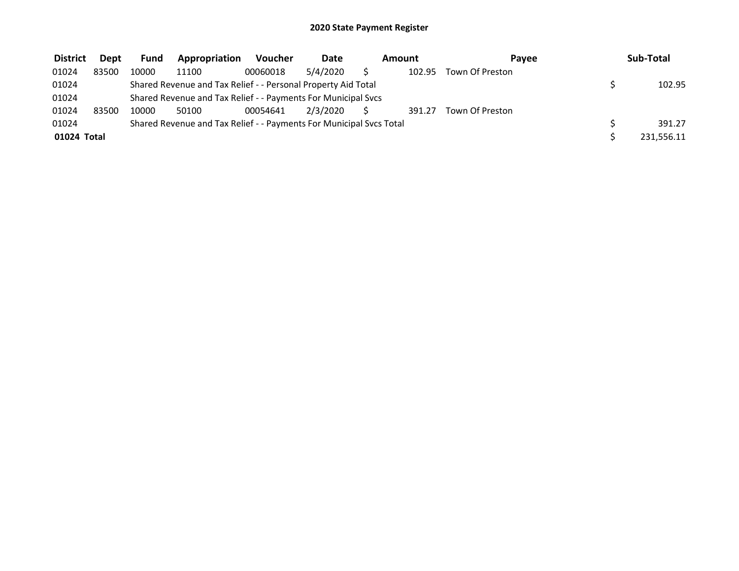| <b>District</b> | <b>Dept</b> | <b>Fund</b> | Appropriation                                                       | <b>Voucher</b> | Date     | Amount |        | Pavee           | Sub-Total  |  |
|-----------------|-------------|-------------|---------------------------------------------------------------------|----------------|----------|--------|--------|-----------------|------------|--|
| 01024           | 83500       | 10000       | 11100                                                               | 00060018       | 5/4/2020 |        | 102.95 | Town Of Preston |            |  |
| 01024           |             |             | Shared Revenue and Tax Relief - - Personal Property Aid Total       |                |          |        |        |                 | 102.95     |  |
| 01024           |             |             | Shared Revenue and Tax Relief - - Payments For Municipal Svcs       |                |          |        |        |                 |            |  |
| 01024           | 83500       | 10000       | 50100                                                               | 00054641       | 2/3/2020 |        | 391.27 | Town Of Preston |            |  |
| 01024           |             |             | Shared Revenue and Tax Relief - - Payments For Municipal Svcs Total |                |          |        |        |                 | 391.27     |  |
| 01024 Total     |             |             |                                                                     |                |          |        |        |                 | 231,556.11 |  |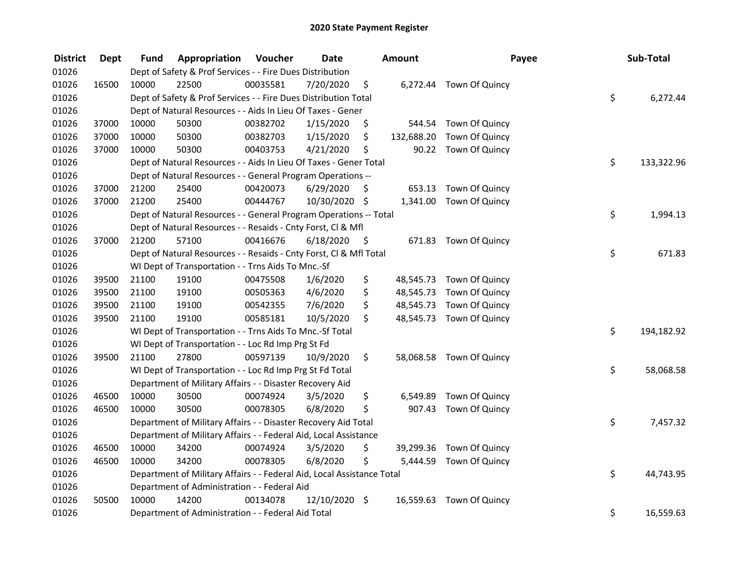| <b>District</b> | <b>Dept</b> | Fund  | Appropriation                                                          | Voucher  | <b>Date</b>   |      | <b>Amount</b> | Payee                    | Sub-Total        |
|-----------------|-------------|-------|------------------------------------------------------------------------|----------|---------------|------|---------------|--------------------------|------------------|
| 01026           |             |       | Dept of Safety & Prof Services - - Fire Dues Distribution              |          |               |      |               |                          |                  |
| 01026           | 16500       | 10000 | 22500                                                                  | 00035581 | 7/20/2020     | \$   |               | 6,272.44 Town Of Quincy  |                  |
| 01026           |             |       | Dept of Safety & Prof Services - - Fire Dues Distribution Total        |          |               |      |               |                          | \$<br>6,272.44   |
| 01026           |             |       | Dept of Natural Resources - - Aids In Lieu Of Taxes - Gener            |          |               |      |               |                          |                  |
| 01026           | 37000       | 10000 | 50300                                                                  | 00382702 | 1/15/2020     | \$   |               | 544.54 Town Of Quincy    |                  |
| 01026           | 37000       | 10000 | 50300                                                                  | 00382703 | 1/15/2020     | \$   | 132,688.20    | Town Of Quincy           |                  |
| 01026           | 37000       | 10000 | 50300                                                                  | 00403753 | 4/21/2020     | \$   |               | 90.22 Town Of Quincy     |                  |
| 01026           |             |       | Dept of Natural Resources - - Aids In Lieu Of Taxes - Gener Total      |          |               |      |               |                          | \$<br>133,322.96 |
| 01026           |             |       | Dept of Natural Resources - - General Program Operations --            |          |               |      |               |                          |                  |
| 01026           | 37000       | 21200 | 25400                                                                  | 00420073 | 6/29/2020     | \$   |               | 653.13 Town Of Quincy    |                  |
| 01026           | 37000       | 21200 | 25400                                                                  | 00444767 | 10/30/2020 \$ |      |               | 1,341.00 Town Of Quincy  |                  |
| 01026           |             |       | Dept of Natural Resources - - General Program Operations -- Total      |          |               |      |               |                          | \$<br>1,994.13   |
| 01026           |             |       | Dept of Natural Resources - - Resaids - Cnty Forst, Cl & Mfl           |          |               |      |               |                          |                  |
| 01026           | 37000       | 21200 | 57100                                                                  | 00416676 | 6/18/2020     | - \$ |               | 671.83 Town Of Quincy    |                  |
| 01026           |             |       | Dept of Natural Resources - - Resaids - Cnty Forst, Cl & Mfl Total     |          |               |      |               |                          | \$<br>671.83     |
| 01026           |             |       | WI Dept of Transportation - - Trns Aids To Mnc.-Sf                     |          |               |      |               |                          |                  |
| 01026           | 39500       | 21100 | 19100                                                                  | 00475508 | 1/6/2020      | \$   | 48,545.73     | Town Of Quincy           |                  |
| 01026           | 39500       | 21100 | 19100                                                                  | 00505363 | 4/6/2020      | \$   | 48,545.73     | Town Of Quincy           |                  |
| 01026           | 39500       | 21100 | 19100                                                                  | 00542355 | 7/6/2020      | \$   |               | 48,545.73 Town Of Quincy |                  |
| 01026           | 39500       | 21100 | 19100                                                                  | 00585181 | 10/5/2020     | \$   |               | 48,545.73 Town Of Quincy |                  |
| 01026           |             |       | WI Dept of Transportation - - Trns Aids To Mnc.-Sf Total               |          |               |      |               |                          | \$<br>194,182.92 |
| 01026           |             |       | WI Dept of Transportation - - Loc Rd Imp Prg St Fd                     |          |               |      |               |                          |                  |
| 01026           | 39500       | 21100 | 27800                                                                  | 00597139 | 10/9/2020     | \$.  |               | 58,068.58 Town Of Quincy |                  |
| 01026           |             |       | WI Dept of Transportation - - Loc Rd Imp Prg St Fd Total               |          |               |      |               |                          | \$<br>58,068.58  |
| 01026           |             |       | Department of Military Affairs - - Disaster Recovery Aid               |          |               |      |               |                          |                  |
| 01026           | 46500       | 10000 | 30500                                                                  | 00074924 | 3/5/2020      | \$   | 6,549.89      | Town Of Quincy           |                  |
| 01026           | 46500       | 10000 | 30500                                                                  | 00078305 | 6/8/2020      | \$   | 907.43        | Town Of Quincy           |                  |
| 01026           |             |       | Department of Military Affairs - - Disaster Recovery Aid Total         |          |               |      |               |                          | \$<br>7,457.32   |
| 01026           |             |       | Department of Military Affairs - - Federal Aid, Local Assistance       |          |               |      |               |                          |                  |
| 01026           | 46500       | 10000 | 34200                                                                  | 00074924 | 3/5/2020      | \$   |               | 39,299.36 Town Of Quincy |                  |
| 01026           | 46500       | 10000 | 34200                                                                  | 00078305 | 6/8/2020      | \$   | 5,444.59      | Town Of Quincy           |                  |
| 01026           |             |       | Department of Military Affairs - - Federal Aid, Local Assistance Total |          |               |      |               |                          | \$<br>44,743.95  |
| 01026           |             |       | Department of Administration - - Federal Aid                           |          |               |      |               |                          |                  |
| 01026           | 50500       | 10000 | 14200                                                                  | 00134078 | 12/10/2020 \$ |      | 16,559.63     | Town Of Quincy           |                  |
| 01026           |             |       | Department of Administration - - Federal Aid Total                     |          |               |      |               |                          | \$<br>16,559.63  |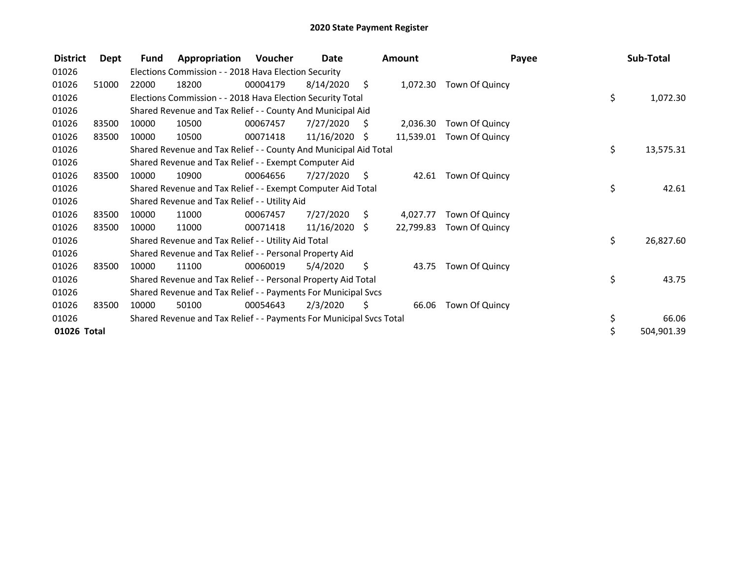| <b>District</b> | Dept  | Fund  | Appropriation                                                       | Voucher  | Date            |      | Amount    |                | Payee | Sub-Total  |
|-----------------|-------|-------|---------------------------------------------------------------------|----------|-----------------|------|-----------|----------------|-------|------------|
| 01026           |       |       | Elections Commission - - 2018 Hava Election Security                |          |                 |      |           |                |       |            |
| 01026           | 51000 | 22000 | 18200                                                               | 00004179 | 8/14/2020       | - \$ | 1,072.30  | Town Of Quincy |       |            |
| 01026           |       |       | Elections Commission - - 2018 Hava Election Security Total          |          |                 |      |           |                | \$    | 1,072.30   |
| 01026           |       |       | Shared Revenue and Tax Relief - - County And Municipal Aid          |          |                 |      |           |                |       |            |
| 01026           | 83500 | 10000 | 10500                                                               | 00067457 | 7/27/2020       | S    | 2,036.30  | Town Of Quincy |       |            |
| 01026           | 83500 | 10000 | 10500                                                               | 00071418 | 11/16/2020      | S    | 11,539.01 | Town Of Quincy |       |            |
| 01026           |       |       | Shared Revenue and Tax Relief - - County And Municipal Aid Total    |          |                 |      |           |                | \$    | 13,575.31  |
| 01026           |       |       | Shared Revenue and Tax Relief - - Exempt Computer Aid               |          |                 |      |           |                |       |            |
| 01026           | 83500 | 10000 | 10900                                                               | 00064656 | 7/27/2020       | \$   | 42.61     | Town Of Quincy |       |            |
| 01026           |       |       | Shared Revenue and Tax Relief - - Exempt Computer Aid Total         |          |                 |      |           |                | \$    | 42.61      |
| 01026           |       |       | Shared Revenue and Tax Relief - - Utility Aid                       |          |                 |      |           |                |       |            |
| 01026           | 83500 | 10000 | 11000                                                               | 00067457 | 7/27/2020       | S    | 4,027.77  | Town Of Quincy |       |            |
| 01026           | 83500 | 10000 | 11000                                                               | 00071418 | $11/16/2020$ \$ |      | 22,799.83 | Town Of Quincy |       |            |
| 01026           |       |       | Shared Revenue and Tax Relief - - Utility Aid Total                 |          |                 |      |           |                | \$    | 26,827.60  |
| 01026           |       |       | Shared Revenue and Tax Relief - - Personal Property Aid             |          |                 |      |           |                |       |            |
| 01026           | 83500 | 10000 | 11100                                                               | 00060019 | 5/4/2020        | \$   | 43.75     | Town Of Quincy |       |            |
| 01026           |       |       | Shared Revenue and Tax Relief - - Personal Property Aid Total       |          |                 |      |           |                | \$    | 43.75      |
| 01026           |       |       | Shared Revenue and Tax Relief - - Payments For Municipal Svcs       |          |                 |      |           |                |       |            |
| 01026           | 83500 | 10000 | 50100                                                               | 00054643 | 2/3/2020        | S    | 66.06     | Town Of Quincy |       |            |
| 01026           |       |       | Shared Revenue and Tax Relief - - Payments For Municipal Svcs Total |          |                 |      |           |                | \$    | 66.06      |
| 01026 Total     |       |       |                                                                     |          |                 |      |           |                |       | 504,901.39 |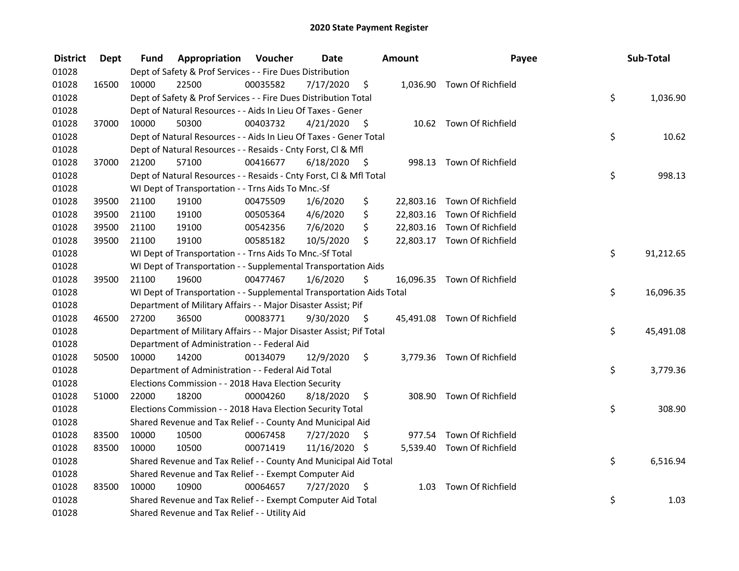| <b>District</b> | Dept  | Fund  | Appropriation                                                        | Voucher  | <b>Date</b>   |      | Amount | Payee                       | Sub-Total       |
|-----------------|-------|-------|----------------------------------------------------------------------|----------|---------------|------|--------|-----------------------------|-----------------|
| 01028           |       |       | Dept of Safety & Prof Services - - Fire Dues Distribution            |          |               |      |        |                             |                 |
| 01028           | 16500 | 10000 | 22500                                                                | 00035582 | 7/17/2020     | \$   |        | 1,036.90 Town Of Richfield  |                 |
| 01028           |       |       | Dept of Safety & Prof Services - - Fire Dues Distribution Total      |          |               |      |        |                             | \$<br>1,036.90  |
| 01028           |       |       | Dept of Natural Resources - - Aids In Lieu Of Taxes - Gener          |          |               |      |        |                             |                 |
| 01028           | 37000 | 10000 | 50300                                                                | 00403732 | 4/21/2020     | - \$ |        | 10.62 Town Of Richfield     |                 |
| 01028           |       |       | Dept of Natural Resources - - Aids In Lieu Of Taxes - Gener Total    |          |               |      |        |                             | \$<br>10.62     |
| 01028           |       |       | Dept of Natural Resources - - Resaids - Cnty Forst, Cl & Mfl         |          |               |      |        |                             |                 |
| 01028           | 37000 | 21200 | 57100                                                                | 00416677 | 6/18/2020     | - \$ |        | 998.13 Town Of Richfield    |                 |
| 01028           |       |       | Dept of Natural Resources - - Resaids - Cnty Forst, Cl & Mfl Total   |          |               |      |        |                             | \$<br>998.13    |
| 01028           |       |       | WI Dept of Transportation - - Trns Aids To Mnc.-Sf                   |          |               |      |        |                             |                 |
| 01028           | 39500 | 21100 | 19100                                                                | 00475509 | 1/6/2020      | \$   |        | 22,803.16 Town Of Richfield |                 |
| 01028           | 39500 | 21100 | 19100                                                                | 00505364 | 4/6/2020      | \$   |        | 22,803.16 Town Of Richfield |                 |
| 01028           | 39500 | 21100 | 19100                                                                | 00542356 | 7/6/2020      | \$   |        | 22,803.16 Town Of Richfield |                 |
| 01028           | 39500 | 21100 | 19100                                                                | 00585182 | 10/5/2020     | \$   |        | 22,803.17 Town Of Richfield |                 |
| 01028           |       |       | WI Dept of Transportation - - Trns Aids To Mnc.-Sf Total             |          |               |      |        |                             | \$<br>91,212.65 |
| 01028           |       |       | WI Dept of Transportation - - Supplemental Transportation Aids       |          |               |      |        |                             |                 |
| 01028           | 39500 | 21100 | 19600                                                                | 00477467 | 1/6/2020      | \$   |        | 16,096.35 Town Of Richfield |                 |
| 01028           |       |       | WI Dept of Transportation - - Supplemental Transportation Aids Total |          |               |      |        |                             | \$<br>16,096.35 |
| 01028           |       |       | Department of Military Affairs - - Major Disaster Assist; Pif        |          |               |      |        |                             |                 |
| 01028           | 46500 | 27200 | 36500                                                                | 00083771 | 9/30/2020     | - \$ |        | 45,491.08 Town Of Richfield |                 |
| 01028           |       |       | Department of Military Affairs - - Major Disaster Assist; Pif Total  |          |               |      |        |                             | \$<br>45,491.08 |
| 01028           |       |       | Department of Administration - - Federal Aid                         |          |               |      |        |                             |                 |
| 01028           | 50500 | 10000 | 14200                                                                | 00134079 | 12/9/2020     | \$   |        | 3,779.36 Town Of Richfield  |                 |
| 01028           |       |       | Department of Administration - - Federal Aid Total                   |          |               |      |        |                             | \$<br>3,779.36  |
| 01028           |       |       | Elections Commission - - 2018 Hava Election Security                 |          |               |      |        |                             |                 |
| 01028           | 51000 | 22000 | 18200                                                                | 00004260 | 8/18/2020     | \$   |        | 308.90 Town Of Richfield    |                 |
| 01028           |       |       | Elections Commission - - 2018 Hava Election Security Total           |          |               |      |        |                             | \$<br>308.90    |
| 01028           |       |       | Shared Revenue and Tax Relief - - County And Municipal Aid           |          |               |      |        |                             |                 |
| 01028           | 83500 | 10000 | 10500                                                                | 00067458 | 7/27/2020     | \$   |        | 977.54 Town Of Richfield    |                 |
| 01028           | 83500 | 10000 | 10500                                                                | 00071419 | 11/16/2020 \$ |      |        | 5,539.40 Town Of Richfield  |                 |
| 01028           |       |       | Shared Revenue and Tax Relief - - County And Municipal Aid Total     |          |               |      |        |                             | \$<br>6,516.94  |
| 01028           |       |       | Shared Revenue and Tax Relief - - Exempt Computer Aid                |          |               |      |        |                             |                 |
| 01028           | 83500 | 10000 | 10900                                                                | 00064657 | 7/27/2020     | \$   |        | 1.03 Town Of Richfield      |                 |
| 01028           |       |       | Shared Revenue and Tax Relief - - Exempt Computer Aid Total          |          |               |      |        |                             | \$<br>1.03      |
| 01028           |       |       | Shared Revenue and Tax Relief - - Utility Aid                        |          |               |      |        |                             |                 |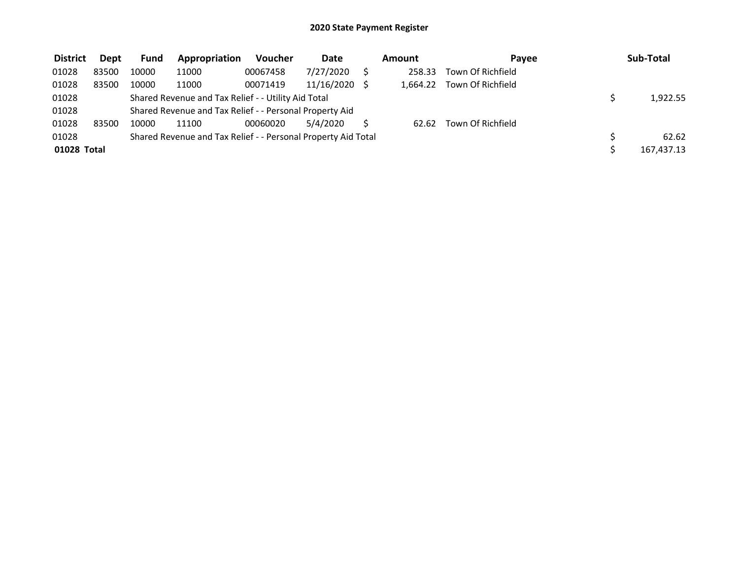| <b>District</b> | <b>Dept</b> | <b>Fund</b> | Appropriation                                                 | <b>Voucher</b> | Date       | Amount   | Pavee             | Sub-Total  |
|-----------------|-------------|-------------|---------------------------------------------------------------|----------------|------------|----------|-------------------|------------|
| 01028           | 83500       | 10000       | 11000                                                         | 00067458       | 7/27/2020  | 258.33   | Town Of Richfield |            |
| 01028           | 83500       | 10000       | 11000                                                         | 00071419       | 11/16/2020 | 1.664.22 | Town Of Richfield |            |
| 01028           |             |             | Shared Revenue and Tax Relief - - Utility Aid Total           |                |            |          |                   | 1,922.55   |
| 01028           |             |             | Shared Revenue and Tax Relief - - Personal Property Aid       |                |            |          |                   |            |
| 01028           | 83500       | 10000       | 11100                                                         | 00060020       | 5/4/2020   | 62.62    | Town Of Richfield |            |
| 01028           |             |             | Shared Revenue and Tax Relief - - Personal Property Aid Total |                |            |          |                   | 62.62      |
| 01028 Total     |             |             |                                                               |                |            |          |                   | 167,437.13 |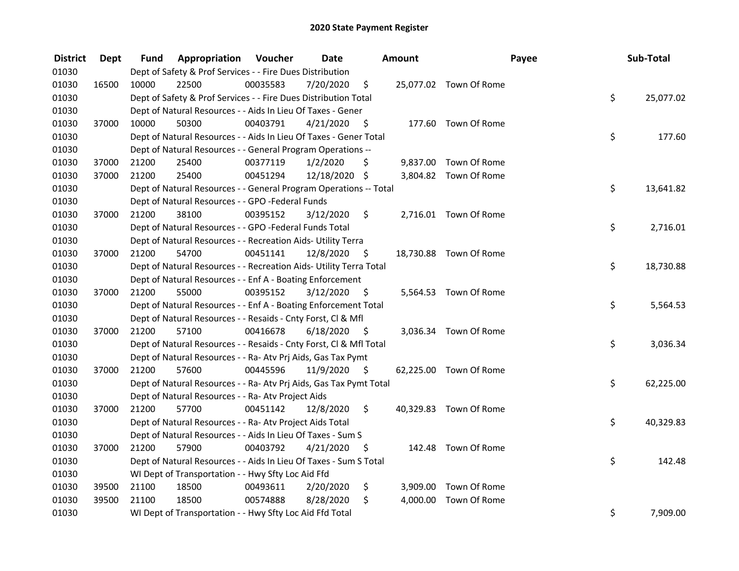| <b>District</b> | <b>Dept</b> | Fund  | Appropriation                                                      | Voucher  | <b>Date</b>   |      | <b>Amount</b> |                        | Payee | Sub-Total |
|-----------------|-------------|-------|--------------------------------------------------------------------|----------|---------------|------|---------------|------------------------|-------|-----------|
| 01030           |             |       | Dept of Safety & Prof Services - - Fire Dues Distribution          |          |               |      |               |                        |       |           |
| 01030           | 16500       | 10000 | 22500                                                              | 00035583 | 7/20/2020     | \$   |               | 25,077.02 Town Of Rome |       |           |
| 01030           |             |       | Dept of Safety & Prof Services - - Fire Dues Distribution Total    |          |               |      |               |                        | \$    | 25,077.02 |
| 01030           |             |       | Dept of Natural Resources - - Aids In Lieu Of Taxes - Gener        |          |               |      |               |                        |       |           |
| 01030           | 37000       | 10000 | 50300                                                              | 00403791 | 4/21/2020     | - \$ |               | 177.60 Town Of Rome    |       |           |
| 01030           |             |       | Dept of Natural Resources - - Aids In Lieu Of Taxes - Gener Total  |          |               |      |               |                        | \$    | 177.60    |
| 01030           |             |       | Dept of Natural Resources - - General Program Operations --        |          |               |      |               |                        |       |           |
| 01030           | 37000       | 21200 | 25400                                                              | 00377119 | 1/2/2020      | \$   |               | 9,837.00 Town Of Rome  |       |           |
| 01030           | 37000       | 21200 | 25400                                                              | 00451294 | 12/18/2020 \$ |      |               | 3,804.82 Town Of Rome  |       |           |
| 01030           |             |       | Dept of Natural Resources - - General Program Operations -- Total  |          |               |      |               |                        | \$    | 13,641.82 |
| 01030           |             |       | Dept of Natural Resources - - GPO -Federal Funds                   |          |               |      |               |                        |       |           |
| 01030           | 37000       | 21200 | 38100                                                              | 00395152 | 3/12/2020     | \$   |               | 2,716.01 Town Of Rome  |       |           |
| 01030           |             |       | Dept of Natural Resources - - GPO -Federal Funds Total             |          |               |      |               |                        | \$    | 2,716.01  |
| 01030           |             |       | Dept of Natural Resources - - Recreation Aids- Utility Terra       |          |               |      |               |                        |       |           |
| 01030           | 37000       | 21200 | 54700                                                              | 00451141 | 12/8/2020     | \$   |               | 18,730.88 Town Of Rome |       |           |
| 01030           |             |       | Dept of Natural Resources - - Recreation Aids- Utility Terra Total |          |               |      |               |                        | \$    | 18,730.88 |
| 01030           |             |       | Dept of Natural Resources - - Enf A - Boating Enforcement          |          |               |      |               |                        |       |           |
| 01030           | 37000       | 21200 | 55000                                                              | 00395152 | 3/12/2020     | \$   |               | 5,564.53 Town Of Rome  |       |           |
| 01030           |             |       | Dept of Natural Resources - - Enf A - Boating Enforcement Total    |          |               |      |               |                        | \$    | 5,564.53  |
| 01030           |             |       | Dept of Natural Resources - - Resaids - Cnty Forst, Cl & Mfl       |          |               |      |               |                        |       |           |
| 01030           | 37000       | 21200 | 57100                                                              | 00416678 | 6/18/2020     | - \$ |               | 3,036.34 Town Of Rome  |       |           |
| 01030           |             |       | Dept of Natural Resources - - Resaids - Cnty Forst, CI & Mfl Total |          |               |      |               |                        | \$    | 3,036.34  |
| 01030           |             |       | Dept of Natural Resources - - Ra- Atv Prj Aids, Gas Tax Pymt       |          |               |      |               |                        |       |           |
| 01030           | 37000       | 21200 | 57600                                                              | 00445596 | 11/9/2020     | - \$ |               | 62,225.00 Town Of Rome |       |           |
| 01030           |             |       | Dept of Natural Resources - - Ra- Atv Prj Aids, Gas Tax Pymt Total |          |               |      |               |                        | \$    | 62,225.00 |
| 01030           |             |       | Dept of Natural Resources - - Ra- Atv Project Aids                 |          |               |      |               |                        |       |           |
| 01030           | 37000       | 21200 | 57700                                                              | 00451142 | 12/8/2020     | \$   |               | 40,329.83 Town Of Rome |       |           |
| 01030           |             |       | Dept of Natural Resources - - Ra- Atv Project Aids Total           |          |               |      |               |                        | \$    | 40,329.83 |
| 01030           |             |       | Dept of Natural Resources - - Aids In Lieu Of Taxes - Sum S        |          |               |      |               |                        |       |           |
| 01030           | 37000       | 21200 | 57900                                                              | 00403792 | 4/21/2020     | - \$ |               | 142.48 Town Of Rome    |       |           |
| 01030           |             |       | Dept of Natural Resources - - Aids In Lieu Of Taxes - Sum S Total  |          |               |      |               |                        | \$    | 142.48    |
| 01030           |             |       | WI Dept of Transportation - - Hwy Sfty Loc Aid Ffd                 |          |               |      |               |                        |       |           |
| 01030           | 39500       | 21100 | 18500                                                              | 00493611 | 2/20/2020     | \$   |               | 3,909.00 Town Of Rome  |       |           |
| 01030           | 39500       | 21100 | 18500                                                              | 00574888 | 8/28/2020     | \$   | 4,000.00      | Town Of Rome           |       |           |
| 01030           |             |       | WI Dept of Transportation - - Hwy Sfty Loc Aid Ffd Total           |          |               |      |               |                        | \$    | 7,909.00  |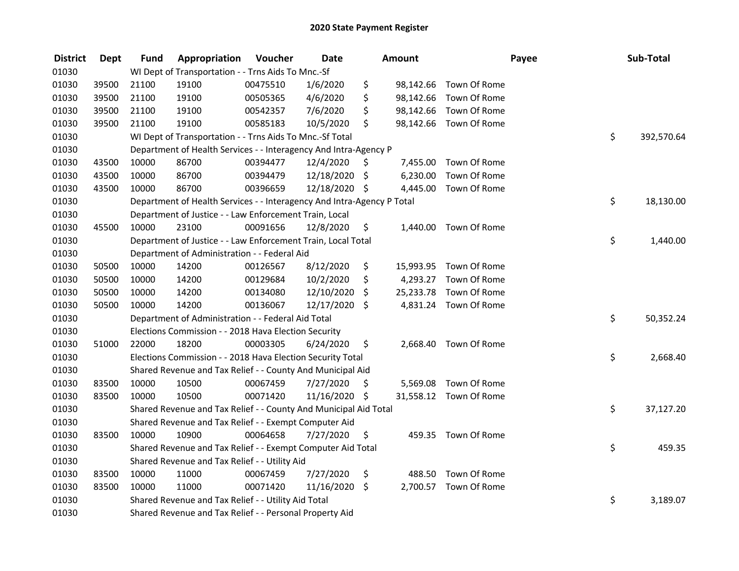| <b>District</b> | <b>Dept</b> | <b>Fund</b> | Appropriation                                                          | Voucher  | <b>Date</b>   |     | Amount   |                        | Payee | Sub-Total  |
|-----------------|-------------|-------------|------------------------------------------------------------------------|----------|---------------|-----|----------|------------------------|-------|------------|
| 01030           |             |             | WI Dept of Transportation - - Trns Aids To Mnc.-Sf                     |          |               |     |          |                        |       |            |
| 01030           | 39500       | 21100       | 19100                                                                  | 00475510 | 1/6/2020      | \$  |          | 98,142.66 Town Of Rome |       |            |
| 01030           | 39500       | 21100       | 19100                                                                  | 00505365 | 4/6/2020      | \$  |          | 98,142.66 Town Of Rome |       |            |
| 01030           | 39500       | 21100       | 19100                                                                  | 00542357 | 7/6/2020      | \$  |          | 98,142.66 Town Of Rome |       |            |
| 01030           | 39500       | 21100       | 19100                                                                  | 00585183 | 10/5/2020     | \$  |          | 98,142.66 Town Of Rome |       |            |
| 01030           |             |             | WI Dept of Transportation - - Trns Aids To Mnc.-Sf Total               |          |               |     |          |                        | \$    | 392,570.64 |
| 01030           |             |             | Department of Health Services - - Interagency And Intra-Agency P       |          |               |     |          |                        |       |            |
| 01030           | 43500       | 10000       | 86700                                                                  | 00394477 | 12/4/2020     | \$  | 7,455.00 | Town Of Rome           |       |            |
| 01030           | 43500       | 10000       | 86700                                                                  | 00394479 | 12/18/2020    | \$  | 6,230.00 | Town Of Rome           |       |            |
| 01030           | 43500       | 10000       | 86700                                                                  | 00396659 | 12/18/2020 \$ |     | 4,445.00 | Town Of Rome           |       |            |
| 01030           |             |             | Department of Health Services - - Interagency And Intra-Agency P Total |          |               |     |          |                        | \$    | 18,130.00  |
| 01030           |             |             | Department of Justice - - Law Enforcement Train, Local                 |          |               |     |          |                        |       |            |
| 01030           | 45500       | 10000       | 23100                                                                  | 00091656 | 12/8/2020     | \$  | 1,440.00 | Town Of Rome           |       |            |
| 01030           |             |             | Department of Justice - - Law Enforcement Train, Local Total           |          |               |     |          |                        | \$    | 1,440.00   |
| 01030           |             |             | Department of Administration - - Federal Aid                           |          |               |     |          |                        |       |            |
| 01030           | 50500       | 10000       | 14200                                                                  | 00126567 | 8/12/2020     | \$  |          | 15,993.95 Town Of Rome |       |            |
| 01030           | 50500       | 10000       | 14200                                                                  | 00129684 | 10/2/2020     | \$  |          | 4,293.27 Town Of Rome  |       |            |
| 01030           | 50500       | 10000       | 14200                                                                  | 00134080 | 12/10/2020    | \$  |          | 25,233.78 Town Of Rome |       |            |
| 01030           | 50500       | 10000       | 14200                                                                  | 00136067 | 12/17/2020    | \$  |          | 4,831.24 Town Of Rome  |       |            |
| 01030           |             |             | Department of Administration - - Federal Aid Total                     |          |               |     |          |                        | \$    | 50,352.24  |
| 01030           |             |             | Elections Commission - - 2018 Hava Election Security                   |          |               |     |          |                        |       |            |
| 01030           | 51000       | 22000       | 18200                                                                  | 00003305 | 6/24/2020     | \$  |          | 2,668.40 Town Of Rome  |       |            |
| 01030           |             |             | Elections Commission - - 2018 Hava Election Security Total             |          |               |     |          |                        | \$    | 2,668.40   |
| 01030           |             |             | Shared Revenue and Tax Relief - - County And Municipal Aid             |          |               |     |          |                        |       |            |
| 01030           | 83500       | 10000       | 10500                                                                  | 00067459 | 7/27/2020     | \$. | 5,569.08 | Town Of Rome           |       |            |
| 01030           | 83500       | 10000       | 10500                                                                  | 00071420 | 11/16/2020 \$ |     |          | 31,558.12 Town Of Rome |       |            |
| 01030           |             |             | Shared Revenue and Tax Relief - - County And Municipal Aid Total       |          |               |     |          |                        | \$    | 37,127.20  |
| 01030           |             |             | Shared Revenue and Tax Relief - - Exempt Computer Aid                  |          |               |     |          |                        |       |            |
| 01030           | 83500       | 10000       | 10900                                                                  | 00064658 | 7/27/2020     | \$  |          | 459.35 Town Of Rome    |       |            |
| 01030           |             |             | Shared Revenue and Tax Relief - - Exempt Computer Aid Total            |          |               |     |          |                        | \$    | 459.35     |
| 01030           |             |             | Shared Revenue and Tax Relief - - Utility Aid                          |          |               |     |          |                        |       |            |
| 01030           | 83500       | 10000       | 11000                                                                  | 00067459 | 7/27/2020     | \$  | 488.50   | Town Of Rome           |       |            |
| 01030           | 83500       | 10000       | 11000                                                                  | 00071420 | 11/16/2020    | \$  |          | 2,700.57 Town Of Rome  |       |            |
| 01030           |             |             | Shared Revenue and Tax Relief - - Utility Aid Total                    |          |               |     |          |                        | \$    | 3,189.07   |
| 01030           |             |             | Shared Revenue and Tax Relief - - Personal Property Aid                |          |               |     |          |                        |       |            |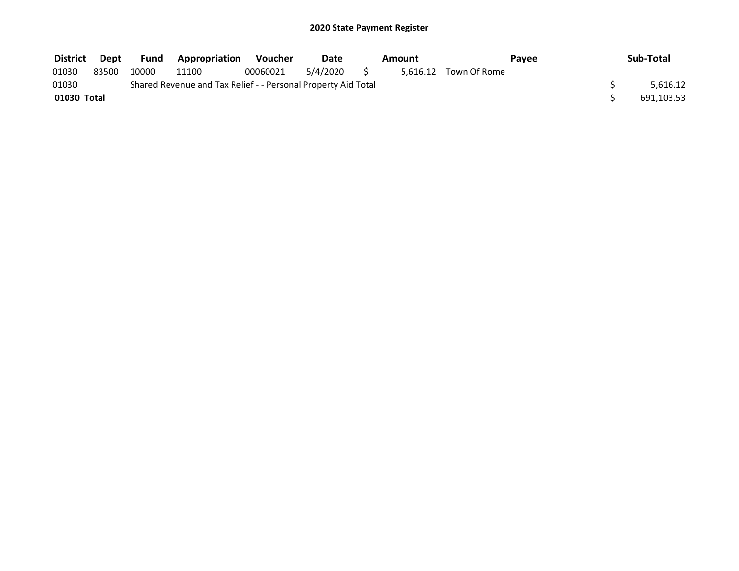| <b>District</b> | Dept  | <b>Fund</b> | <b>Appropriation</b>                                          | Voucher  | Date     | Amount |                       | Pavee | Sub-Total  |
|-----------------|-------|-------------|---------------------------------------------------------------|----------|----------|--------|-----------------------|-------|------------|
| 01030           | 83500 | 10000       | 11100                                                         | 00060021 | 5/4/2020 |        | 5.616.12 Town Of Rome |       |            |
| 01030           |       |             | Shared Revenue and Tax Relief - - Personal Property Aid Total |          |          |        |                       |       | 5.616.12   |
| 01030 Total     |       |             |                                                               |          |          |        |                       |       | 691,103.53 |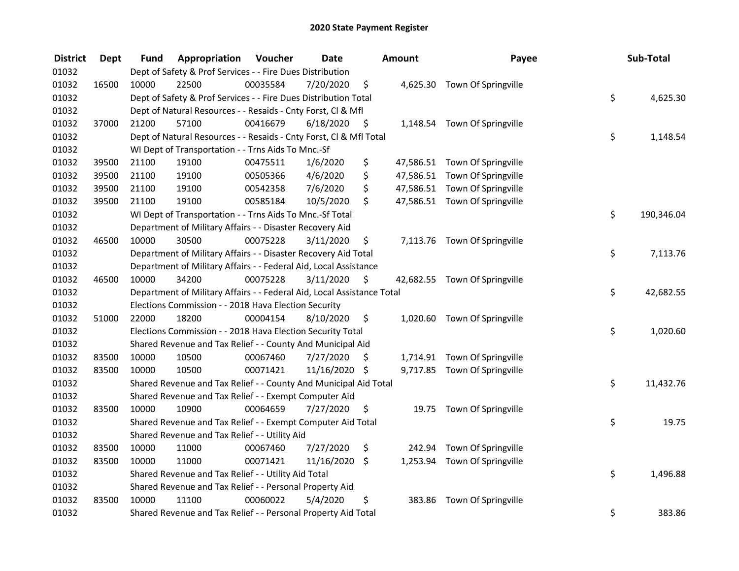| <b>District</b> | <b>Dept</b> | Fund  | Appropriation                                                          | Voucher  | <b>Date</b>   |      | <b>Amount</b> | Payee                         | Sub-Total        |
|-----------------|-------------|-------|------------------------------------------------------------------------|----------|---------------|------|---------------|-------------------------------|------------------|
| 01032           |             |       | Dept of Safety & Prof Services - - Fire Dues Distribution              |          |               |      |               |                               |                  |
| 01032           | 16500       | 10000 | 22500                                                                  | 00035584 | 7/20/2020     | \$   |               | 4,625.30 Town Of Springville  |                  |
| 01032           |             |       | Dept of Safety & Prof Services - - Fire Dues Distribution Total        |          |               |      |               |                               | \$<br>4,625.30   |
| 01032           |             |       | Dept of Natural Resources - - Resaids - Cnty Forst, Cl & Mfl           |          |               |      |               |                               |                  |
| 01032           | 37000       | 21200 | 57100                                                                  | 00416679 | 6/18/2020     | - \$ |               | 1,148.54 Town Of Springville  |                  |
| 01032           |             |       | Dept of Natural Resources - - Resaids - Cnty Forst, Cl & Mfl Total     |          |               |      |               |                               | \$<br>1,148.54   |
| 01032           |             |       | WI Dept of Transportation - - Trns Aids To Mnc.-Sf                     |          |               |      |               |                               |                  |
| 01032           | 39500       | 21100 | 19100                                                                  | 00475511 | 1/6/2020      | \$   |               | 47,586.51 Town Of Springville |                  |
| 01032           | 39500       | 21100 | 19100                                                                  | 00505366 | 4/6/2020      | \$   |               | 47,586.51 Town Of Springville |                  |
| 01032           | 39500       | 21100 | 19100                                                                  | 00542358 | 7/6/2020      | \$   |               | 47,586.51 Town Of Springville |                  |
| 01032           | 39500       | 21100 | 19100                                                                  | 00585184 | 10/5/2020     | \$   |               | 47,586.51 Town Of Springville |                  |
| 01032           |             |       | WI Dept of Transportation - - Trns Aids To Mnc.-Sf Total               |          |               |      |               |                               | \$<br>190,346.04 |
| 01032           |             |       | Department of Military Affairs - - Disaster Recovery Aid               |          |               |      |               |                               |                  |
| 01032           | 46500       | 10000 | 30500                                                                  | 00075228 | 3/11/2020     | \$   |               | 7,113.76 Town Of Springville  |                  |
| 01032           |             |       | Department of Military Affairs - - Disaster Recovery Aid Total         |          |               |      |               |                               | \$<br>7,113.76   |
| 01032           |             |       | Department of Military Affairs - - Federal Aid, Local Assistance       |          |               |      |               |                               |                  |
| 01032           | 46500       | 10000 | 34200                                                                  | 00075228 | 3/11/2020     | \$   |               | 42,682.55 Town Of Springville |                  |
| 01032           |             |       | Department of Military Affairs - - Federal Aid, Local Assistance Total |          |               |      |               |                               | \$<br>42,682.55  |
| 01032           |             |       | Elections Commission - - 2018 Hava Election Security                   |          |               |      |               |                               |                  |
| 01032           | 51000       | 22000 | 18200                                                                  | 00004154 | 8/10/2020     | \$   |               | 1,020.60 Town Of Springville  |                  |
| 01032           |             |       | Elections Commission - - 2018 Hava Election Security Total             |          |               |      |               |                               | \$<br>1,020.60   |
| 01032           |             |       | Shared Revenue and Tax Relief - - County And Municipal Aid             |          |               |      |               |                               |                  |
| 01032           | 83500       | 10000 | 10500                                                                  | 00067460 | 7/27/2020     | -\$  |               | 1,714.91 Town Of Springville  |                  |
| 01032           | 83500       | 10000 | 10500                                                                  | 00071421 | 11/16/2020 \$ |      |               | 9,717.85 Town Of Springville  |                  |
| 01032           |             |       | Shared Revenue and Tax Relief - - County And Municipal Aid Total       |          |               |      |               |                               | \$<br>11,432.76  |
| 01032           |             |       | Shared Revenue and Tax Relief - - Exempt Computer Aid                  |          |               |      |               |                               |                  |
| 01032           | 83500       | 10000 | 10900                                                                  | 00064659 | 7/27/2020     | \$   |               | 19.75 Town Of Springville     |                  |
| 01032           |             |       | Shared Revenue and Tax Relief - - Exempt Computer Aid Total            |          |               |      |               |                               | \$<br>19.75      |
| 01032           |             |       | Shared Revenue and Tax Relief - - Utility Aid                          |          |               |      |               |                               |                  |
| 01032           | 83500       | 10000 | 11000                                                                  | 00067460 | 7/27/2020     | \$   | 242.94        | Town Of Springville           |                  |
| 01032           | 83500       | 10000 | 11000                                                                  | 00071421 | 11/16/2020    | \$   |               | 1,253.94 Town Of Springville  |                  |
| 01032           |             |       | Shared Revenue and Tax Relief - - Utility Aid Total                    |          |               |      |               |                               | \$<br>1,496.88   |
| 01032           |             |       | Shared Revenue and Tax Relief - - Personal Property Aid                |          |               |      |               |                               |                  |
| 01032           | 83500       | 10000 | 11100                                                                  | 00060022 | 5/4/2020      | \$   | 383.86        | Town Of Springville           |                  |
| 01032           |             |       | Shared Revenue and Tax Relief - - Personal Property Aid Total          |          |               |      |               |                               | \$<br>383.86     |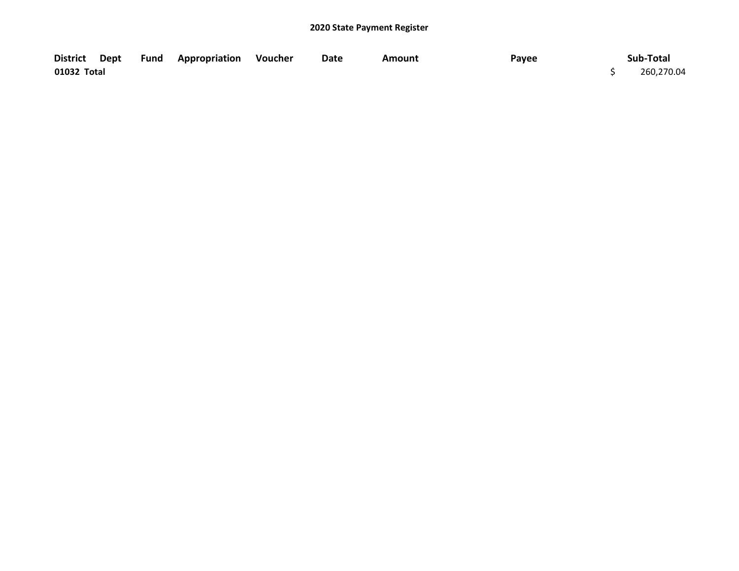| District Dept |  | <b>Fund Appropriation Voucher</b> | Date | Amount | Payee | Sub-Total  |
|---------------|--|-----------------------------------|------|--------|-------|------------|
| 01032 Total   |  |                                   |      |        |       | 260,270.04 |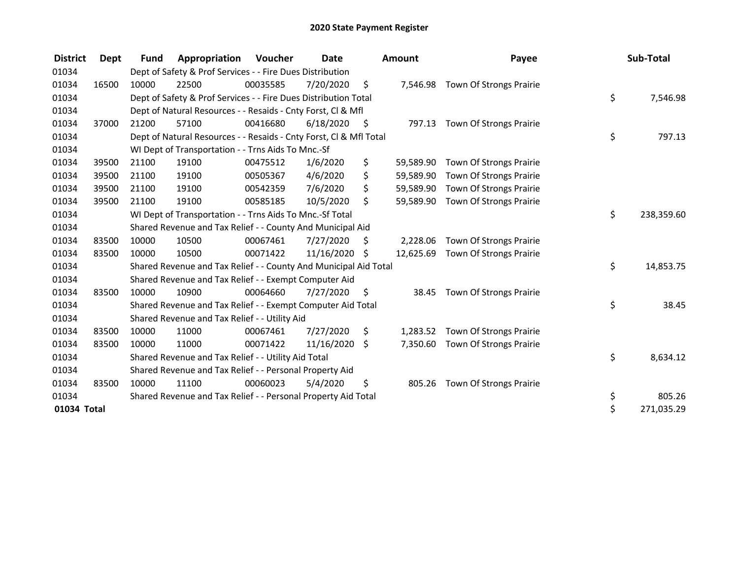| <b>District</b> | Dept  | <b>Fund</b> | Appropriation                                                      | Voucher  | <b>Date</b> |      | <b>Amount</b> | Payee                          | Sub-Total        |
|-----------------|-------|-------------|--------------------------------------------------------------------|----------|-------------|------|---------------|--------------------------------|------------------|
| 01034           |       |             | Dept of Safety & Prof Services - - Fire Dues Distribution          |          |             |      |               |                                |                  |
| 01034           | 16500 | 10000       | 22500                                                              | 00035585 | 7/20/2020   | \$   | 7,546.98      | Town Of Strongs Prairie        |                  |
| 01034           |       |             | Dept of Safety & Prof Services - - Fire Dues Distribution Total    |          |             |      |               |                                | \$<br>7,546.98   |
| 01034           |       |             | Dept of Natural Resources - - Resaids - Cnty Forst, CI & Mfl       |          |             |      |               |                                |                  |
| 01034           | 37000 | 21200       | 57100                                                              | 00416680 | 6/18/2020   | - \$ | 797.13        | Town Of Strongs Prairie        |                  |
| 01034           |       |             | Dept of Natural Resources - - Resaids - Cnty Forst, Cl & Mfl Total |          |             |      |               |                                | \$<br>797.13     |
| 01034           |       |             | WI Dept of Transportation - - Trns Aids To Mnc.-Sf                 |          |             |      |               |                                |                  |
| 01034           | 39500 | 21100       | 19100                                                              | 00475512 | 1/6/2020    | \$   | 59,589.90     | Town Of Strongs Prairie        |                  |
| 01034           | 39500 | 21100       | 19100                                                              | 00505367 | 4/6/2020    | \$   | 59,589.90     | Town Of Strongs Prairie        |                  |
| 01034           | 39500 | 21100       | 19100                                                              | 00542359 | 7/6/2020    | \$   | 59,589.90     | Town Of Strongs Prairie        |                  |
| 01034           | 39500 | 21100       | 19100                                                              | 00585185 | 10/5/2020   | \$   | 59,589.90     | <b>Town Of Strongs Prairie</b> |                  |
| 01034           |       |             | WI Dept of Transportation - - Trns Aids To Mnc.-Sf Total           |          |             |      |               |                                | \$<br>238,359.60 |
| 01034           |       |             | Shared Revenue and Tax Relief - - County And Municipal Aid         |          |             |      |               |                                |                  |
| 01034           | 83500 | 10000       | 10500                                                              | 00067461 | 7/27/2020   | \$   | 2,228.06      | Town Of Strongs Prairie        |                  |
| 01034           | 83500 | 10000       | 10500                                                              | 00071422 | 11/16/2020  | \$   | 12,625.69     | Town Of Strongs Prairie        |                  |
| 01034           |       |             | Shared Revenue and Tax Relief - - County And Municipal Aid Total   |          |             |      |               |                                | \$<br>14,853.75  |
| 01034           |       |             | Shared Revenue and Tax Relief - - Exempt Computer Aid              |          |             |      |               |                                |                  |
| 01034           | 83500 | 10000       | 10900                                                              | 00064660 | 7/27/2020   | \$.  | 38.45         | Town Of Strongs Prairie        |                  |
| 01034           |       |             | Shared Revenue and Tax Relief - - Exempt Computer Aid Total        |          |             |      |               |                                | \$<br>38.45      |
| 01034           |       |             | Shared Revenue and Tax Relief - - Utility Aid                      |          |             |      |               |                                |                  |
| 01034           | 83500 | 10000       | 11000                                                              | 00067461 | 7/27/2020   | \$   | 1,283.52      | Town Of Strongs Prairie        |                  |
| 01034           | 83500 | 10000       | 11000                                                              | 00071422 | 11/16/2020  | \$   | 7,350.60      | Town Of Strongs Prairie        |                  |
| 01034           |       |             | Shared Revenue and Tax Relief - - Utility Aid Total                |          |             |      |               |                                | \$<br>8,634.12   |
| 01034           |       |             | Shared Revenue and Tax Relief - - Personal Property Aid            |          |             |      |               |                                |                  |
| 01034           | 83500 | 10000       | 11100                                                              | 00060023 | 5/4/2020    | \$   | 805.26        | Town Of Strongs Prairie        |                  |
| 01034           |       |             | Shared Revenue and Tax Relief - - Personal Property Aid Total      |          |             |      |               |                                | \$<br>805.26     |
| 01034 Total     |       |             |                                                                    |          |             |      |               |                                | \$<br>271,035.29 |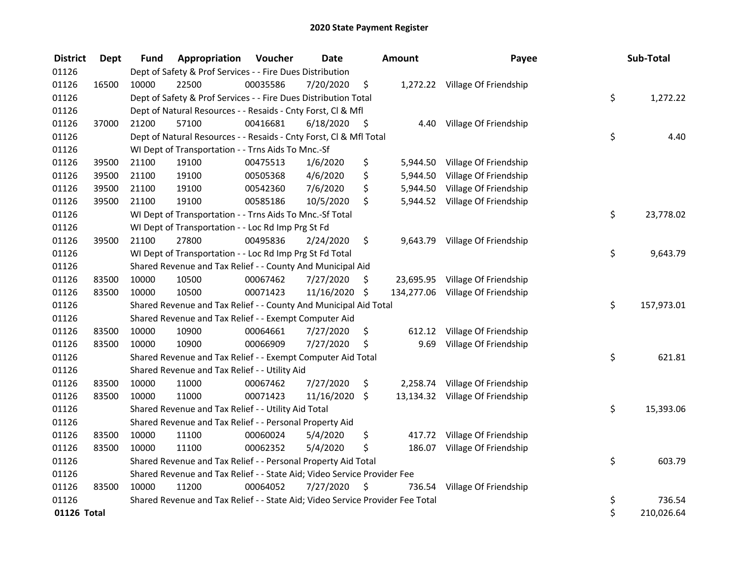| <b>District</b> | <b>Dept</b> | Fund  | Appropriation                                                                 | Voucher  | <b>Date</b>   |      | Amount    | Payee                            | Sub-Total        |
|-----------------|-------------|-------|-------------------------------------------------------------------------------|----------|---------------|------|-----------|----------------------------------|------------------|
| 01126           |             |       | Dept of Safety & Prof Services - - Fire Dues Distribution                     |          |               |      |           |                                  |                  |
| 01126           | 16500       | 10000 | 22500                                                                         | 00035586 | 7/20/2020     | \$   |           | 1,272.22 Village Of Friendship   |                  |
| 01126           |             |       | Dept of Safety & Prof Services - - Fire Dues Distribution Total               |          |               |      |           |                                  | \$<br>1,272.22   |
| 01126           |             |       | Dept of Natural Resources - - Resaids - Cnty Forst, Cl & Mfl                  |          |               |      |           |                                  |                  |
| 01126           | 37000       | 21200 | 57100                                                                         | 00416681 | 6/18/2020     | - \$ | 4.40      | Village Of Friendship            |                  |
| 01126           |             |       | Dept of Natural Resources - - Resaids - Cnty Forst, Cl & Mfl Total            |          |               |      |           |                                  | \$<br>4.40       |
| 01126           |             |       | WI Dept of Transportation - - Trns Aids To Mnc.-Sf                            |          |               |      |           |                                  |                  |
| 01126           | 39500       | 21100 | 19100                                                                         | 00475513 | 1/6/2020      | \$   |           | 5,944.50 Village Of Friendship   |                  |
| 01126           | 39500       | 21100 | 19100                                                                         | 00505368 | 4/6/2020      | \$   | 5,944.50  | Village Of Friendship            |                  |
| 01126           | 39500       | 21100 | 19100                                                                         | 00542360 | 7/6/2020      | \$   |           | 5,944.50 Village Of Friendship   |                  |
| 01126           | 39500       | 21100 | 19100                                                                         | 00585186 | 10/5/2020     | \$   |           | 5,944.52 Village Of Friendship   |                  |
| 01126           |             |       | WI Dept of Transportation - - Trns Aids To Mnc.-Sf Total                      |          |               |      |           |                                  | \$<br>23,778.02  |
| 01126           |             |       | WI Dept of Transportation - - Loc Rd Imp Prg St Fd                            |          |               |      |           |                                  |                  |
| 01126           | 39500       | 21100 | 27800                                                                         | 00495836 | 2/24/2020     | \$   | 9,643.79  | Village Of Friendship            |                  |
| 01126           |             |       | WI Dept of Transportation - - Loc Rd Imp Prg St Fd Total                      |          |               |      |           |                                  | \$<br>9,643.79   |
| 01126           |             |       | Shared Revenue and Tax Relief - - County And Municipal Aid                    |          |               |      |           |                                  |                  |
| 01126           | 83500       | 10000 | 10500                                                                         | 00067462 | 7/27/2020     | \$.  | 23,695.95 | Village Of Friendship            |                  |
| 01126           | 83500       | 10000 | 10500                                                                         | 00071423 | 11/16/2020 \$ |      |           | 134,277.06 Village Of Friendship |                  |
| 01126           |             |       | Shared Revenue and Tax Relief - - County And Municipal Aid Total              |          |               |      |           |                                  | \$<br>157,973.01 |
| 01126           |             |       | Shared Revenue and Tax Relief - - Exempt Computer Aid                         |          |               |      |           |                                  |                  |
| 01126           | 83500       | 10000 | 10900                                                                         | 00064661 | 7/27/2020     | \$   | 612.12    | Village Of Friendship            |                  |
| 01126           | 83500       | 10000 | 10900                                                                         | 00066909 | 7/27/2020     | \$   | 9.69      | Village Of Friendship            |                  |
| 01126           |             |       | Shared Revenue and Tax Relief - - Exempt Computer Aid Total                   |          |               |      |           |                                  | \$<br>621.81     |
| 01126           |             |       | Shared Revenue and Tax Relief - - Utility Aid                                 |          |               |      |           |                                  |                  |
| 01126           | 83500       | 10000 | 11000                                                                         | 00067462 | 7/27/2020     | \$   |           | 2,258.74 Village Of Friendship   |                  |
| 01126           | 83500       | 10000 | 11000                                                                         | 00071423 | 11/16/2020    | \$   |           | 13,134.32 Village Of Friendship  |                  |
| 01126           |             |       | Shared Revenue and Tax Relief - - Utility Aid Total                           |          |               |      |           |                                  | \$<br>15,393.06  |
| 01126           |             |       | Shared Revenue and Tax Relief - - Personal Property Aid                       |          |               |      |           |                                  |                  |
| 01126           | 83500       | 10000 | 11100                                                                         | 00060024 | 5/4/2020      | \$   |           | 417.72 Village Of Friendship     |                  |
| 01126           | 83500       | 10000 | 11100                                                                         | 00062352 | 5/4/2020      | \$   | 186.07    | Village Of Friendship            |                  |
| 01126           |             |       | Shared Revenue and Tax Relief - - Personal Property Aid Total                 |          |               |      |           |                                  | \$<br>603.79     |
| 01126           |             |       | Shared Revenue and Tax Relief - - State Aid; Video Service Provider Fee       |          |               |      |           |                                  |                  |
| 01126           | 83500       | 10000 | 11200                                                                         | 00064052 | 7/27/2020     | \$   | 736.54    | Village Of Friendship            |                  |
| 01126           |             |       | Shared Revenue and Tax Relief - - State Aid; Video Service Provider Fee Total |          |               |      |           |                                  | \$<br>736.54     |
| 01126 Total     |             |       |                                                                               |          |               |      |           |                                  | \$<br>210,026.64 |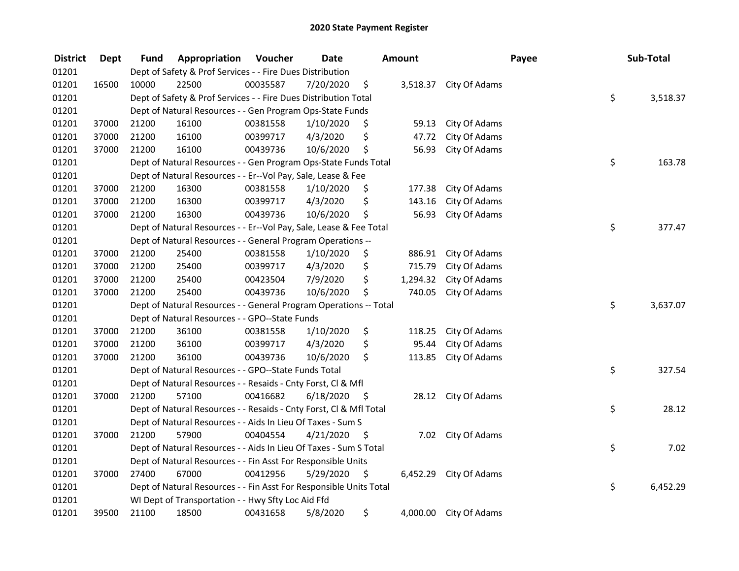| <b>District</b> | <b>Dept</b> | Fund  | Appropriation                                                      | Voucher  | <b>Date</b> |      | <b>Amount</b> |                        | Payee | Sub-Total |
|-----------------|-------------|-------|--------------------------------------------------------------------|----------|-------------|------|---------------|------------------------|-------|-----------|
| 01201           |             |       | Dept of Safety & Prof Services - - Fire Dues Distribution          |          |             |      |               |                        |       |           |
| 01201           | 16500       | 10000 | 22500                                                              | 00035587 | 7/20/2020   | \$   |               | 3,518.37 City Of Adams |       |           |
| 01201           |             |       | Dept of Safety & Prof Services - - Fire Dues Distribution Total    |          |             |      |               |                        | \$    | 3,518.37  |
| 01201           |             |       | Dept of Natural Resources - - Gen Program Ops-State Funds          |          |             |      |               |                        |       |           |
| 01201           | 37000       | 21200 | 16100                                                              | 00381558 | 1/10/2020   | \$   | 59.13         | City Of Adams          |       |           |
| 01201           | 37000       | 21200 | 16100                                                              | 00399717 | 4/3/2020    | \$   | 47.72         | City Of Adams          |       |           |
| 01201           | 37000       | 21200 | 16100                                                              | 00439736 | 10/6/2020   | \$   | 56.93         | City Of Adams          |       |           |
| 01201           |             |       | Dept of Natural Resources - - Gen Program Ops-State Funds Total    |          |             |      |               |                        | \$    | 163.78    |
| 01201           |             |       | Dept of Natural Resources - - Er--Vol Pay, Sale, Lease & Fee       |          |             |      |               |                        |       |           |
| 01201           | 37000       | 21200 | 16300                                                              | 00381558 | 1/10/2020   | \$   | 177.38        | City Of Adams          |       |           |
| 01201           | 37000       | 21200 | 16300                                                              | 00399717 | 4/3/2020    | \$   | 143.16        | City Of Adams          |       |           |
| 01201           | 37000       | 21200 | 16300                                                              | 00439736 | 10/6/2020   | \$   | 56.93         | City Of Adams          |       |           |
| 01201           |             |       | Dept of Natural Resources - - Er--Vol Pay, Sale, Lease & Fee Total |          |             |      |               |                        | \$    | 377.47    |
| 01201           |             |       | Dept of Natural Resources - - General Program Operations --        |          |             |      |               |                        |       |           |
| 01201           | 37000       | 21200 | 25400                                                              | 00381558 | 1/10/2020   | \$   | 886.91        | City Of Adams          |       |           |
| 01201           | 37000       | 21200 | 25400                                                              | 00399717 | 4/3/2020    | \$   | 715.79        | City Of Adams          |       |           |
| 01201           | 37000       | 21200 | 25400                                                              | 00423504 | 7/9/2020    | \$   | 1,294.32      | City Of Adams          |       |           |
| 01201           | 37000       | 21200 | 25400                                                              | 00439736 | 10/6/2020   | \$   | 740.05        | City Of Adams          |       |           |
| 01201           |             |       | Dept of Natural Resources - - General Program Operations -- Total  |          |             |      |               |                        | \$    | 3,637.07  |
| 01201           |             |       | Dept of Natural Resources - - GPO--State Funds                     |          |             |      |               |                        |       |           |
| 01201           | 37000       | 21200 | 36100                                                              | 00381558 | 1/10/2020   | \$   | 118.25        | City Of Adams          |       |           |
| 01201           | 37000       | 21200 | 36100                                                              | 00399717 | 4/3/2020    | \$   | 95.44         | City Of Adams          |       |           |
| 01201           | 37000       | 21200 | 36100                                                              | 00439736 | 10/6/2020   | \$   | 113.85        | City Of Adams          |       |           |
| 01201           |             |       | Dept of Natural Resources - - GPO--State Funds Total               |          |             |      |               |                        | \$    | 327.54    |
| 01201           |             |       | Dept of Natural Resources - - Resaids - Cnty Forst, Cl & Mfl       |          |             |      |               |                        |       |           |
| 01201           | 37000       | 21200 | 57100                                                              | 00416682 | 6/18/2020   | - Ş  | 28.12         | City Of Adams          |       |           |
| 01201           |             |       | Dept of Natural Resources - - Resaids - Cnty Forst, Cl & Mfl Total |          |             |      |               |                        | \$    | 28.12     |
| 01201           |             |       | Dept of Natural Resources - - Aids In Lieu Of Taxes - Sum S        |          |             |      |               |                        |       |           |
| 01201           | 37000       | 21200 | 57900                                                              | 00404554 | 4/21/2020   | - \$ |               | 7.02 City Of Adams     |       |           |
| 01201           |             |       | Dept of Natural Resources - - Aids In Lieu Of Taxes - Sum S Total  |          |             |      |               |                        | \$    | 7.02      |
| 01201           |             |       | Dept of Natural Resources - - Fin Asst For Responsible Units       |          |             |      |               |                        |       |           |
| 01201           | 37000       | 27400 | 67000                                                              | 00412956 | 5/29/2020   | \$   | 6,452.29      | City Of Adams          |       |           |
| 01201           |             |       | Dept of Natural Resources - - Fin Asst For Responsible Units Total |          |             |      |               |                        | \$    | 6,452.29  |
| 01201           |             |       | WI Dept of Transportation - - Hwy Sfty Loc Aid Ffd                 |          |             |      |               |                        |       |           |
| 01201           | 39500       | 21100 | 18500                                                              | 00431658 | 5/8/2020    | \$   |               | 4,000.00 City Of Adams |       |           |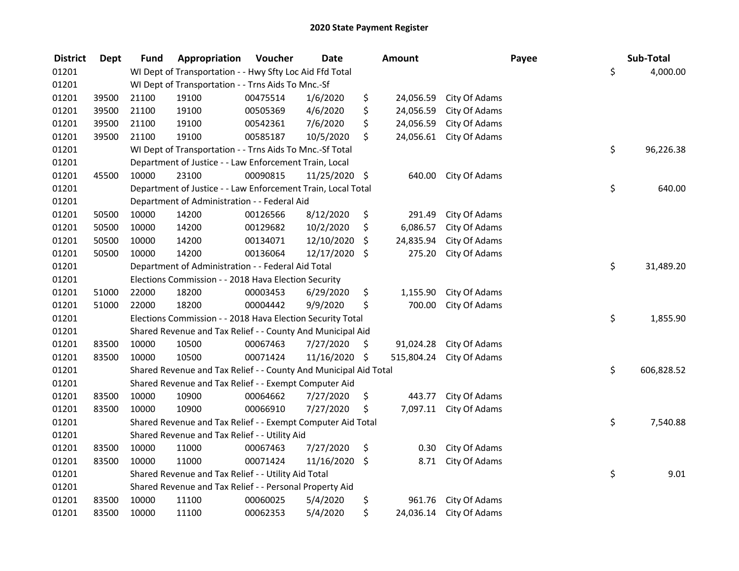| <b>District</b> | <b>Dept</b> | Fund  | Appropriation                                                    | Voucher  | <b>Date</b>   |     | Amount     |               | Payee | Sub-Total        |
|-----------------|-------------|-------|------------------------------------------------------------------|----------|---------------|-----|------------|---------------|-------|------------------|
| 01201           |             |       | WI Dept of Transportation - - Hwy Sfty Loc Aid Ffd Total         |          |               |     |            |               |       | \$<br>4,000.00   |
| 01201           |             |       | WI Dept of Transportation - - Trns Aids To Mnc.-Sf               |          |               |     |            |               |       |                  |
| 01201           | 39500       | 21100 | 19100                                                            | 00475514 | 1/6/2020      | \$  | 24,056.59  | City Of Adams |       |                  |
| 01201           | 39500       | 21100 | 19100                                                            | 00505369 | 4/6/2020      | \$  | 24,056.59  | City Of Adams |       |                  |
| 01201           | 39500       | 21100 | 19100                                                            | 00542361 | 7/6/2020      | \$  | 24,056.59  | City Of Adams |       |                  |
| 01201           | 39500       | 21100 | 19100                                                            | 00585187 | 10/5/2020     | \$  | 24,056.61  | City Of Adams |       |                  |
| 01201           |             |       | WI Dept of Transportation - - Trns Aids To Mnc.-Sf Total         |          |               |     |            |               |       | \$<br>96,226.38  |
| 01201           |             |       | Department of Justice - - Law Enforcement Train, Local           |          |               |     |            |               |       |                  |
| 01201           | 45500       | 10000 | 23100                                                            | 00090815 | 11/25/2020 \$ |     | 640.00     | City Of Adams |       |                  |
| 01201           |             |       | Department of Justice - - Law Enforcement Train, Local Total     |          |               |     |            |               |       | \$<br>640.00     |
| 01201           |             |       | Department of Administration - - Federal Aid                     |          |               |     |            |               |       |                  |
| 01201           | 50500       | 10000 | 14200                                                            | 00126566 | 8/12/2020     | \$  | 291.49     | City Of Adams |       |                  |
| 01201           | 50500       | 10000 | 14200                                                            | 00129682 | 10/2/2020     | \$  | 6,086.57   | City Of Adams |       |                  |
| 01201           | 50500       | 10000 | 14200                                                            | 00134071 | 12/10/2020    | \$  | 24,835.94  | City Of Adams |       |                  |
| 01201           | 50500       | 10000 | 14200                                                            | 00136064 | 12/17/2020    | \$  | 275.20     | City Of Adams |       |                  |
| 01201           |             |       | Department of Administration - - Federal Aid Total               |          |               |     |            |               |       | \$<br>31,489.20  |
| 01201           |             |       | Elections Commission - - 2018 Hava Election Security             |          |               |     |            |               |       |                  |
| 01201           | 51000       | 22000 | 18200                                                            | 00003453 | 6/29/2020     | \$  | 1,155.90   | City Of Adams |       |                  |
| 01201           | 51000       | 22000 | 18200                                                            | 00004442 | 9/9/2020      | \$  | 700.00     | City Of Adams |       |                  |
| 01201           |             |       | Elections Commission - - 2018 Hava Election Security Total       |          |               |     |            |               |       | \$<br>1,855.90   |
| 01201           |             |       | Shared Revenue and Tax Relief - - County And Municipal Aid       |          |               |     |            |               |       |                  |
| 01201           | 83500       | 10000 | 10500                                                            | 00067463 | 7/27/2020     | \$. | 91,024.28  | City Of Adams |       |                  |
| 01201           | 83500       | 10000 | 10500                                                            | 00071424 | 11/16/2020 \$ |     | 515,804.24 | City Of Adams |       |                  |
| 01201           |             |       | Shared Revenue and Tax Relief - - County And Municipal Aid Total |          |               |     |            |               |       | \$<br>606,828.52 |
| 01201           |             |       | Shared Revenue and Tax Relief - - Exempt Computer Aid            |          |               |     |            |               |       |                  |
| 01201           | 83500       | 10000 | 10900                                                            | 00064662 | 7/27/2020     | \$  | 443.77     | City Of Adams |       |                  |
| 01201           | 83500       | 10000 | 10900                                                            | 00066910 | 7/27/2020     | \$  | 7,097.11   | City Of Adams |       |                  |
| 01201           |             |       | Shared Revenue and Tax Relief - - Exempt Computer Aid Total      |          |               |     |            |               |       | \$<br>7,540.88   |
| 01201           |             |       | Shared Revenue and Tax Relief - - Utility Aid                    |          |               |     |            |               |       |                  |
| 01201           | 83500       | 10000 | 11000                                                            | 00067463 | 7/27/2020     | \$  | 0.30       | City Of Adams |       |                  |
| 01201           | 83500       | 10000 | 11000                                                            | 00071424 | 11/16/2020    | \$  | 8.71       | City Of Adams |       |                  |
| 01201           |             |       | Shared Revenue and Tax Relief - - Utility Aid Total              |          |               |     |            |               |       | \$<br>9.01       |
| 01201           |             |       | Shared Revenue and Tax Relief - - Personal Property Aid          |          |               |     |            |               |       |                  |
| 01201           | 83500       | 10000 | 11100                                                            | 00060025 | 5/4/2020      | \$  | 961.76     | City Of Adams |       |                  |
| 01201           | 83500       | 10000 | 11100                                                            | 00062353 | 5/4/2020      | \$  | 24,036.14  | City Of Adams |       |                  |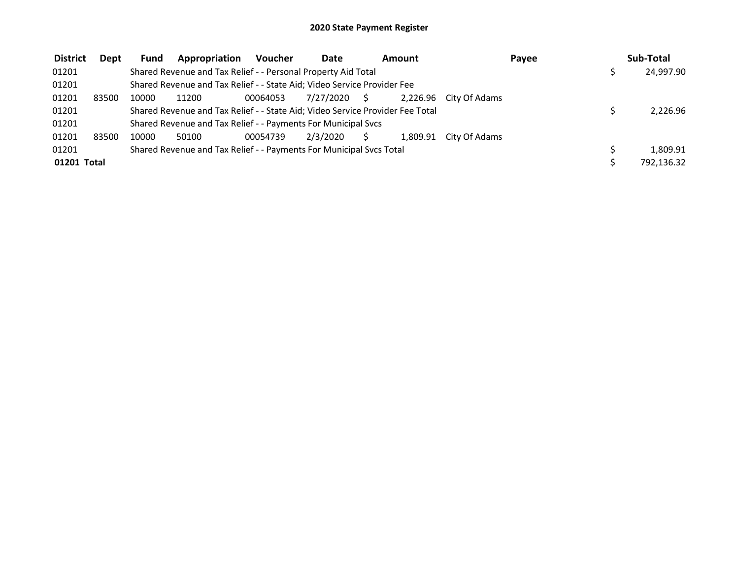| <b>District</b> | Dept  | <b>Fund</b> | Appropriation                                                                 | <b>Voucher</b> | <b>Date</b> |    | Amount   |                        | Payee | Sub-Total  |
|-----------------|-------|-------------|-------------------------------------------------------------------------------|----------------|-------------|----|----------|------------------------|-------|------------|
| 01201           |       |             | Shared Revenue and Tax Relief - - Personal Property Aid Total                 |                |             |    |          |                        |       | 24,997.90  |
| 01201           |       |             | Shared Revenue and Tax Relief - - State Aid; Video Service Provider Fee       |                |             |    |          |                        |       |            |
| 01201           | 83500 | 10000       | 11200                                                                         | 00064053       | 7/27/2020   | S. |          | 2.226.96 City Of Adams |       |            |
| 01201           |       |             | Shared Revenue and Tax Relief - - State Aid; Video Service Provider Fee Total |                |             |    |          |                        |       | 2,226.96   |
| 01201           |       |             | Shared Revenue and Tax Relief - - Payments For Municipal Svcs                 |                |             |    |          |                        |       |            |
| 01201           | 83500 | 10000       | 50100                                                                         | 00054739       | 2/3/2020    |    | 1.809.91 | City Of Adams          |       |            |
| 01201           |       |             | Shared Revenue and Tax Relief - - Payments For Municipal Svcs Total           |                |             |    |          |                        |       | 1,809.91   |
| 01201 Total     |       |             |                                                                               |                |             |    |          |                        |       | 792,136.32 |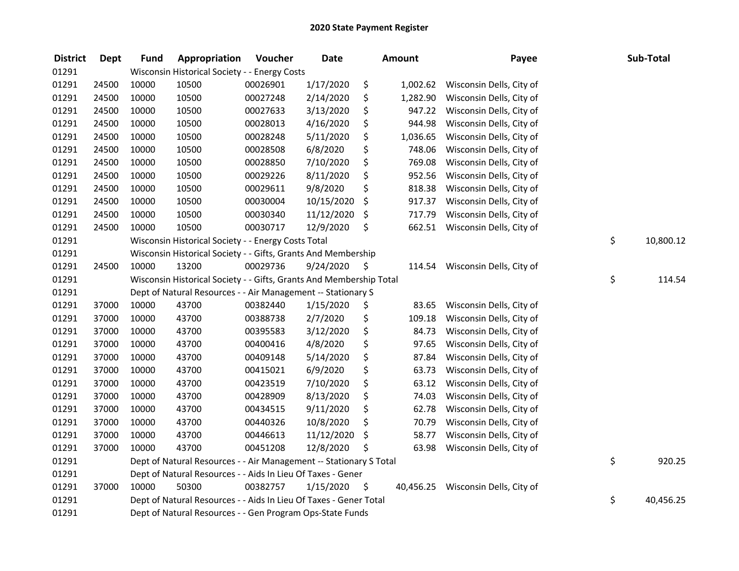| <b>District</b> | <b>Dept</b> | <b>Fund</b> | Appropriation                                                       | Voucher  | <b>Date</b> | Amount         | Payee                              | Sub-Total       |
|-----------------|-------------|-------------|---------------------------------------------------------------------|----------|-------------|----------------|------------------------------------|-----------------|
| 01291           |             |             | Wisconsin Historical Society - - Energy Costs                       |          |             |                |                                    |                 |
| 01291           | 24500       | 10000       | 10500                                                               | 00026901 | 1/17/2020   | \$<br>1,002.62 | Wisconsin Dells, City of           |                 |
| 01291           | 24500       | 10000       | 10500                                                               | 00027248 | 2/14/2020   | \$<br>1,282.90 | Wisconsin Dells, City of           |                 |
| 01291           | 24500       | 10000       | 10500                                                               | 00027633 | 3/13/2020   | \$<br>947.22   | Wisconsin Dells, City of           |                 |
| 01291           | 24500       | 10000       | 10500                                                               | 00028013 | 4/16/2020   | \$<br>944.98   | Wisconsin Dells, City of           |                 |
| 01291           | 24500       | 10000       | 10500                                                               | 00028248 | 5/11/2020   | \$<br>1,036.65 | Wisconsin Dells, City of           |                 |
| 01291           | 24500       | 10000       | 10500                                                               | 00028508 | 6/8/2020    | \$<br>748.06   | Wisconsin Dells, City of           |                 |
| 01291           | 24500       | 10000       | 10500                                                               | 00028850 | 7/10/2020   | \$<br>769.08   | Wisconsin Dells, City of           |                 |
| 01291           | 24500       | 10000       | 10500                                                               | 00029226 | 8/11/2020   | \$<br>952.56   | Wisconsin Dells, City of           |                 |
| 01291           | 24500       | 10000       | 10500                                                               | 00029611 | 9/8/2020    | \$<br>818.38   | Wisconsin Dells, City of           |                 |
| 01291           | 24500       | 10000       | 10500                                                               | 00030004 | 10/15/2020  | \$<br>917.37   | Wisconsin Dells, City of           |                 |
| 01291           | 24500       | 10000       | 10500                                                               | 00030340 | 11/12/2020  | \$<br>717.79   | Wisconsin Dells, City of           |                 |
| 01291           | 24500       | 10000       | 10500                                                               | 00030717 | 12/9/2020   | \$<br>662.51   | Wisconsin Dells, City of           |                 |
| 01291           |             |             | Wisconsin Historical Society - - Energy Costs Total                 |          |             |                |                                    | \$<br>10,800.12 |
| 01291           |             |             | Wisconsin Historical Society - - Gifts, Grants And Membership       |          |             |                |                                    |                 |
| 01291           | 24500       | 10000       | 13200                                                               | 00029736 | 9/24/2020   | \$<br>114.54   | Wisconsin Dells, City of           |                 |
| 01291           |             |             | Wisconsin Historical Society - - Gifts, Grants And Membership Total |          |             |                |                                    | \$<br>114.54    |
| 01291           |             |             | Dept of Natural Resources - - Air Management -- Stationary S        |          |             |                |                                    |                 |
| 01291           | 37000       | 10000       | 43700                                                               | 00382440 | 1/15/2020   | \$<br>83.65    | Wisconsin Dells, City of           |                 |
| 01291           | 37000       | 10000       | 43700                                                               | 00388738 | 2/7/2020    | \$<br>109.18   | Wisconsin Dells, City of           |                 |
| 01291           | 37000       | 10000       | 43700                                                               | 00395583 | 3/12/2020   | \$<br>84.73    | Wisconsin Dells, City of           |                 |
| 01291           | 37000       | 10000       | 43700                                                               | 00400416 | 4/8/2020    | \$<br>97.65    | Wisconsin Dells, City of           |                 |
| 01291           | 37000       | 10000       | 43700                                                               | 00409148 | 5/14/2020   | \$<br>87.84    | Wisconsin Dells, City of           |                 |
| 01291           | 37000       | 10000       | 43700                                                               | 00415021 | 6/9/2020    | \$<br>63.73    | Wisconsin Dells, City of           |                 |
| 01291           | 37000       | 10000       | 43700                                                               | 00423519 | 7/10/2020   | \$<br>63.12    | Wisconsin Dells, City of           |                 |
| 01291           | 37000       | 10000       | 43700                                                               | 00428909 | 8/13/2020   | \$<br>74.03    | Wisconsin Dells, City of           |                 |
| 01291           | 37000       | 10000       | 43700                                                               | 00434515 | 9/11/2020   | \$<br>62.78    | Wisconsin Dells, City of           |                 |
| 01291           | 37000       | 10000       | 43700                                                               | 00440326 | 10/8/2020   | \$<br>70.79    | Wisconsin Dells, City of           |                 |
| 01291           | 37000       | 10000       | 43700                                                               | 00446613 | 11/12/2020  | \$<br>58.77    | Wisconsin Dells, City of           |                 |
| 01291           | 37000       | 10000       | 43700                                                               | 00451208 | 12/8/2020   | \$<br>63.98    | Wisconsin Dells, City of           |                 |
| 01291           |             |             | Dept of Natural Resources - - Air Management -- Stationary S Total  |          |             |                |                                    | \$<br>920.25    |
| 01291           |             |             | Dept of Natural Resources - - Aids In Lieu Of Taxes - Gener         |          |             |                |                                    |                 |
| 01291           | 37000       | 10000       | 50300                                                               | 00382757 | 1/15/2020   | \$             | 40,456.25 Wisconsin Dells, City of |                 |
| 01291           |             |             | Dept of Natural Resources - - Aids In Lieu Of Taxes - Gener Total   |          |             |                |                                    | \$<br>40,456.25 |
| 01291           |             |             | Dept of Natural Resources - - Gen Program Ops-State Funds           |          |             |                |                                    |                 |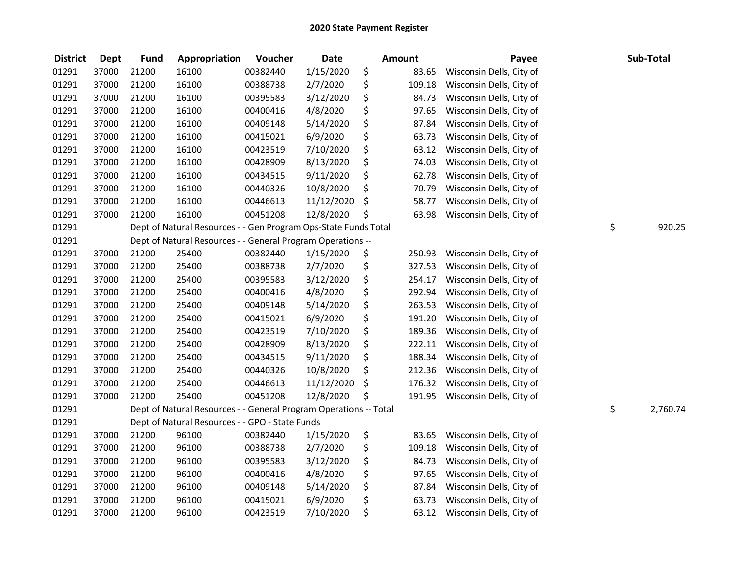| <b>District</b> | <b>Dept</b> | <b>Fund</b> | Appropriation                                                     | Voucher  | <b>Date</b> | <b>Amount</b> | Payee                    | Sub-Total      |
|-----------------|-------------|-------------|-------------------------------------------------------------------|----------|-------------|---------------|--------------------------|----------------|
| 01291           | 37000       | 21200       | 16100                                                             | 00382440 | 1/15/2020   | \$<br>83.65   | Wisconsin Dells, City of |                |
| 01291           | 37000       | 21200       | 16100                                                             | 00388738 | 2/7/2020    | \$<br>109.18  | Wisconsin Dells, City of |                |
| 01291           | 37000       | 21200       | 16100                                                             | 00395583 | 3/12/2020   | \$<br>84.73   | Wisconsin Dells, City of |                |
| 01291           | 37000       | 21200       | 16100                                                             | 00400416 | 4/8/2020    | \$<br>97.65   | Wisconsin Dells, City of |                |
| 01291           | 37000       | 21200       | 16100                                                             | 00409148 | 5/14/2020   | \$<br>87.84   | Wisconsin Dells, City of |                |
| 01291           | 37000       | 21200       | 16100                                                             | 00415021 | 6/9/2020    | \$<br>63.73   | Wisconsin Dells, City of |                |
| 01291           | 37000       | 21200       | 16100                                                             | 00423519 | 7/10/2020   | \$<br>63.12   | Wisconsin Dells, City of |                |
| 01291           | 37000       | 21200       | 16100                                                             | 00428909 | 8/13/2020   | \$<br>74.03   | Wisconsin Dells, City of |                |
| 01291           | 37000       | 21200       | 16100                                                             | 00434515 | 9/11/2020   | \$<br>62.78   | Wisconsin Dells, City of |                |
| 01291           | 37000       | 21200       | 16100                                                             | 00440326 | 10/8/2020   | \$<br>70.79   | Wisconsin Dells, City of |                |
| 01291           | 37000       | 21200       | 16100                                                             | 00446613 | 11/12/2020  | \$<br>58.77   | Wisconsin Dells, City of |                |
| 01291           | 37000       | 21200       | 16100                                                             | 00451208 | 12/8/2020   | \$<br>63.98   | Wisconsin Dells, City of |                |
| 01291           |             |             | Dept of Natural Resources - - Gen Program Ops-State Funds Total   |          |             |               |                          | \$<br>920.25   |
| 01291           |             |             | Dept of Natural Resources - - General Program Operations --       |          |             |               |                          |                |
| 01291           | 37000       | 21200       | 25400                                                             | 00382440 | 1/15/2020   | \$<br>250.93  | Wisconsin Dells, City of |                |
| 01291           | 37000       | 21200       | 25400                                                             | 00388738 | 2/7/2020    | \$<br>327.53  | Wisconsin Dells, City of |                |
| 01291           | 37000       | 21200       | 25400                                                             | 00395583 | 3/12/2020   | \$<br>254.17  | Wisconsin Dells, City of |                |
| 01291           | 37000       | 21200       | 25400                                                             | 00400416 | 4/8/2020    | \$<br>292.94  | Wisconsin Dells, City of |                |
| 01291           | 37000       | 21200       | 25400                                                             | 00409148 | 5/14/2020   | \$<br>263.53  | Wisconsin Dells, City of |                |
| 01291           | 37000       | 21200       | 25400                                                             | 00415021 | 6/9/2020    | \$<br>191.20  | Wisconsin Dells, City of |                |
| 01291           | 37000       | 21200       | 25400                                                             | 00423519 | 7/10/2020   | \$<br>189.36  | Wisconsin Dells, City of |                |
| 01291           | 37000       | 21200       | 25400                                                             | 00428909 | 8/13/2020   | \$<br>222.11  | Wisconsin Dells, City of |                |
| 01291           | 37000       | 21200       | 25400                                                             | 00434515 | 9/11/2020   | \$<br>188.34  | Wisconsin Dells, City of |                |
| 01291           | 37000       | 21200       | 25400                                                             | 00440326 | 10/8/2020   | \$<br>212.36  | Wisconsin Dells, City of |                |
| 01291           | 37000       | 21200       | 25400                                                             | 00446613 | 11/12/2020  | \$<br>176.32  | Wisconsin Dells, City of |                |
| 01291           | 37000       | 21200       | 25400                                                             | 00451208 | 12/8/2020   | \$<br>191.95  | Wisconsin Dells, City of |                |
| 01291           |             |             | Dept of Natural Resources - - General Program Operations -- Total |          |             |               |                          | \$<br>2,760.74 |
| 01291           |             |             | Dept of Natural Resources - - GPO - State Funds                   |          |             |               |                          |                |
| 01291           | 37000       | 21200       | 96100                                                             | 00382440 | 1/15/2020   | \$<br>83.65   | Wisconsin Dells, City of |                |
| 01291           | 37000       | 21200       | 96100                                                             | 00388738 | 2/7/2020    | \$<br>109.18  | Wisconsin Dells, City of |                |
| 01291           | 37000       | 21200       | 96100                                                             | 00395583 | 3/12/2020   | \$<br>84.73   | Wisconsin Dells, City of |                |
| 01291           | 37000       | 21200       | 96100                                                             | 00400416 | 4/8/2020    | \$<br>97.65   | Wisconsin Dells, City of |                |
| 01291           | 37000       | 21200       | 96100                                                             | 00409148 | 5/14/2020   | \$<br>87.84   | Wisconsin Dells, City of |                |
| 01291           | 37000       | 21200       | 96100                                                             | 00415021 | 6/9/2020    | \$<br>63.73   | Wisconsin Dells, City of |                |
| 01291           | 37000       | 21200       | 96100                                                             | 00423519 | 7/10/2020   | \$<br>63.12   | Wisconsin Dells, City of |                |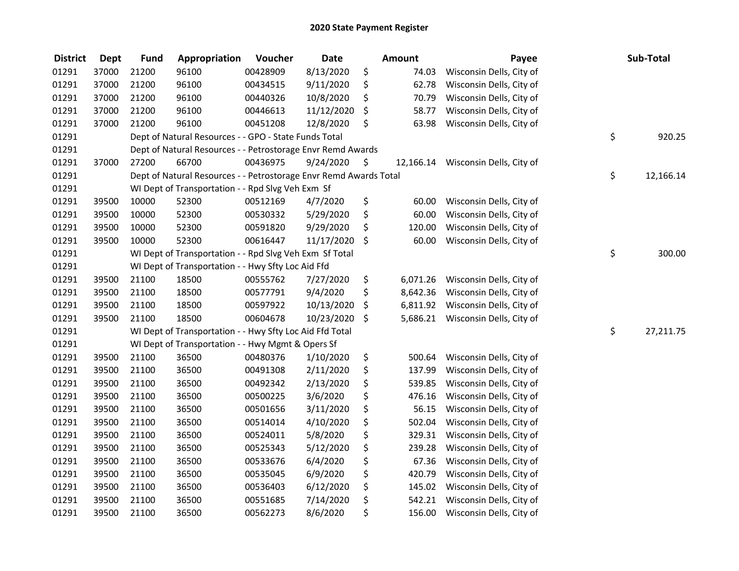| <b>District</b> | <b>Dept</b> | <b>Fund</b> | Appropriation                                                     | Voucher  | <b>Date</b> |      | Amount    | Payee                    | Sub-Total       |
|-----------------|-------------|-------------|-------------------------------------------------------------------|----------|-------------|------|-----------|--------------------------|-----------------|
| 01291           | 37000       | 21200       | 96100                                                             | 00428909 | 8/13/2020   | \$   | 74.03     | Wisconsin Dells, City of |                 |
| 01291           | 37000       | 21200       | 96100                                                             | 00434515 | 9/11/2020   | \$   | 62.78     | Wisconsin Dells, City of |                 |
| 01291           | 37000       | 21200       | 96100                                                             | 00440326 | 10/8/2020   | \$   | 70.79     | Wisconsin Dells, City of |                 |
| 01291           | 37000       | 21200       | 96100                                                             | 00446613 | 11/12/2020  | \$   | 58.77     | Wisconsin Dells, City of |                 |
| 01291           | 37000       | 21200       | 96100                                                             | 00451208 | 12/8/2020   | \$   | 63.98     | Wisconsin Dells, City of |                 |
| 01291           |             |             | Dept of Natural Resources - - GPO - State Funds Total             |          |             |      |           |                          | \$<br>920.25    |
| 01291           |             |             | Dept of Natural Resources - - Petrostorage Envr Remd Awards       |          |             |      |           |                          |                 |
| 01291           | 37000       | 27200       | 66700                                                             | 00436975 | 9/24/2020   | - \$ | 12,166.14 | Wisconsin Dells, City of |                 |
| 01291           |             |             | Dept of Natural Resources - - Petrostorage Envr Remd Awards Total |          |             |      |           |                          | \$<br>12,166.14 |
| 01291           |             |             | WI Dept of Transportation - - Rpd Slvg Veh Exm Sf                 |          |             |      |           |                          |                 |
| 01291           | 39500       | 10000       | 52300                                                             | 00512169 | 4/7/2020    | \$   | 60.00     | Wisconsin Dells, City of |                 |
| 01291           | 39500       | 10000       | 52300                                                             | 00530332 | 5/29/2020   | \$   | 60.00     | Wisconsin Dells, City of |                 |
| 01291           | 39500       | 10000       | 52300                                                             | 00591820 | 9/29/2020   | \$   | 120.00    | Wisconsin Dells, City of |                 |
| 01291           | 39500       | 10000       | 52300                                                             | 00616447 | 11/17/2020  | \$   | 60.00     | Wisconsin Dells, City of |                 |
| 01291           |             |             | WI Dept of Transportation - - Rpd Slvg Veh Exm Sf Total           |          |             |      |           |                          | \$<br>300.00    |
| 01291           |             |             | WI Dept of Transportation - - Hwy Sfty Loc Aid Ffd                |          |             |      |           |                          |                 |
| 01291           | 39500       | 21100       | 18500                                                             | 00555762 | 7/27/2020   | \$   | 6,071.26  | Wisconsin Dells, City of |                 |
| 01291           | 39500       | 21100       | 18500                                                             | 00577791 | 9/4/2020    | \$   | 8,642.36  | Wisconsin Dells, City of |                 |
| 01291           | 39500       | 21100       | 18500                                                             | 00597922 | 10/13/2020  | \$   | 6,811.92  | Wisconsin Dells, City of |                 |
| 01291           | 39500       | 21100       | 18500                                                             | 00604678 | 10/23/2020  | \$   | 5,686.21  | Wisconsin Dells, City of |                 |
| 01291           |             |             | WI Dept of Transportation - - Hwy Sfty Loc Aid Ffd Total          |          |             |      |           |                          | \$<br>27,211.75 |
| 01291           |             |             | WI Dept of Transportation - - Hwy Mgmt & Opers Sf                 |          |             |      |           |                          |                 |
| 01291           | 39500       | 21100       | 36500                                                             | 00480376 | 1/10/2020   | \$   | 500.64    | Wisconsin Dells, City of |                 |
| 01291           | 39500       | 21100       | 36500                                                             | 00491308 | 2/11/2020   | \$   | 137.99    | Wisconsin Dells, City of |                 |
| 01291           | 39500       | 21100       | 36500                                                             | 00492342 | 2/13/2020   | \$   | 539.85    | Wisconsin Dells, City of |                 |
| 01291           | 39500       | 21100       | 36500                                                             | 00500225 | 3/6/2020    | \$   | 476.16    | Wisconsin Dells, City of |                 |
| 01291           | 39500       | 21100       | 36500                                                             | 00501656 | 3/11/2020   | \$   | 56.15     | Wisconsin Dells, City of |                 |
| 01291           | 39500       | 21100       | 36500                                                             | 00514014 | 4/10/2020   | \$   | 502.04    | Wisconsin Dells, City of |                 |
| 01291           | 39500       | 21100       | 36500                                                             | 00524011 | 5/8/2020    | \$   | 329.31    | Wisconsin Dells, City of |                 |
| 01291           | 39500       | 21100       | 36500                                                             | 00525343 | 5/12/2020   | \$   | 239.28    | Wisconsin Dells, City of |                 |
| 01291           | 39500       | 21100       | 36500                                                             | 00533676 | 6/4/2020    | \$   | 67.36     | Wisconsin Dells, City of |                 |
| 01291           | 39500       | 21100       | 36500                                                             | 00535045 | 6/9/2020    | \$   | 420.79    | Wisconsin Dells, City of |                 |
| 01291           | 39500       | 21100       | 36500                                                             | 00536403 | 6/12/2020   | \$   | 145.02    | Wisconsin Dells, City of |                 |
| 01291           | 39500       | 21100       | 36500                                                             | 00551685 | 7/14/2020   | \$   | 542.21    | Wisconsin Dells, City of |                 |
| 01291           | 39500       | 21100       | 36500                                                             | 00562273 | 8/6/2020    | \$   | 156.00    | Wisconsin Dells, City of |                 |